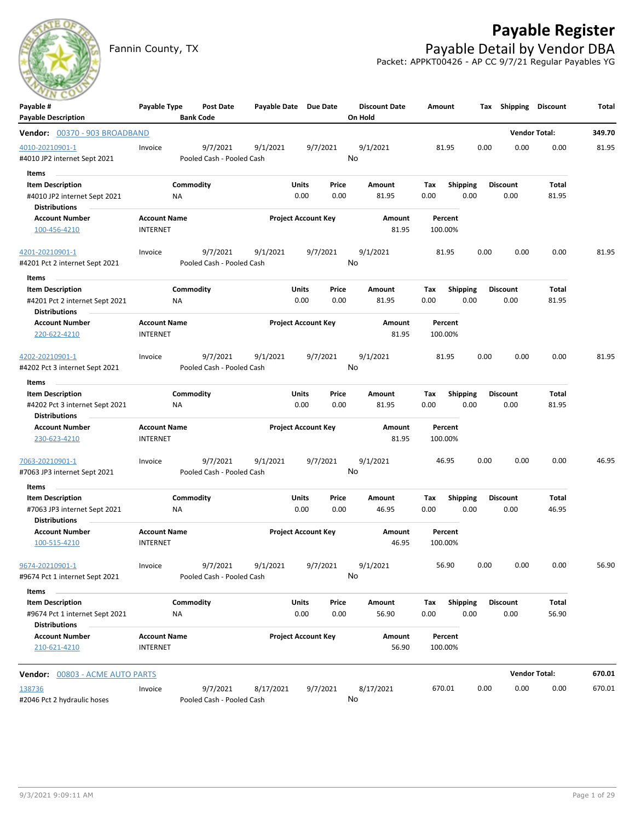

## **Payable Register**

Fannin County, TX **Payable Detail by Vendor DBA** Packet: APPKT00426 - AP CC 9/7/21 Regular Payables YG

| Payable #                                     | Payable Type        |                  | Post Date                 | Payable Date Due Date |       |                            |         | <b>Discount Date</b> | Amount |                 |      |      | Tax Shipping    | <b>Discount</b>      | Total  |
|-----------------------------------------------|---------------------|------------------|---------------------------|-----------------------|-------|----------------------------|---------|----------------------|--------|-----------------|------|------|-----------------|----------------------|--------|
| <b>Payable Description</b>                    |                     | <b>Bank Code</b> |                           |                       |       |                            | On Hold |                      |        |                 |      |      |                 |                      |        |
| Vendor: 00370 - 903 BROADBAND                 |                     |                  |                           |                       |       |                            |         |                      |        |                 |      |      |                 | <b>Vendor Total:</b> | 349.70 |
| 4010-20210901-1                               | Invoice             |                  | 9/7/2021                  | 9/1/2021              |       | 9/7/2021                   |         | 9/1/2021             |        | 81.95           |      | 0.00 | 0.00            | 0.00                 | 81.95  |
| #4010 JP2 internet Sept 2021                  |                     |                  | Pooled Cash - Pooled Cash |                       |       |                            | No      |                      |        |                 |      |      |                 |                      |        |
| Items<br><b>College</b>                       |                     |                  |                           |                       |       |                            |         |                      |        |                 |      |      |                 |                      |        |
| <b>Item Description</b>                       |                     | Commodity        |                           |                       | Units | Price                      |         | Amount               | Tax    | <b>Shipping</b> |      |      | <b>Discount</b> | Total                |        |
| #4010 JP2 internet Sept 2021                  |                     | NA               |                           |                       | 0.00  | 0.00                       |         | 81.95                | 0.00   |                 | 0.00 |      | 0.00            | 81.95                |        |
| Distributions                                 |                     |                  |                           |                       |       |                            |         |                      |        |                 |      |      |                 |                      |        |
| <b>Account Number</b>                         | <b>Account Name</b> |                  |                           |                       |       | <b>Project Account Key</b> |         | Amount               |        | Percent         |      |      |                 |                      |        |
| 100-456-4210                                  | <b>INTERNET</b>     |                  |                           |                       |       |                            |         | 81.95                |        | 100.00%         |      |      |                 |                      |        |
| 4201-20210901-1                               | Invoice             |                  | 9/7/2021                  | 9/1/2021              |       | 9/7/2021                   |         | 9/1/2021             |        | 81.95           |      | 0.00 | 0.00            | 0.00                 | 81.95  |
| #4201 Pct 2 internet Sept 2021                |                     |                  | Pooled Cash - Pooled Cash |                       |       |                            | No      |                      |        |                 |      |      |                 |                      |        |
| Items                                         |                     |                  |                           |                       |       |                            |         |                      |        |                 |      |      |                 |                      |        |
| <b>Item Description</b>                       |                     | Commodity        |                           |                       | Units | Price                      |         | Amount               | Tax    | <b>Shipping</b> |      |      | <b>Discount</b> | Total                |        |
| #4201 Pct 2 internet Sept 2021                |                     | ΝA               |                           |                       | 0.00  | 0.00                       |         | 81.95                | 0.00   |                 | 0.00 |      | 0.00            | 81.95                |        |
| <b>Distributions</b>                          |                     |                  |                           |                       |       |                            |         |                      |        |                 |      |      |                 |                      |        |
| <b>Account Number</b>                         | <b>Account Name</b> |                  |                           |                       |       | <b>Project Account Key</b> |         | Amount               |        | Percent         |      |      |                 |                      |        |
| 220-622-4210                                  | <b>INTERNET</b>     |                  |                           |                       |       |                            |         | 81.95                |        | 100.00%         |      |      |                 |                      |        |
| 4202-20210901-1                               | Invoice             |                  | 9/7/2021                  | 9/1/2021              |       | 9/7/2021                   |         | 9/1/2021             |        | 81.95           |      | 0.00 | 0.00            | 0.00                 | 81.95  |
| #4202 Pct 3 internet Sept 2021                |                     |                  | Pooled Cash - Pooled Cash |                       |       |                            | No      |                      |        |                 |      |      |                 |                      |        |
| Items                                         |                     |                  |                           |                       |       |                            |         |                      |        |                 |      |      |                 |                      |        |
| <b>Item Description</b>                       |                     | Commodity        |                           |                       | Units | Price                      |         | Amount               | Tax    | <b>Shipping</b> |      |      | <b>Discount</b> | Total                |        |
| #4202 Pct 3 internet Sept 2021                |                     | NA               |                           |                       | 0.00  | 0.00                       |         | 81.95                | 0.00   |                 | 0.00 |      | 0.00            | 81.95                |        |
| <b>Distributions</b>                          |                     |                  |                           |                       |       |                            |         |                      |        |                 |      |      |                 |                      |        |
| <b>Account Number</b>                         | <b>Account Name</b> |                  |                           |                       |       | <b>Project Account Key</b> |         | Amount               |        | Percent         |      |      |                 |                      |        |
| 230-623-4210                                  | <b>INTERNET</b>     |                  |                           |                       |       |                            |         | 81.95                |        | 100.00%         |      |      |                 |                      |        |
|                                               |                     |                  |                           |                       |       |                            |         |                      |        |                 |      |      |                 |                      |        |
| 7063-20210901-1                               | Invoice             |                  | 9/7/2021                  | 9/1/2021              |       | 9/7/2021                   | No      | 9/1/2021             |        | 46.95           |      | 0.00 | 0.00            | 0.00                 | 46.95  |
| #7063 JP3 internet Sept 2021                  |                     |                  | Pooled Cash - Pooled Cash |                       |       |                            |         |                      |        |                 |      |      |                 |                      |        |
| Items                                         |                     |                  |                           |                       |       |                            |         |                      |        |                 |      |      |                 |                      |        |
| <b>Item Description</b>                       |                     | Commodity        |                           |                       | Units | Price                      |         | Amount               | Tax    | <b>Shipping</b> | 0.00 |      | <b>Discount</b> | Total                |        |
| #7063 JP3 internet Sept 2021<br>Distributions |                     | ΝA               |                           |                       | 0.00  | 0.00                       |         | 46.95                | 0.00   |                 |      |      | 0.00            | 46.95                |        |
| <b>Account Number</b>                         | <b>Account Name</b> |                  |                           |                       |       | <b>Project Account Key</b> |         | Amount               |        | Percent         |      |      |                 |                      |        |
| 100-515-4210                                  | <b>INTERNET</b>     |                  |                           |                       |       |                            |         | 46.95                |        | 100.00%         |      |      |                 |                      |        |
|                                               |                     |                  |                           |                       |       |                            |         |                      |        |                 |      |      |                 |                      |        |
| 9674-20210901-1                               | Invoice             |                  | 9/7/2021 9/1/2021         |                       |       | 9/7/2021                   |         | 9/1/2021             |        | 56.90           |      | 0.00 | 0.00            | 0.00                 | 56.90  |
| #9674 Pct 1 internet Sept 2021                |                     |                  | Pooled Cash - Pooled Cash |                       |       |                            | No      |                      |        |                 |      |      |                 |                      |        |
| Items                                         |                     |                  |                           |                       |       |                            |         |                      |        |                 |      |      |                 |                      |        |
| <b>Item Description</b>                       |                     | Commodity        |                           |                       | Units | Price                      |         | Amount               | Tax    | Shipping        |      |      | <b>Discount</b> | Total                |        |
| #9674 Pct 1 internet Sept 2021                |                     | NA               |                           |                       | 0.00  | 0.00                       |         | 56.90                | 0.00   |                 | 0.00 |      | 0.00            | 56.90                |        |
| <b>Distributions</b>                          |                     |                  |                           |                       |       |                            |         |                      |        |                 |      |      |                 |                      |        |
| <b>Account Number</b>                         | <b>Account Name</b> |                  |                           |                       |       | <b>Project Account Key</b> |         | Amount               |        | Percent         |      |      |                 |                      |        |
| 210-621-4210                                  | <b>INTERNET</b>     |                  |                           |                       |       |                            |         | 56.90                |        | 100.00%         |      |      |                 |                      |        |
| <b>Vendor: 00803 - ACME AUTO PARTS</b>        |                     |                  |                           |                       |       |                            |         |                      |        |                 |      |      |                 | <b>Vendor Total:</b> | 670.01 |
| 138736                                        | Invoice             |                  | 9/7/2021                  | 8/17/2021             |       | 9/7/2021                   |         | 8/17/2021            | 670.01 |                 |      | 0.00 | 0.00            | 0.00                 | 670.01 |
| #2046 Pct 2 hydraulic hoses                   |                     |                  | Pooled Cash - Pooled Cash |                       |       |                            | No      |                      |        |                 |      |      |                 |                      |        |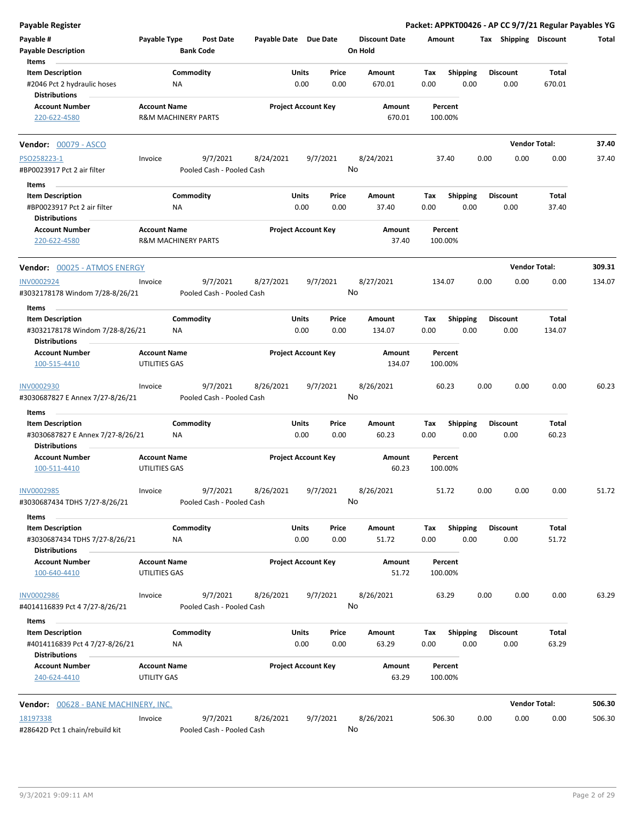| <b>Payable Register</b>                                       |                                      |                                       |                            |               |               |                                 |             |                         |      |                         | Packet: APPKT00426 - AP CC 9/7/21 Regular Payables YG |        |
|---------------------------------------------------------------|--------------------------------------|---------------------------------------|----------------------------|---------------|---------------|---------------------------------|-------------|-------------------------|------|-------------------------|-------------------------------------------------------|--------|
| Payable #<br><b>Payable Description</b>                       | Payable Type                         | Post Date<br><b>Bank Code</b>         | Payable Date Due Date      |               |               | <b>Discount Date</b><br>On Hold | Amount      |                         |      | Tax Shipping Discount   |                                                       | Total  |
| Items                                                         |                                      |                                       |                            |               |               |                                 |             |                         |      |                         |                                                       |        |
| <b>Item Description</b><br>#2046 Pct 2 hydraulic hoses        |                                      | Commodity<br>ΝA                       |                            | Units<br>0.00 | Price<br>0.00 | Amount<br>670.01                | Tax<br>0.00 | <b>Shipping</b><br>0.00 |      | <b>Discount</b><br>0.00 | Total<br>670.01                                       |        |
| <b>Distributions</b><br><b>Account Number</b>                 | <b>Account Name</b>                  |                                       | <b>Project Account Key</b> |               |               | Amount                          |             | Percent                 |      |                         |                                                       |        |
| 220-622-4580                                                  |                                      | <b>R&amp;M MACHINERY PARTS</b>        |                            |               |               | 670.01                          |             | 100.00%                 |      |                         |                                                       |        |
| <b>Vendor: 00079 - ASCO</b>                                   |                                      |                                       |                            |               |               |                                 |             |                         |      |                         | <b>Vendor Total:</b>                                  | 37.40  |
| PSO258223-1                                                   | Invoice                              | 9/7/2021                              | 8/24/2021                  | 9/7/2021      |               | 8/24/2021                       |             | 37.40                   | 0.00 | 0.00                    | 0.00                                                  | 37.40  |
| #BP0023917 Pct 2 air filter                                   |                                      | Pooled Cash - Pooled Cash             |                            |               | No            |                                 |             |                         |      |                         |                                                       |        |
| Items                                                         |                                      |                                       |                            |               |               |                                 |             |                         |      |                         |                                                       |        |
| <b>Item Description</b>                                       |                                      | Commodity                             |                            | Units         | Price         | Amount                          | Tax         | <b>Shipping</b>         |      | <b>Discount</b>         | Total                                                 |        |
| #BP0023917 Pct 2 air filter<br><b>Distributions</b>           |                                      | ΝA                                    |                            | 0.00          | 0.00          | 37.40                           | 0.00        | 0.00                    |      | 0.00                    | 37.40                                                 |        |
| <b>Account Number</b><br>220-622-4580                         | <b>Account Name</b>                  | <b>R&amp;M MACHINERY PARTS</b>        | <b>Project Account Key</b> |               |               | Amount<br>37.40                 |             | Percent<br>100.00%      |      |                         |                                                       |        |
| Vendor: 00025 - ATMOS ENERGY                                  |                                      |                                       |                            |               |               |                                 |             |                         |      |                         | <b>Vendor Total:</b>                                  | 309.31 |
| <b>INV0002924</b>                                             | Invoice                              | 9/7/2021                              | 8/27/2021                  | 9/7/2021      |               | 8/27/2021                       | 134.07      |                         | 0.00 | 0.00                    | 0.00                                                  | 134.07 |
| #3032178178 Windom 7/28-8/26/21                               |                                      | Pooled Cash - Pooled Cash             |                            |               | No            |                                 |             |                         |      |                         |                                                       |        |
| Items                                                         |                                      |                                       |                            |               |               |                                 |             |                         |      |                         |                                                       |        |
| <b>Item Description</b><br>#3032178178 Windom 7/28-8/26/21    |                                      | Commodity<br>NA                       |                            | Units<br>0.00 | Price<br>0.00 | Amount<br>134.07                | Tax<br>0.00 | <b>Shipping</b><br>0.00 |      | <b>Discount</b><br>0.00 | Total<br>134.07                                       |        |
| <b>Distributions</b>                                          |                                      |                                       |                            |               |               |                                 |             |                         |      |                         |                                                       |        |
| <b>Account Number</b><br>100-515-4410                         | <b>Account Name</b><br>UTILITIES GAS |                                       | <b>Project Account Key</b> |               |               | Amount<br>134.07                |             | Percent<br>100.00%      |      |                         |                                                       |        |
| <b>INV0002930</b>                                             | Invoice                              | 9/7/2021                              | 8/26/2021                  | 9/7/2021      | No            | 8/26/2021                       |             | 60.23                   | 0.00 | 0.00                    | 0.00                                                  | 60.23  |
| #3030687827 E Annex 7/27-8/26/21                              |                                      | Pooled Cash - Pooled Cash             |                            |               |               |                                 |             |                         |      |                         |                                                       |        |
| Items<br><b>Item Description</b>                              |                                      |                                       |                            |               |               |                                 |             |                         |      |                         |                                                       |        |
| #3030687827 E Annex 7/27-8/26/21<br><b>Distributions</b>      |                                      | Commodity<br><b>NA</b>                |                            | Units<br>0.00 | Price<br>0.00 | Amount<br>60.23                 | Tax<br>0.00 | <b>Shipping</b><br>0.00 |      | <b>Discount</b><br>0.00 | Total<br>60.23                                        |        |
| <b>Account Number</b><br>100-511-4410                         | <b>Account Name</b><br>UTILITIES GAS |                                       | <b>Project Account Key</b> |               |               | Amount<br>60.23                 |             | Percent<br>100.00%      |      |                         |                                                       |        |
| INV0002985<br>#3030687434 TDHS 7/27-8/26/21                   | Invoice                              | 9/7/2021<br>Pooled Cash - Pooled Cash | 8/26/2021                  | 9/7/2021      | No            | 8/26/2021                       |             | 51.72                   | 0.00 | 0.00                    | 0.00                                                  | 51.72  |
| Items                                                         |                                      |                                       |                            |               |               |                                 |             |                         |      |                         |                                                       |        |
| <b>Item Description</b><br>#3030687434 TDHS 7/27-8/26/21      |                                      | Commodity<br>NA                       |                            | Units<br>0.00 | Price<br>0.00 | Amount<br>51.72                 | Tax<br>0.00 | <b>Shipping</b><br>0.00 |      | <b>Discount</b><br>0.00 | Total<br>51.72                                        |        |
| <b>Distributions</b><br><b>Account Number</b>                 | <b>Account Name</b>                  |                                       | <b>Project Account Key</b> |               |               | Amount                          |             | Percent                 |      |                         |                                                       |        |
| 100-640-4410                                                  | UTILITIES GAS                        |                                       |                            |               |               | 51.72                           |             | 100.00%                 |      |                         |                                                       |        |
| <b>INV0002986</b><br>#4014116839 Pct 4 7/27-8/26/21           | Invoice                              | 9/7/2021<br>Pooled Cash - Pooled Cash | 8/26/2021                  | 9/7/2021      | No            | 8/26/2021                       |             | 63.29                   | 0.00 | 0.00                    | 0.00                                                  | 63.29  |
| Items                                                         |                                      |                                       |                            |               |               |                                 |             |                         |      |                         |                                                       |        |
| <b>Item Description</b><br>#4014116839 Pct 4 7/27-8/26/21     |                                      | Commodity<br>ΝA                       |                            | Units<br>0.00 | Price<br>0.00 | Amount<br>63.29                 | Тах<br>0.00 | <b>Shipping</b><br>0.00 |      | <b>Discount</b><br>0.00 | Total<br>63.29                                        |        |
| <b>Distributions</b><br><b>Account Number</b><br>240-624-4410 | <b>Account Name</b><br>UTILITY GAS   |                                       | <b>Project Account Key</b> |               |               | Amount<br>63.29                 |             | Percent<br>100.00%      |      |                         |                                                       |        |
|                                                               |                                      |                                       |                            |               |               |                                 |             |                         |      |                         |                                                       |        |
| <b>Vendor:</b> 00628 - BANE MACHINERY, INC.                   |                                      |                                       |                            |               |               |                                 |             |                         |      |                         | <b>Vendor Total:</b>                                  | 506.30 |
| 18197338<br>#28642D Pct 1 chain/rebuild kit                   | Invoice                              | 9/7/2021<br>Pooled Cash - Pooled Cash | 8/26/2021                  | 9/7/2021      | No            | 8/26/2021                       | 506.30      |                         | 0.00 | 0.00                    | 0.00                                                  | 506.30 |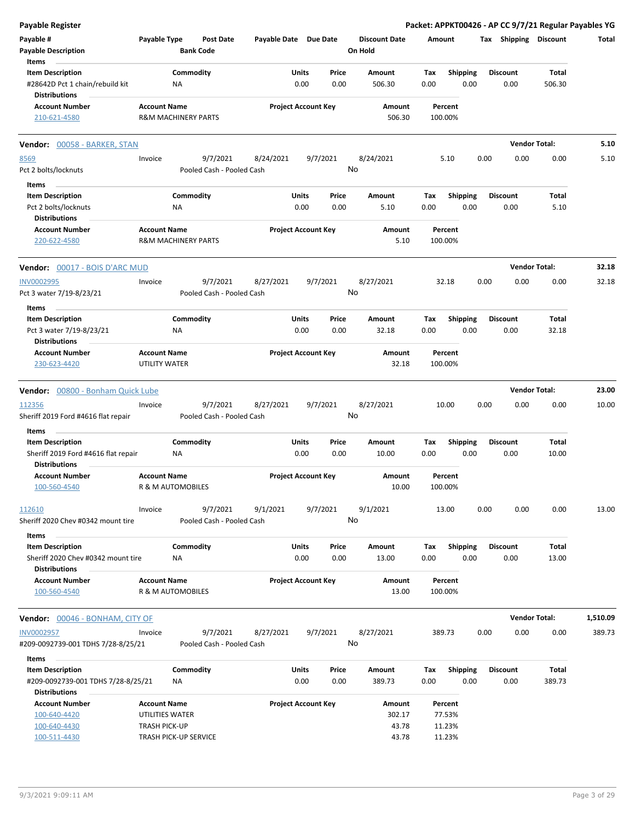| <b>Payable Register</b>                |                       |                                |                           |                       |                            |          |                      |        |                 |      |                       | Packet: APPKT00426 - AP CC 9/7/21 Regular Payables YG |          |
|----------------------------------------|-----------------------|--------------------------------|---------------------------|-----------------------|----------------------------|----------|----------------------|--------|-----------------|------|-----------------------|-------------------------------------------------------|----------|
| Payable #                              | Payable Type          |                                | <b>Post Date</b>          | Payable Date Due Date |                            |          | <b>Discount Date</b> | Amount |                 |      | Tax Shipping Discount |                                                       | Total    |
| <b>Payable Description</b>             |                       | <b>Bank Code</b>               |                           |                       |                            |          | On Hold              |        |                 |      |                       |                                                       |          |
| Items                                  |                       |                                |                           |                       |                            |          |                      |        |                 |      |                       |                                                       |          |
| <b>Item Description</b>                |                       | Commodity                      |                           |                       | Units                      | Price    | Amount               | Tax    | <b>Shipping</b> |      | <b>Discount</b>       | Total                                                 |          |
| #28642D Pct 1 chain/rebuild kit        |                       | ΝA                             |                           |                       | 0.00                       | 0.00     | 506.30               | 0.00   | 0.00            |      | 0.00                  | 506.30                                                |          |
| <b>Distributions</b>                   |                       |                                |                           |                       |                            |          |                      |        |                 |      |                       |                                                       |          |
| <b>Account Number</b>                  | <b>Account Name</b>   |                                |                           |                       | <b>Project Account Key</b> |          | Amount               |        | Percent         |      |                       |                                                       |          |
| 210-621-4580                           |                       | R&M MACHINERY PARTS            |                           |                       |                            |          | 506.30               |        | 100.00%         |      |                       |                                                       |          |
| Vendor: 00058 - BARKER, STAN           |                       |                                |                           |                       |                            |          |                      |        |                 |      |                       | <b>Vendor Total:</b>                                  | 5.10     |
| 8569                                   | Invoice               |                                | 9/7/2021                  | 8/24/2021             |                            | 9/7/2021 | 8/24/2021            |        | 5.10            | 0.00 | 0.00                  | 0.00                                                  | 5.10     |
| Pct 2 bolts/locknuts                   |                       |                                | Pooled Cash - Pooled Cash |                       |                            |          | No                   |        |                 |      |                       |                                                       |          |
|                                        |                       |                                |                           |                       |                            |          |                      |        |                 |      |                       |                                                       |          |
| Items<br><b>Item Description</b>       |                       | Commodity                      |                           |                       | Units                      | Price    | Amount               | Tax    | <b>Shipping</b> |      | <b>Discount</b>       | Total                                                 |          |
| Pct 2 bolts/locknuts                   |                       | ΝA                             |                           |                       | 0.00                       | 0.00     | 5.10                 | 0.00   | 0.00            |      | 0.00                  | 5.10                                                  |          |
| <b>Distributions</b>                   |                       |                                |                           |                       |                            |          |                      |        |                 |      |                       |                                                       |          |
| <b>Account Number</b>                  | <b>Account Name</b>   |                                |                           |                       | <b>Project Account Key</b> |          | Amount               |        | Percent         |      |                       |                                                       |          |
| 220-622-4580                           |                       | <b>R&amp;M MACHINERY PARTS</b> |                           |                       |                            |          | 5.10                 |        | 100.00%         |      |                       |                                                       |          |
| <b>Vendor: 00017 - BOIS D'ARC MUD</b>  |                       |                                |                           |                       |                            |          |                      |        |                 |      |                       | <b>Vendor Total:</b>                                  | 32.18    |
| <b>INV0002995</b>                      | Invoice               |                                | 9/7/2021                  | 8/27/2021             |                            | 9/7/2021 | 8/27/2021            |        | 32.18           | 0.00 | 0.00                  | 0.00                                                  | 32.18    |
| Pct 3 water 7/19-8/23/21               |                       |                                | Pooled Cash - Pooled Cash |                       |                            |          | No                   |        |                 |      |                       |                                                       |          |
| Items                                  |                       |                                |                           |                       |                            |          |                      |        |                 |      |                       |                                                       |          |
| <b>Item Description</b>                |                       | Commodity                      |                           |                       | Units                      | Price    | Amount               | Tax    | <b>Shipping</b> |      | <b>Discount</b>       | Total                                                 |          |
| Pct 3 water 7/19-8/23/21               |                       | ΝA                             |                           |                       | 0.00                       | 0.00     | 32.18                | 0.00   | 0.00            |      | 0.00                  | 32.18                                                 |          |
| <b>Distributions</b>                   |                       |                                |                           |                       |                            |          |                      |        |                 |      |                       |                                                       |          |
| <b>Account Number</b>                  | <b>Account Name</b>   |                                |                           |                       | <b>Project Account Key</b> |          | Amount               |        | Percent         |      |                       |                                                       |          |
| 230-623-4420                           | UTILITY WATER         |                                |                           |                       |                            |          | 32.18                |        | 100.00%         |      |                       |                                                       |          |
| Vendor: 00800 - Bonham Quick Lube      |                       |                                |                           |                       |                            |          |                      |        |                 |      |                       | <b>Vendor Total:</b>                                  | 23.00    |
| 112356                                 | Invoice               |                                | 9/7/2021                  | 8/27/2021             |                            | 9/7/2021 | 8/27/2021            |        | 10.00           | 0.00 | 0.00                  | 0.00                                                  | 10.00    |
| Sheriff 2019 Ford #4616 flat repair    |                       |                                | Pooled Cash - Pooled Cash |                       |                            |          | No                   |        |                 |      |                       |                                                       |          |
| Items                                  |                       |                                |                           |                       |                            |          |                      |        |                 |      |                       |                                                       |          |
| <b>Item Description</b>                |                       | Commodity                      |                           |                       | Units                      | Price    | Amount               | Tax    | <b>Shipping</b> |      | <b>Discount</b>       | Total                                                 |          |
| Sheriff 2019 Ford #4616 flat repair    |                       | ΝA                             |                           |                       | 0.00                       | 0.00     | 10.00                | 0.00   | 0.00            |      | 0.00                  | 10.00                                                 |          |
| <b>Distributions</b>                   |                       |                                |                           |                       |                            |          |                      |        |                 |      |                       |                                                       |          |
| <b>Account Number</b>                  | <b>Account Name</b>   |                                |                           |                       | <b>Project Account Key</b> |          | Amount               |        | Percent         |      |                       |                                                       |          |
| 100-560-4540                           |                       | R & M AUTOMOBILES              |                           |                       |                            |          | 10.00                |        | 100.00%         |      |                       |                                                       |          |
| 112610                                 | Invoice               |                                | 9/7/2021                  | 9/1/2021              |                            | 9/7/2021 | 9/1/2021             |        | 13.00           | 0.00 | 0.00                  | 0.00                                                  | 13.00    |
| Sheriff 2020 Chev #0342 mount tire     |                       |                                | Pooled Cash - Pooled Cash |                       |                            |          | No                   |        |                 |      |                       |                                                       |          |
| Items                                  |                       |                                |                           |                       |                            |          |                      |        |                 |      |                       |                                                       |          |
| <b>Item Description</b>                |                       | Commodity                      |                           |                       | Units                      | Price    | Amount               | Tax    | <b>Shipping</b> |      | <b>Discount</b>       | Total                                                 |          |
| Sheriff 2020 Chev #0342 mount tire     |                       | NA                             |                           |                       | 0.00                       | 0.00     | 13.00                | 0.00   | 0.00            |      | 0.00                  | 13.00                                                 |          |
| <b>Distributions</b>                   |                       |                                |                           |                       |                            |          |                      |        |                 |      |                       |                                                       |          |
| <b>Account Number</b>                  | <b>Account Name</b>   |                                |                           |                       | <b>Project Account Key</b> |          | Amount               |        | Percent         |      |                       |                                                       |          |
| 100-560-4540                           |                       | R & M AUTOMOBILES              |                           |                       |                            |          | 13.00                |        | 100.00%         |      |                       |                                                       |          |
| <b>Vendor:</b> 00046 - BONHAM, CITY OF |                       |                                |                           |                       |                            |          |                      |        |                 |      |                       | <b>Vendor Total:</b>                                  | 1,510.09 |
| <b>INV0002957</b>                      | Invoice               |                                | 9/7/2021                  | 8/27/2021             |                            | 9/7/2021 | 8/27/2021            |        | 389.73          | 0.00 | 0.00                  | 0.00                                                  | 389.73   |
| #209-0092739-001 TDHS 7/28-8/25/21     |                       |                                | Pooled Cash - Pooled Cash |                       |                            |          | No                   |        |                 |      |                       |                                                       |          |
| Items                                  |                       |                                |                           |                       |                            |          |                      |        |                 |      |                       |                                                       |          |
| <b>Item Description</b>                |                       | Commodity                      |                           |                       | Units                      | Price    | Amount               | Tax    | <b>Shipping</b> |      | <b>Discount</b>       | Total                                                 |          |
| #209-0092739-001 TDHS 7/28-8/25/21     |                       | ΝA                             |                           |                       | 0.00                       | 0.00     | 389.73               | 0.00   | 0.00            |      | 0.00                  | 389.73                                                |          |
| <b>Distributions</b>                   |                       |                                |                           |                       |                            |          |                      |        |                 |      |                       |                                                       |          |
| <b>Account Number</b>                  | <b>Account Name</b>   |                                |                           |                       | <b>Project Account Key</b> |          | Amount               |        | Percent         |      |                       |                                                       |          |
| 100-640-4420                           | UTILITIES WATER       |                                |                           |                       |                            |          | 302.17               |        | 77.53%          |      |                       |                                                       |          |
| 100-640-4430                           | <b>TRASH PICK-UP</b>  |                                |                           |                       |                            |          | 43.78                |        | 11.23%          |      |                       |                                                       |          |
| 100-511-4430                           | TRASH PICK-UP SERVICE |                                |                           |                       |                            |          | 43.78                |        | 11.23%          |      |                       |                                                       |          |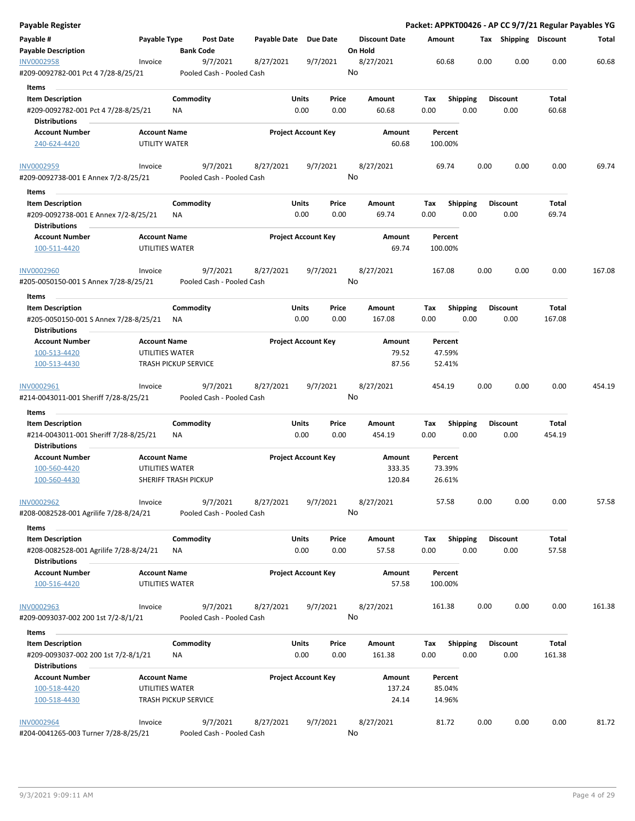| Payable Register                                                                        |                                             |                  |                                       |                       |               |                            |                                 |             |                    |      |      |                         |                 | Packet: APPKT00426 - AP CC 9/7/21 Regular Payables YG |
|-----------------------------------------------------------------------------------------|---------------------------------------------|------------------|---------------------------------------|-----------------------|---------------|----------------------------|---------------------------------|-------------|--------------------|------|------|-------------------------|-----------------|-------------------------------------------------------|
| Payable #<br><b>Payable Description</b>                                                 | Payable Type                                | <b>Bank Code</b> | <b>Post Date</b>                      | Payable Date Due Date |               |                            | <b>Discount Date</b><br>On Hold | Amount      |                    |      |      | Tax Shipping Discount   |                 | Total                                                 |
| INV0002958<br>#209-0092782-001 Pct 4 7/28-8/25/21                                       | Invoice                                     |                  | 9/7/2021<br>Pooled Cash - Pooled Cash | 8/27/2021             |               | 9/7/2021                   | 8/27/2021<br>No                 |             | 60.68              |      | 0.00 | 0.00                    | 0.00            | 60.68                                                 |
| Items                                                                                   |                                             |                  |                                       |                       |               |                            |                                 |             |                    |      |      |                         |                 |                                                       |
| <b>Item Description</b><br>#209-0092782-001 Pct 4 7/28-8/25/21                          |                                             | Commodity<br>ΝA  |                                       |                       | Units<br>0.00 | Price<br>0.00              | Amount<br>60.68                 | Tax<br>0.00 | <b>Shipping</b>    | 0.00 |      | <b>Discount</b><br>0.00 | Total<br>60.68  |                                                       |
| <b>Distributions</b>                                                                    |                                             |                  |                                       |                       |               |                            |                                 |             |                    |      |      |                         |                 |                                                       |
| <b>Account Number</b><br>240-624-4420                                                   | <b>Account Name</b><br><b>UTILITY WATER</b> |                  |                                       |                       |               | <b>Project Account Key</b> | Amount<br>60.68                 |             | Percent<br>100.00% |      |      |                         |                 |                                                       |
| <b>INV0002959</b>                                                                       | Invoice                                     |                  | 9/7/2021                              | 8/27/2021             |               | 9/7/2021                   | 8/27/2021                       |             | 69.74              |      | 0.00 | 0.00                    | 0.00            | 69.74                                                 |
| #209-0092738-001 E Annex 7/2-8/25/21                                                    |                                             |                  | Pooled Cash - Pooled Cash             |                       |               |                            | No                              |             |                    |      |      |                         |                 |                                                       |
| Items                                                                                   |                                             |                  |                                       |                       |               |                            |                                 |             |                    |      |      |                         |                 |                                                       |
| <b>Item Description</b><br>#209-0092738-001 E Annex 7/2-8/25/21<br><b>Distributions</b> |                                             | Commodity<br>NA  |                                       |                       | Units<br>0.00 | Price<br>0.00              | Amount<br>69.74                 | Tax<br>0.00 | Shipping           | 0.00 |      | <b>Discount</b><br>0.00 | Total<br>69.74  |                                                       |
| <b>Account Number</b><br>100-511-4420                                                   | <b>Account Name</b><br>UTILITIES WATER      |                  |                                       |                       |               | <b>Project Account Key</b> | Amount<br>69.74                 |             | Percent<br>100.00% |      |      |                         |                 |                                                       |
| <b>INV0002960</b><br>#205-0050150-001 S Annex 7/28-8/25/21                              | Invoice                                     |                  | 9/7/2021<br>Pooled Cash - Pooled Cash | 8/27/2021             |               | 9/7/2021                   | 8/27/2021<br>No                 |             | 167.08             |      | 0.00 | 0.00                    | 0.00            | 167.08                                                |
|                                                                                         |                                             |                  |                                       |                       |               |                            |                                 |             |                    |      |      |                         |                 |                                                       |
| Items                                                                                   |                                             |                  |                                       |                       |               |                            |                                 |             |                    |      |      |                         |                 |                                                       |
| <b>Item Description</b><br>#205-0050150-001 S Annex 7/28-8/25/21                        |                                             | Commodity<br>ΝA  |                                       |                       | Units<br>0.00 | Price<br>0.00              | Amount<br>167.08                | Tax<br>0.00 | <b>Shipping</b>    | 0.00 |      | <b>Discount</b><br>0.00 | Total<br>167.08 |                                                       |
| <b>Distributions</b>                                                                    |                                             |                  |                                       |                       |               |                            |                                 |             |                    |      |      |                         |                 |                                                       |
| <b>Account Number</b>                                                                   | <b>Account Name</b>                         |                  |                                       |                       |               | <b>Project Account Key</b> | Amount                          |             | Percent            |      |      |                         |                 |                                                       |
| 100-513-4420                                                                            | UTILITIES WATER                             |                  |                                       |                       |               |                            | 79.52                           |             | 47.59%             |      |      |                         |                 |                                                       |
| 100-513-4430                                                                            | <b>TRASH PICKUP SERVICE</b>                 |                  |                                       |                       |               |                            | 87.56                           |             | 52.41%             |      |      |                         |                 |                                                       |
| INV0002961<br>#214-0043011-001 Sheriff 7/28-8/25/21                                     | Invoice                                     |                  | 9/7/2021<br>Pooled Cash - Pooled Cash | 8/27/2021             |               | 9/7/2021                   | 8/27/2021<br>No                 |             | 454.19             |      | 0.00 | 0.00                    | 0.00            | 454.19                                                |
| Items                                                                                   |                                             |                  |                                       |                       |               |                            |                                 |             |                    |      |      |                         |                 |                                                       |
| <b>Item Description</b>                                                                 |                                             | Commodity        |                                       |                       | Units         | Price                      | Amount                          | Tax         | <b>Shipping</b>    |      |      | <b>Discount</b>         | Total           |                                                       |
| #214-0043011-001 Sheriff 7/28-8/25/21<br><b>Distributions</b>                           |                                             | ΝA               |                                       |                       | 0.00          | 0.00                       | 454.19                          | 0.00        |                    | 0.00 |      | 0.00                    | 454.19          |                                                       |
| <b>Account Number</b>                                                                   | <b>Account Name</b>                         |                  |                                       |                       |               | <b>Project Account Key</b> | Amount                          |             | Percent            |      |      |                         |                 |                                                       |
| 100-560-4420                                                                            | UTILITIES WATER                             |                  |                                       |                       |               |                            | 333.35                          |             | 73.39%             |      |      |                         |                 |                                                       |
| 100-560-4430                                                                            | <b>SHERIFF TRASH PICKUP</b>                 |                  |                                       |                       |               |                            | 120.84                          |             | 26.61%             |      |      |                         |                 |                                                       |
| <b>INV0002962</b>                                                                       | Invoice                                     |                  | 9/7/2021                              | 8/27/2021             |               | 9/7/2021                   | 8/27/2021<br>No                 |             | 57.58              |      | 0.00 | 0.00                    | 0.00            | 57.58                                                 |
| #208-0082528-001 Agrilife 7/28-8/24/21<br>Items                                         |                                             |                  | Pooled Cash - Pooled Cash             |                       |               |                            |                                 |             |                    |      |      |                         |                 |                                                       |
| <b>Item Description</b>                                                                 |                                             | Commodity        |                                       |                       | Units         | Price                      | Amount                          | Tax         | Shipping           |      |      | <b>Discount</b>         | Total           |                                                       |
| #208-0082528-001 Agrilife 7/28-8/24/21<br><b>Distributions</b>                          |                                             | ΝA               |                                       |                       | 0.00          | 0.00                       | 57.58                           | 0.00        |                    | 0.00 |      | 0.00                    | 57.58           |                                                       |
| <b>Account Number</b><br>100-516-4420                                                   | <b>Account Name</b><br>UTILITIES WATER      |                  |                                       |                       |               | <b>Project Account Key</b> | Amount<br>57.58                 |             | Percent<br>100.00% |      |      |                         |                 |                                                       |
|                                                                                         |                                             |                  |                                       |                       |               |                            |                                 |             |                    |      |      |                         |                 |                                                       |
| <b>INV0002963</b><br>#209-0093037-002 200 1st 7/2-8/1/21                                | Invoice                                     |                  | 9/7/2021<br>Pooled Cash - Pooled Cash | 8/27/2021             |               | 9/7/2021                   | 8/27/2021<br>No                 |             | 161.38             |      | 0.00 | 0.00                    | 0.00            | 161.38                                                |
| Items                                                                                   |                                             |                  |                                       |                       |               |                            |                                 |             |                    |      |      |                         |                 |                                                       |
| <b>Item Description</b>                                                                 |                                             | Commodity        |                                       |                       | Units         | Price                      | Amount                          | Tax         | <b>Shipping</b>    |      |      | <b>Discount</b>         | Total           |                                                       |
| #209-0093037-002 200 1st 7/2-8/1/21<br><b>Distributions</b>                             |                                             | ΝA               |                                       |                       | 0.00          | 0.00                       | 161.38                          | 0.00        |                    | 0.00 |      | 0.00                    | 161.38          |                                                       |
| <b>Account Number</b>                                                                   | <b>Account Name</b>                         |                  |                                       |                       |               | <b>Project Account Key</b> | Amount                          |             | Percent            |      |      |                         |                 |                                                       |
| 100-518-4420                                                                            | UTILITIES WATER                             |                  |                                       |                       |               |                            | 137.24                          |             | 85.04%             |      |      |                         |                 |                                                       |
| 100-518-4430                                                                            | <b>TRASH PICKUP SERVICE</b>                 |                  |                                       |                       |               |                            | 24.14                           |             | 14.96%             |      |      |                         |                 |                                                       |
| <b>INV0002964</b>                                                                       | Invoice                                     |                  | 9/7/2021                              | 8/27/2021             |               | 9/7/2021                   | 8/27/2021                       |             | 81.72              |      | 0.00 | 0.00                    | 0.00            | 81.72                                                 |
| #204-0041265-003 Turner 7/28-8/25/21                                                    |                                             |                  | Pooled Cash - Pooled Cash             |                       |               |                            | No                              |             |                    |      |      |                         |                 |                                                       |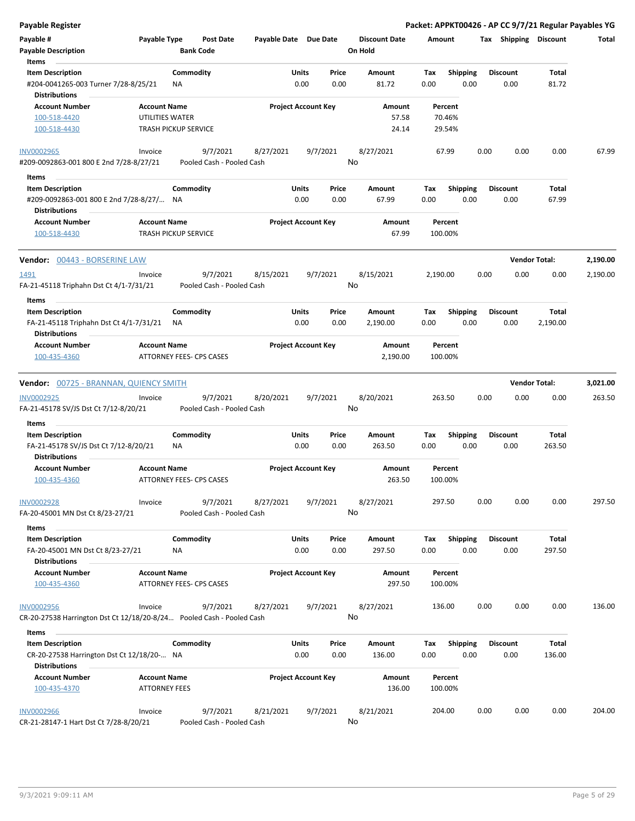| Payable Register                                                                           |                                      |                                       |                       |                            |                      | Packet: APPKT00426 - AP CC 9/7/21 Regular Payables YG |      |                         |                      |          |
|--------------------------------------------------------------------------------------------|--------------------------------------|---------------------------------------|-----------------------|----------------------------|----------------------|-------------------------------------------------------|------|-------------------------|----------------------|----------|
| Payable #                                                                                  | Payable Type                         | <b>Post Date</b>                      | Payable Date Due Date |                            | <b>Discount Date</b> | Amount                                                |      | Tax Shipping Discount   |                      | Total    |
| <b>Payable Description</b>                                                                 |                                      | <b>Bank Code</b>                      |                       |                            | On Hold              |                                                       |      |                         |                      |          |
| Items                                                                                      |                                      |                                       |                       |                            |                      |                                                       |      |                         |                      |          |
| <b>Item Description</b>                                                                    |                                      | Commodity                             | Units                 | Price                      | Amount               | <b>Shipping</b><br>Tax                                |      | <b>Discount</b>         | Total                |          |
| #204-0041265-003 Turner 7/28-8/25/21<br><b>Distributions</b>                               |                                      | ΝA                                    |                       | 0.00<br>0.00               | 81.72                | 0.00                                                  | 0.00 | 0.00                    | 81.72                |          |
| <b>Account Number</b>                                                                      | <b>Account Name</b>                  |                                       |                       | <b>Project Account Key</b> | Amount               | Percent                                               |      |                         |                      |          |
| 100-518-4420<br>100-518-4430                                                               | UTILITIES WATER                      | <b>TRASH PICKUP SERVICE</b>           |                       |                            | 57.58<br>24.14       | 70.46%<br>29.54%                                      |      |                         |                      |          |
| <b>INV0002965</b>                                                                          | Invoice                              | 9/7/2021                              | 8/27/2021             | 9/7/2021                   | 8/27/2021            | 67.99                                                 | 0.00 | 0.00                    | 0.00                 | 67.99    |
| #209-0092863-001 800 E 2nd 7/28-8/27/21                                                    |                                      | Pooled Cash - Pooled Cash             |                       |                            | No                   |                                                       |      |                         |                      |          |
| Items                                                                                      |                                      |                                       |                       |                            |                      |                                                       |      |                         |                      |          |
| <b>Item Description</b>                                                                    |                                      | Commodity                             | Units                 | Price                      | Amount               | Tax<br><b>Shipping</b>                                |      | <b>Discount</b>         | Total                |          |
| #209-0092863-001 800 E 2nd 7/28-8/27/ NA<br><b>Distributions</b>                           |                                      |                                       |                       | 0.00<br>0.00               | 67.99                | 0.00                                                  | 0.00 | 0.00                    | 67.99                |          |
| <b>Account Number</b>                                                                      | <b>Account Name</b>                  |                                       |                       | <b>Project Account Key</b> | Amount               | Percent                                               |      |                         |                      |          |
| 100-518-4430                                                                               |                                      | <b>TRASH PICKUP SERVICE</b>           |                       |                            | 67.99                | 100.00%                                               |      |                         |                      |          |
| Vendor: 00443 - BORSERINE LAW                                                              |                                      |                                       |                       |                            |                      |                                                       |      |                         | <b>Vendor Total:</b> | 2,190.00 |
| 1491                                                                                       | Invoice                              | 9/7/2021                              | 8/15/2021             | 9/7/2021                   | 8/15/2021            | 2,190.00                                              | 0.00 | 0.00                    | 0.00                 | 2,190.00 |
| FA-21-45118 Triphahn Dst Ct 4/1-7/31/21                                                    |                                      | Pooled Cash - Pooled Cash             |                       |                            | No                   |                                                       |      |                         |                      |          |
| Items                                                                                      |                                      |                                       |                       |                            |                      |                                                       |      |                         |                      |          |
| <b>Item Description</b>                                                                    |                                      | Commodity                             | Units                 | Price                      | Amount               | Tax<br><b>Shipping</b>                                |      | <b>Discount</b>         | Total                |          |
| FA-21-45118 Triphahn Dst Ct 4/1-7/31/21<br><b>Distributions</b>                            |                                      | ΝA                                    |                       | 0.00<br>0.00               | 2,190.00             | 0.00                                                  | 0.00 | 0.00                    | 2,190.00             |          |
| <b>Account Number</b>                                                                      | <b>Account Name</b>                  |                                       |                       | <b>Project Account Key</b> | Amount               | Percent                                               |      |                         |                      |          |
| 100-435-4360                                                                               |                                      | ATTORNEY FEES- CPS CASES              |                       |                            | 2,190.00             | 100.00%                                               |      |                         |                      |          |
| Vendor: 00725 - BRANNAN, QUIENCY SMITH                                                     |                                      |                                       |                       |                            |                      |                                                       |      |                         | <b>Vendor Total:</b> | 3,021.00 |
| INV0002925<br>FA-21-45178 SV/JS Dst Ct 7/12-8/20/21                                        | Invoice                              | 9/7/2021<br>Pooled Cash - Pooled Cash | 8/20/2021             | 9/7/2021                   | 8/20/2021<br>No      | 263.50                                                | 0.00 | 0.00                    | 0.00                 | 263.50   |
| Items                                                                                      |                                      |                                       |                       |                            |                      |                                                       |      |                         |                      |          |
| <b>Item Description</b><br>FA-21-45178 SV/JS Dst Ct 7/12-8/20/21                           |                                      | Commodity<br>NA                       | Units                 | Price<br>0.00<br>0.00      | Amount<br>263.50     | <b>Shipping</b><br>Tax<br>0.00                        | 0.00 | <b>Discount</b><br>0.00 | Total<br>263.50      |          |
| <b>Distributions</b><br><b>Account Number</b>                                              | <b>Account Name</b>                  |                                       |                       | <b>Project Account Key</b> | Amount               | Percent                                               |      |                         |                      |          |
| 100-435-4360                                                                               |                                      | ATTORNEY FEES- CPS CASES              |                       |                            | 263.50               | 100.00%                                               |      |                         |                      |          |
| <b>INV0002928</b><br>FA-20-45001 MN Dst Ct 8/23-27/21                                      | Invoice                              | 9/7/2021<br>Pooled Cash - Pooled Cash | 8/27/2021             | 9/7/2021                   | 8/27/2021<br>No      | 297.50                                                | 0.00 | 0.00                    | 0.00                 | 297.50   |
| Items                                                                                      |                                      |                                       |                       |                            |                      |                                                       |      |                         |                      |          |
| <b>Item Description</b><br>FA-20-45001 MN Dst Ct 8/23-27/21                                |                                      | Commodity<br>ΝA                       | Units                 | Price<br>0.00<br>0.00      | Amount<br>297.50     | <b>Shipping</b><br>Tax<br>0.00                        | 0.00 | <b>Discount</b><br>0.00 | Total<br>297.50      |          |
| <b>Distributions</b>                                                                       |                                      |                                       |                       |                            |                      |                                                       |      |                         |                      |          |
| <b>Account Number</b><br>100-435-4360                                                      | <b>Account Name</b>                  | ATTORNEY FEES- CPS CASES              |                       | <b>Project Account Key</b> | Amount<br>297.50     | Percent<br>100.00%                                    |      |                         |                      |          |
|                                                                                            |                                      |                                       |                       |                            |                      |                                                       |      |                         |                      |          |
| <b>INV0002956</b><br>CR-20-27538 Harrington Dst Ct 12/18/20-8/24 Pooled Cash - Pooled Cash | Invoice                              | 9/7/2021                              | 8/27/2021             | 9/7/2021                   | 8/27/2021<br>No      | 136.00                                                | 0.00 | 0.00                    | 0.00                 | 136.00   |
| Items                                                                                      |                                      |                                       |                       |                            |                      |                                                       |      |                         |                      |          |
| <b>Item Description</b>                                                                    |                                      | Commodity                             | Units                 | Price                      | Amount               | Tax<br><b>Shipping</b>                                |      | <b>Discount</b>         | Total                |          |
| CR-20-27538 Harrington Dst Ct 12/18/20- NA                                                 |                                      |                                       |                       | 0.00<br>0.00               | 136.00               | 0.00                                                  | 0.00 | 0.00                    | 136.00               |          |
| <b>Distributions</b>                                                                       |                                      |                                       |                       |                            |                      |                                                       |      |                         |                      |          |
| <b>Account Number</b><br>100-435-4370                                                      | <b>Account Name</b><br>ATTORNEY FEES |                                       |                       | <b>Project Account Key</b> | Amount<br>136.00     | Percent<br>100.00%                                    |      |                         |                      |          |
| <b>INV0002966</b>                                                                          | Invoice                              | 9/7/2021                              | 8/21/2021             | 9/7/2021                   | 8/21/2021            | 204.00                                                | 0.00 | 0.00                    | 0.00                 | 204.00   |
| CR-21-28147-1 Hart Dst Ct 7/28-8/20/21                                                     |                                      | Pooled Cash - Pooled Cash             |                       |                            | No                   |                                                       |      |                         |                      |          |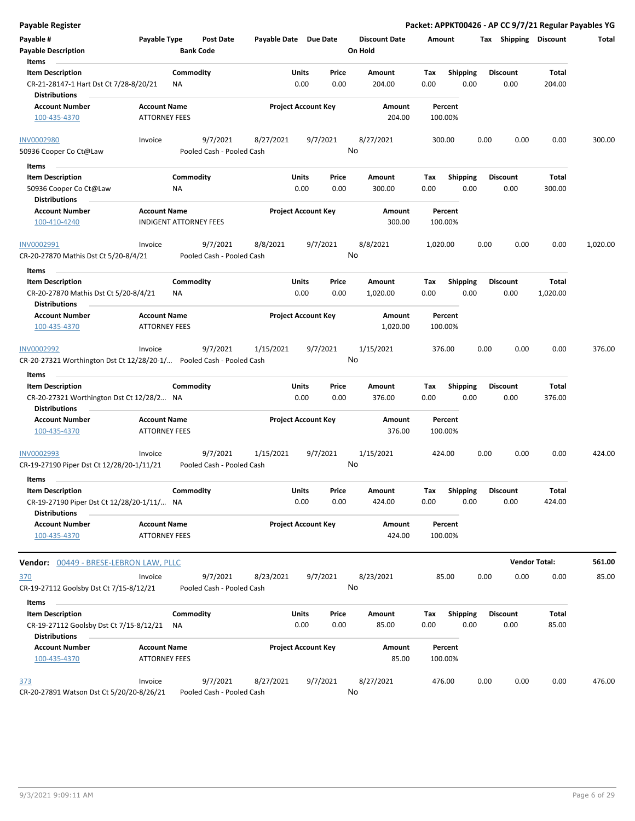| Payable Register                                                                              |                                             |                                       |                       |                            |               |                                 |                    |                         |      |                         |                 | Packet: APPKT00426 - AP CC 9/7/21 Regular Payables YG |
|-----------------------------------------------------------------------------------------------|---------------------------------------------|---------------------------------------|-----------------------|----------------------------|---------------|---------------------------------|--------------------|-------------------------|------|-------------------------|-----------------|-------------------------------------------------------|
| Payable #<br><b>Payable Description</b>                                                       | Payable Type                                | <b>Post Date</b><br><b>Bank Code</b>  | Payable Date Due Date |                            |               | <b>Discount Date</b><br>On Hold | Amount             |                         |      | Tax Shipping Discount   |                 | Total                                                 |
| Items                                                                                         |                                             |                                       |                       |                            |               |                                 |                    |                         |      |                         |                 |                                                       |
| <b>Item Description</b>                                                                       |                                             | Commodity                             |                       | Units                      | Price         | Amount                          | Tax                | <b>Shipping</b>         |      | <b>Discount</b>         | <b>Total</b>    |                                                       |
| CR-21-28147-1 Hart Dst Ct 7/28-8/20/21<br><b>Distributions</b>                                |                                             | ΝA                                    |                       | 0.00                       | 0.00          | 204.00                          | 0.00               | 0.00                    |      | 0.00                    | 204.00          |                                                       |
| <b>Account Number</b>                                                                         | <b>Account Name</b>                         |                                       |                       | <b>Project Account Key</b> |               | Amount                          | Percent            |                         |      |                         |                 |                                                       |
| 100-435-4370                                                                                  | <b>ATTORNEY FEES</b>                        |                                       |                       |                            |               | 204.00                          | 100.00%            |                         |      |                         |                 |                                                       |
| <b>INV0002980</b>                                                                             | Invoice                                     | 9/7/2021                              | 8/27/2021             | 9/7/2021                   |               | 8/27/2021                       | 300.00             |                         | 0.00 | 0.00                    | 0.00            | 300.00                                                |
| 50936 Cooper Co Ct@Law                                                                        |                                             | Pooled Cash - Pooled Cash             |                       |                            |               | No                              |                    |                         |      |                         |                 |                                                       |
| Items                                                                                         |                                             |                                       |                       |                            |               |                                 |                    |                         |      |                         |                 |                                                       |
| <b>Item Description</b><br>50936 Cooper Co Ct@Law<br>Distributions                            |                                             | Commodity<br><b>NA</b>                |                       | Units<br>0.00              | Price<br>0.00 | Amount<br>300.00                | Tax<br>0.00        | <b>Shipping</b><br>0.00 |      | <b>Discount</b><br>0.00 | Total<br>300.00 |                                                       |
| <b>Account Number</b><br>100-410-4240                                                         | <b>Account Name</b>                         | <b>INDIGENT ATTORNEY FEES</b>         |                       | <b>Project Account Key</b> |               | Amount<br>300.00                | Percent<br>100.00% |                         |      |                         |                 |                                                       |
| INV0002991<br>CR-20-27870 Mathis Dst Ct 5/20-8/4/21                                           | Invoice                                     | 9/7/2021<br>Pooled Cash - Pooled Cash | 8/8/2021              | 9/7/2021                   |               | 8/8/2021<br>No                  | 1,020.00           |                         | 0.00 | 0.00                    | 0.00            | 1,020.00                                              |
| Items                                                                                         |                                             |                                       |                       |                            |               |                                 |                    |                         |      |                         |                 |                                                       |
| <b>Item Description</b>                                                                       |                                             | Commodity                             |                       | Units                      | Price         | Amount                          | Tax                | <b>Shipping</b>         |      | <b>Discount</b>         | Total           |                                                       |
| CR-20-27870 Mathis Dst Ct 5/20-8/4/21<br><b>Distributions</b>                                 |                                             | ΝA                                    |                       | 0.00                       | 0.00          | 1,020.00                        | 0.00               | 0.00                    |      | 0.00                    | 1,020.00        |                                                       |
| <b>Account Number</b>                                                                         | <b>Account Name</b>                         |                                       |                       | <b>Project Account Key</b> |               | Amount                          | Percent            |                         |      |                         |                 |                                                       |
| 100-435-4370                                                                                  | <b>ATTORNEY FEES</b>                        |                                       |                       |                            |               | 1,020.00                        | 100.00%            |                         |      |                         |                 |                                                       |
| INV0002992                                                                                    | Invoice                                     | 9/7/2021                              | 1/15/2021             | 9/7/2021                   |               | 1/15/2021<br>No                 | 376.00             |                         | 0.00 | 0.00                    | 0.00            | 376.00                                                |
| CR-20-27321 Worthington Dst Ct 12/28/20-1/ Pooled Cash - Pooled Cash                          |                                             |                                       |                       |                            |               |                                 |                    |                         |      |                         |                 |                                                       |
| Items                                                                                         |                                             |                                       |                       |                            |               |                                 |                    |                         |      |                         |                 |                                                       |
| <b>Item Description</b>                                                                       |                                             | Commodity                             |                       | Units                      | Price         | Amount                          | Tax                | <b>Shipping</b>         |      | <b>Discount</b>         | Total           |                                                       |
| CR-20-27321 Worthington Dst Ct 12/28/2 NA<br><b>Distributions</b>                             |                                             |                                       |                       | 0.00                       | 0.00          | 376.00                          | 0.00               | 0.00                    |      | 0.00                    | 376.00          |                                                       |
| <b>Account Number</b><br>100-435-4370                                                         | <b>Account Name</b><br><b>ATTORNEY FEES</b> |                                       |                       | <b>Project Account Key</b> |               | Amount<br>376.00                | Percent<br>100.00% |                         |      |                         |                 |                                                       |
| <b>INV0002993</b><br>CR-19-27190 Piper Dst Ct 12/28/20-1/11/21                                | Invoice                                     | 9/7/2021<br>Pooled Cash - Pooled Cash | 1/15/2021             | 9/7/2021                   |               | 1/15/2021<br>No                 | 424.00             |                         | 0.00 | 0.00                    | 0.00            | 424.00                                                |
|                                                                                               |                                             |                                       |                       |                            |               |                                 |                    |                         |      |                         |                 |                                                       |
| Items                                                                                         |                                             |                                       |                       |                            |               |                                 |                    |                         |      |                         |                 |                                                       |
| <b>Item Description</b><br>CR-19-27190 Piper Dst Ct 12/28/20-1/11/ NA<br><b>Distributions</b> |                                             | Commodity                             |                       | Units<br>0.00              | Price<br>0.00 | Amount<br>424.00                | Tax<br>0.00        | Shipping<br>0.00        |      | <b>Discount</b><br>0.00 | Total<br>424.00 |                                                       |
| <b>Account Number</b>                                                                         | <b>Account Name</b>                         |                                       |                       | <b>Project Account Key</b> |               | Amount                          | Percent            |                         |      |                         |                 |                                                       |
| 100-435-4370                                                                                  | <b>ATTORNEY FEES</b>                        |                                       |                       |                            |               | 424.00                          | 100.00%            |                         |      |                         |                 |                                                       |
| Vendor: 00449 - BRESE-LEBRON LAW, PLLC                                                        |                                             |                                       |                       |                            |               |                                 |                    |                         |      | <b>Vendor Total:</b>    |                 | 561.00                                                |
| 370                                                                                           | Invoice                                     | 9/7/2021                              | 8/23/2021             | 9/7/2021                   |               | 8/23/2021                       | 85.00              |                         | 0.00 | 0.00                    | 0.00            | 85.00                                                 |
| CR-19-27112 Goolsby Dst Ct 7/15-8/12/21                                                       |                                             | Pooled Cash - Pooled Cash             |                       |                            |               | No                              |                    |                         |      |                         |                 |                                                       |
| Items                                                                                         |                                             |                                       |                       |                            |               |                                 |                    |                         |      |                         |                 |                                                       |
| <b>Item Description</b>                                                                       |                                             | Commodity                             |                       | Units                      | Price         | Amount                          | Tax                | <b>Shipping</b>         |      | <b>Discount</b>         | Total           |                                                       |
| CR-19-27112 Goolsby Dst Ct 7/15-8/12/21<br><b>Distributions</b>                               |                                             | ΝA                                    |                       | 0.00                       | 0.00          | 85.00                           | 0.00               | 0.00                    |      | 0.00                    | 85.00           |                                                       |
| <b>Account Number</b>                                                                         | <b>Account Name</b>                         |                                       |                       | <b>Project Account Key</b> |               | Amount                          | Percent            |                         |      |                         |                 |                                                       |
| 100-435-4370                                                                                  | <b>ATTORNEY FEES</b>                        |                                       |                       |                            |               | 85.00                           | 100.00%            |                         |      |                         |                 |                                                       |
| <u>373</u>                                                                                    | Invoice                                     | 9/7/2021                              | 8/27/2021             | 9/7/2021                   |               | 8/27/2021                       | 476.00             |                         | 0.00 | 0.00                    | 0.00            | 476.00                                                |
| CR-20-27891 Watson Dst Ct 5/20/20-8/26/21                                                     |                                             | Pooled Cash - Pooled Cash             |                       |                            |               | No                              |                    |                         |      |                         |                 |                                                       |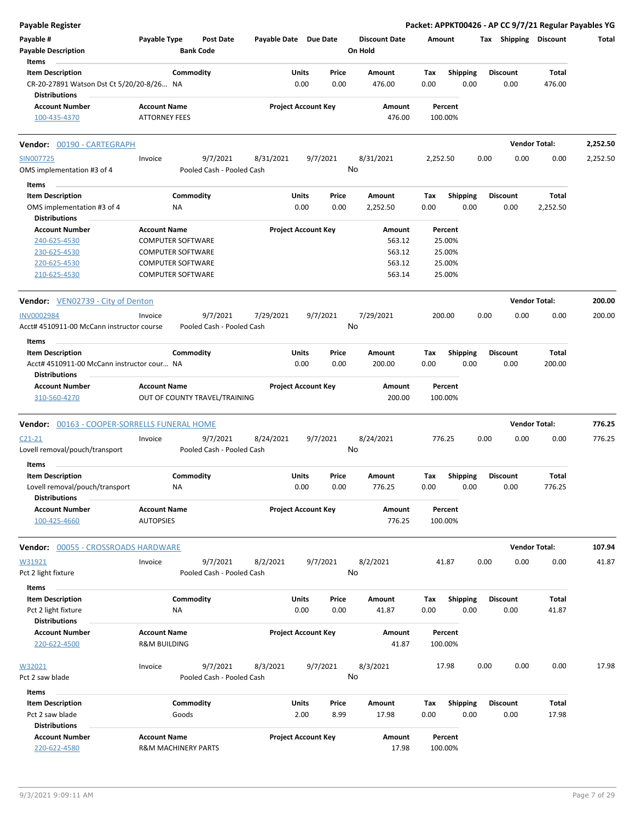| <b>Payable Register</b>                                           |                                |                           |                       |                            |                      |          |                 |      |                       | Packet: APPKT00426 - AP CC 9/7/21 Regular Payables YG |          |
|-------------------------------------------------------------------|--------------------------------|---------------------------|-----------------------|----------------------------|----------------------|----------|-----------------|------|-----------------------|-------------------------------------------------------|----------|
| Payable #                                                         | Payable Type                   | <b>Post Date</b>          | Payable Date Due Date |                            | <b>Discount Date</b> | Amount   |                 |      | Tax Shipping Discount |                                                       | Total    |
| <b>Payable Description</b>                                        |                                | <b>Bank Code</b>          |                       |                            | On Hold              |          |                 |      |                       |                                                       |          |
| Items                                                             |                                |                           |                       |                            |                      |          |                 |      |                       |                                                       |          |
| <b>Item Description</b>                                           |                                | Commodity                 |                       | Units<br>Price             | Amount               | Tax      | <b>Shipping</b> |      | <b>Discount</b>       | Total                                                 |          |
| CR-20-27891 Watson Dst Ct 5/20/20-8/26 NA<br><b>Distributions</b> |                                |                           |                       | 0.00<br>0.00               | 476.00               | 0.00     | 0.00            |      | 0.00                  | 476.00                                                |          |
| <b>Account Number</b>                                             | <b>Account Name</b>            |                           |                       | <b>Project Account Key</b> | Amount               |          | Percent         |      |                       |                                                       |          |
| 100-435-4370                                                      | <b>ATTORNEY FEES</b>           |                           |                       |                            | 476.00               | 100.00%  |                 |      |                       |                                                       |          |
| Vendor: 00190 - CARTEGRAPH                                        |                                |                           |                       |                            |                      |          |                 |      |                       | <b>Vendor Total:</b>                                  | 2,252.50 |
| SIN007725                                                         | Invoice                        | 9/7/2021                  | 8/31/2021             | 9/7/2021                   | 8/31/2021            | 2,252.50 |                 | 0.00 | 0.00                  | 0.00                                                  | 2,252.50 |
| OMS implementation #3 of 4                                        |                                | Pooled Cash - Pooled Cash |                       |                            | No                   |          |                 |      |                       |                                                       |          |
| Items                                                             |                                |                           |                       |                            |                      |          |                 |      |                       |                                                       |          |
| <b>Item Description</b>                                           |                                | Commodity                 |                       | Units<br>Price             | Amount               | Tax      | <b>Shipping</b> |      | <b>Discount</b>       | Total                                                 |          |
| OMS implementation #3 of 4                                        | ΝA                             |                           |                       | 0.00<br>0.00               | 2,252.50             | 0.00     | 0.00            |      | 0.00                  | 2,252.50                                              |          |
| <b>Distributions</b>                                              |                                |                           |                       |                            |                      |          |                 |      |                       |                                                       |          |
| <b>Account Number</b>                                             | <b>Account Name</b>            |                           |                       | <b>Project Account Key</b> | Amount               |          | Percent         |      |                       |                                                       |          |
| 240-625-4530                                                      | <b>COMPUTER SOFTWARE</b>       |                           |                       |                            | 563.12               |          | 25.00%          |      |                       |                                                       |          |
| 230-625-4530                                                      | <b>COMPUTER SOFTWARE</b>       |                           |                       |                            | 563.12               |          | 25.00%          |      |                       |                                                       |          |
| 220-625-4530                                                      | <b>COMPUTER SOFTWARE</b>       |                           |                       |                            | 563.12               |          | 25.00%          |      |                       |                                                       |          |
| 210-625-4530                                                      | <b>COMPUTER SOFTWARE</b>       |                           |                       |                            | 563.14               |          | 25.00%          |      |                       |                                                       |          |
| <b>Vendor:</b> VEN02739 - City of Denton                          |                                |                           |                       |                            |                      |          |                 |      |                       | <b>Vendor Total:</b>                                  | 200.00   |
| <b>INV0002984</b>                                                 | Invoice                        | 9/7/2021                  | 7/29/2021             | 9/7/2021                   | 7/29/2021            | 200.00   |                 | 0.00 | 0.00                  | 0.00                                                  | 200.00   |
| Acct# 4510911-00 McCann instructor course                         |                                | Pooled Cash - Pooled Cash |                       |                            | No                   |          |                 |      |                       |                                                       |          |
|                                                                   |                                |                           |                       |                            |                      |          |                 |      |                       |                                                       |          |
| Items                                                             |                                |                           |                       |                            |                      |          |                 |      |                       |                                                       |          |
| <b>Item Description</b>                                           |                                | Commodity                 |                       | Units<br>Price             | Amount               | Tax      | <b>Shipping</b> |      | <b>Discount</b>       | Total                                                 |          |
| Acct# 4510911-00 McCann instructor cour NA                        |                                |                           |                       | 0.00<br>0.00               | 200.00               | 0.00     | 0.00            |      | 0.00                  | 200.00                                                |          |
| <b>Distributions</b>                                              |                                |                           |                       |                            |                      |          |                 |      |                       |                                                       |          |
| <b>Account Number</b>                                             | <b>Account Name</b>            |                           |                       | <b>Project Account Key</b> | Amount               |          | Percent         |      |                       |                                                       |          |
| 310-560-4270                                                      | OUT OF COUNTY TRAVEL/TRAINING  |                           |                       |                            | 200.00               | 100.00%  |                 |      |                       |                                                       |          |
| Vendor: 00163 - COOPER-SORRELLS FUNERAL HOME                      |                                |                           |                       |                            |                      |          |                 |      |                       | <b>Vendor Total:</b>                                  | 776.25   |
| $C21 - 21$                                                        | Invoice                        | 9/7/2021                  | 8/24/2021             | 9/7/2021                   | 8/24/2021            | 776.25   |                 | 0.00 | 0.00                  | 0.00                                                  | 776.25   |
| Lovell removal/pouch/transport                                    |                                | Pooled Cash - Pooled Cash |                       |                            | No                   |          |                 |      |                       |                                                       |          |
|                                                                   |                                |                           |                       |                            |                      |          |                 |      |                       |                                                       |          |
| Items                                                             |                                |                           |                       |                            |                      |          |                 |      |                       |                                                       |          |
| <b>Item Description</b>                                           |                                | Commodity                 |                       | Units<br>Price             | Amount               | Tax      | <b>Shipping</b> |      | <b>Discount</b>       | <b>Total</b>                                          |          |
| Lovell removal/pouch/transport                                    | <b>NA</b>                      |                           |                       | 0.00<br>0.00               | 776.25               | 0.00     | 0.00            |      | 0.00                  | 776.25                                                |          |
| <b>Distributions</b>                                              |                                |                           |                       |                            |                      |          |                 |      |                       |                                                       |          |
| <b>Account Number</b>                                             | <b>Account Name</b>            |                           |                       | <b>Project Account Key</b> | Amount               |          | Percent         |      |                       |                                                       |          |
| 100-425-4660                                                      | <b>AUTOPSIES</b>               |                           |                       |                            | 776.25               | 100.00%  |                 |      |                       |                                                       |          |
| Vendor: 00055 - CROSSROADS HARDWARE                               |                                |                           |                       |                            |                      |          |                 |      |                       | <b>Vendor Total:</b>                                  | 107.94   |
| W31921                                                            | Invoice                        | 9/7/2021                  | 8/2/2021              | 9/7/2021                   | 8/2/2021             |          | 41.87           | 0.00 | 0.00                  | 0.00                                                  | 41.87    |
| Pct 2 light fixture                                               |                                | Pooled Cash - Pooled Cash |                       |                            | No                   |          |                 |      |                       |                                                       |          |
| Items                                                             |                                |                           |                       |                            |                      |          |                 |      |                       |                                                       |          |
| <b>Item Description</b>                                           |                                | Commodity                 |                       | Units<br>Price             | Amount               | Tax      | <b>Shipping</b> |      | <b>Discount</b>       | Total                                                 |          |
| Pct 2 light fixture                                               | ΝA                             |                           |                       | 0.00<br>0.00               | 41.87                | 0.00     | 0.00            |      | 0.00                  | 41.87                                                 |          |
| <b>Distributions</b>                                              |                                |                           |                       |                            |                      |          |                 |      |                       |                                                       |          |
| <b>Account Number</b>                                             | <b>Account Name</b>            |                           |                       | <b>Project Account Key</b> | Amount               |          | Percent         |      |                       |                                                       |          |
| 220-622-4500                                                      | <b>R&amp;M BUILDING</b>        |                           |                       |                            | 41.87                | 100.00%  |                 |      |                       |                                                       |          |
| W32021                                                            | Invoice                        | 9/7/2021                  | 8/3/2021              | 9/7/2021                   | 8/3/2021             |          | 17.98           | 0.00 | 0.00                  | 0.00                                                  | 17.98    |
| Pct 2 saw blade                                                   |                                | Pooled Cash - Pooled Cash |                       |                            | No                   |          |                 |      |                       |                                                       |          |
| Items                                                             |                                |                           |                       |                            |                      |          |                 |      |                       |                                                       |          |
| <b>Item Description</b>                                           |                                | Commodity                 |                       | Units<br>Price             | Amount               | Tax      | Shipping        |      | <b>Discount</b>       | Total                                                 |          |
| Pct 2 saw blade                                                   | Goods                          |                           |                       | 2.00<br>8.99               | 17.98                | 0.00     | 0.00            |      | 0.00                  | 17.98                                                 |          |
| <b>Distributions</b>                                              |                                |                           |                       |                            |                      |          |                 |      |                       |                                                       |          |
| <b>Account Number</b>                                             | <b>Account Name</b>            |                           |                       |                            |                      |          |                 |      |                       |                                                       |          |
| 220-622-4580                                                      | <b>R&amp;M MACHINERY PARTS</b> |                           |                       | <b>Project Account Key</b> | Amount<br>17.98      | 100.00%  | Percent         |      |                       |                                                       |          |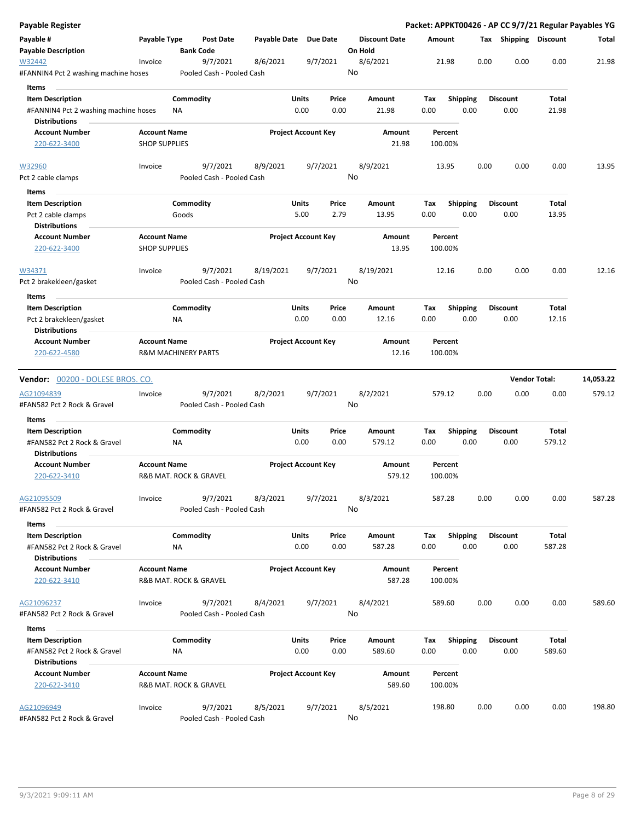| Payable Register                                       |                                               |                  |                                       |              |               |                            |    |                                 |             |                    |      |      |                         |                        | Packet: APPKT00426 - AP CC 9/7/21 Regular Payables YG |
|--------------------------------------------------------|-----------------------------------------------|------------------|---------------------------------------|--------------|---------------|----------------------------|----|---------------------------------|-------------|--------------------|------|------|-------------------------|------------------------|-------------------------------------------------------|
| Payable #<br><b>Payable Description</b>                | Payable Type                                  | <b>Bank Code</b> | <b>Post Date</b>                      | Payable Date |               | Due Date                   |    | <b>Discount Date</b><br>On Hold | Amount      |                    |      |      |                         | Tax Shipping Discount  | Total                                                 |
| W32442<br>#FANNIN4 Pct 2 washing machine hoses         | Invoice                                       |                  | 9/7/2021<br>Pooled Cash - Pooled Cash | 8/6/2021     |               | 9/7/2021                   | No | 8/6/2021                        |             | 21.98              |      | 0.00 | 0.00                    | 0.00                   | 21.98                                                 |
| Items                                                  |                                               |                  |                                       |              |               |                            |    |                                 |             |                    |      |      |                         |                        |                                                       |
| <b>Item Description</b>                                |                                               | Commodity        |                                       |              | Units         | Price                      |    | Amount                          | Tax         | <b>Shipping</b>    |      |      | <b>Discount</b>         | Total                  |                                                       |
| #FANNIN4 Pct 2 washing machine hoses                   |                                               | ΝA               |                                       |              | 0.00          | 0.00                       |    | 21.98                           | 0.00        |                    | 0.00 |      | 0.00                    | 21.98                  |                                                       |
| <b>Distributions</b>                                   |                                               |                  |                                       |              |               |                            |    |                                 |             |                    |      |      |                         |                        |                                                       |
| <b>Account Number</b>                                  | <b>Account Name</b>                           |                  |                                       |              |               | <b>Project Account Key</b> |    | Amount                          |             | Percent            |      |      |                         |                        |                                                       |
| 220-622-3400                                           | <b>SHOP SUPPLIES</b>                          |                  |                                       |              |               |                            |    | 21.98                           |             | 100.00%            |      |      |                         |                        |                                                       |
| W32960                                                 | Invoice                                       |                  | 9/7/2021                              | 8/9/2021     |               | 9/7/2021                   |    | 8/9/2021                        |             | 13.95              |      | 0.00 | 0.00                    | 0.00                   | 13.95                                                 |
| Pct 2 cable clamps                                     |                                               |                  | Pooled Cash - Pooled Cash             |              |               |                            | No |                                 |             |                    |      |      |                         |                        |                                                       |
| Items                                                  |                                               |                  |                                       |              |               |                            |    |                                 |             |                    |      |      |                         |                        |                                                       |
| <b>Item Description</b>                                |                                               | Commodity        |                                       |              | Units         | Price                      |    | Amount                          | Tax         | <b>Shipping</b>    |      |      | <b>Discount</b>         | Total                  |                                                       |
| Pct 2 cable clamps                                     |                                               | Goods            |                                       |              | 5.00          | 2.79                       |    | 13.95                           | 0.00        |                    | 0.00 |      | 0.00                    | 13.95                  |                                                       |
| <b>Distributions</b>                                   |                                               |                  |                                       |              |               |                            |    |                                 |             |                    |      |      |                         |                        |                                                       |
| <b>Account Number</b>                                  | <b>Account Name</b>                           |                  |                                       |              |               | <b>Project Account Key</b> |    | Amount                          |             | Percent            |      |      |                         |                        |                                                       |
| 220-622-3400                                           | <b>SHOP SUPPLIES</b>                          |                  |                                       |              |               |                            |    | 13.95                           |             | 100.00%            |      |      |                         |                        |                                                       |
| W34371<br>Pct 2 brakekleen/gasket                      | Invoice                                       |                  | 9/7/2021<br>Pooled Cash - Pooled Cash | 8/19/2021    |               | 9/7/2021                   | No | 8/19/2021                       |             | 12.16              |      | 0.00 | 0.00                    | 0.00                   | 12.16                                                 |
| Items                                                  |                                               |                  |                                       |              |               |                            |    |                                 |             |                    |      |      |                         |                        |                                                       |
| <b>Item Description</b>                                |                                               | Commodity        |                                       |              | Units         | Price                      |    | Amount                          | Tax         | <b>Shipping</b>    |      |      | <b>Discount</b>         | Total                  |                                                       |
| Pct 2 brakekleen/gasket<br><b>Distributions</b>        |                                               | ΝA               |                                       |              | 0.00          | 0.00                       |    | 12.16                           | 0.00        |                    | 0.00 |      | 0.00                    | 12.16                  |                                                       |
| <b>Account Number</b>                                  | <b>Account Name</b>                           |                  |                                       |              |               | <b>Project Account Key</b> |    | Amount                          |             | Percent            |      |      |                         |                        |                                                       |
| 220-622-4580                                           | <b>R&amp;M MACHINERY PARTS</b>                |                  |                                       |              |               |                            |    | 12.16                           |             | 100.00%            |      |      |                         |                        |                                                       |
| <b>Vendor:</b> 00200 - DOLESE BROS. CO.                |                                               |                  |                                       |              |               |                            |    |                                 |             |                    |      |      | <b>Vendor Total:</b>    |                        | 14,053.22                                             |
| AG21094839                                             | Invoice                                       |                  | 9/7/2021                              | 8/2/2021     |               | 9/7/2021                   |    | 8/2/2021                        |             | 579.12             |      | 0.00 | 0.00                    | 0.00                   | 579.12                                                |
| #FAN582 Pct 2 Rock & Gravel                            |                                               |                  | Pooled Cash - Pooled Cash             |              |               |                            | No |                                 |             |                    |      |      |                         |                        |                                                       |
| Items                                                  |                                               |                  |                                       |              |               |                            |    |                                 |             |                    |      |      |                         |                        |                                                       |
| <b>Item Description</b>                                |                                               | Commodity        |                                       |              | Units         | Price                      |    | Amount                          | Tax         | <b>Shipping</b>    |      |      | <b>Discount</b>         | Total                  |                                                       |
| #FAN582 Pct 2 Rock & Gravel<br><b>Distributions</b>    |                                               | ΝA               |                                       |              | 0.00          | 0.00                       |    | 579.12                          | 0.00        |                    | 0.00 |      | 0.00                    | 579.12                 |                                                       |
| <b>Account Number</b>                                  | <b>Account Name</b>                           |                  |                                       |              |               | <b>Project Account Key</b> |    | Amount                          |             | Percent            |      |      |                         |                        |                                                       |
| 220-622-3410                                           | R&B MAT. ROCK & GRAVEL                        |                  |                                       |              |               |                            |    | 579.12                          |             | 100.00%            |      |      |                         |                        |                                                       |
| AG21095509                                             | Invoice                                       |                  | 9/7/2021                              | 8/3/2021     |               | 9/7/2021                   | No | 8/3/2021                        |             | 587.28             |      | 0.00 | 0.00                    | 0.00                   | 587.28                                                |
| #FAN582 Pct 2 Rock & Gravel                            |                                               |                  | Pooled Cash - Pooled Cash             |              |               |                            |    |                                 |             |                    |      |      |                         |                        |                                                       |
| Items                                                  |                                               |                  |                                       |              |               |                            |    |                                 |             |                    |      |      |                         |                        |                                                       |
| <b>Item Description</b><br>#FAN582 Pct 2 Rock & Gravel |                                               | Commodity<br>ΝA  |                                       |              | Units<br>0.00 | Price<br>0.00              |    | Amount<br>587.28                | Тах<br>0.00 | <b>Shipping</b>    | 0.00 |      | <b>Discount</b><br>0.00 | Total<br>587.28        |                                                       |
| <b>Distributions</b>                                   |                                               |                  |                                       |              |               |                            |    |                                 |             |                    |      |      |                         |                        |                                                       |
| <b>Account Number</b><br>220-622-3410                  | <b>Account Name</b><br>R&B MAT. ROCK & GRAVEL |                  |                                       |              |               | <b>Project Account Key</b> |    | Amount<br>587.28                |             | Percent<br>100.00% |      |      |                         |                        |                                                       |
| AG21096237                                             | Invoice                                       |                  | 9/7/2021                              | 8/4/2021     |               | 9/7/2021                   |    | 8/4/2021                        |             | 589.60             |      | 0.00 | 0.00                    | 0.00                   | 589.60                                                |
| #FAN582 Pct 2 Rock & Gravel                            |                                               |                  | Pooled Cash - Pooled Cash             |              |               |                            | No |                                 |             |                    |      |      |                         |                        |                                                       |
| Items                                                  |                                               |                  |                                       |              |               |                            |    |                                 |             |                    |      |      |                         |                        |                                                       |
| <b>Item Description</b><br>#FAN582 Pct 2 Rock & Gravel |                                               | Commodity<br>ΝA  |                                       |              | Units<br>0.00 | Price<br>0.00              |    | Amount<br>589.60                | Tax<br>0.00 | <b>Shipping</b>    | 0.00 |      | Discount<br>0.00        | <b>Total</b><br>589.60 |                                                       |
| <b>Distributions</b>                                   |                                               |                  |                                       |              |               |                            |    |                                 |             |                    |      |      |                         |                        |                                                       |
| <b>Account Number</b><br>220-622-3410                  | <b>Account Name</b><br>R&B MAT. ROCK & GRAVEL |                  |                                       |              |               | <b>Project Account Key</b> |    | Amount<br>589.60                |             | Percent<br>100.00% |      |      |                         |                        |                                                       |
| AG21096949                                             | Invoice                                       |                  | 9/7/2021                              | 8/5/2021     |               | 9/7/2021                   |    | 8/5/2021                        |             | 198.80             |      | 0.00 | 0.00                    | 0.00                   | 198.80                                                |
| #FAN582 Pct 2 Rock & Gravel                            |                                               |                  | Pooled Cash - Pooled Cash             |              |               |                            | No |                                 |             |                    |      |      |                         |                        |                                                       |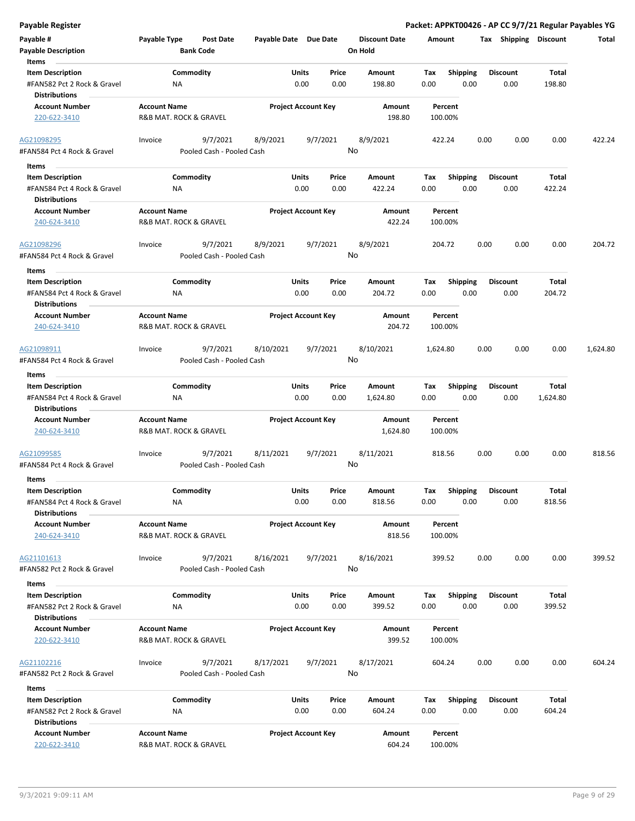|  |  | Payable Register |
|--|--|------------------|
|  |  |                  |

| Payable Register                                                                        |                                                              |                                       |                       |                            |                |                                 |                    |                         |      |                         | Packet: APPKT00426 - AP CC 9/7/21 Regular Payables YG |          |
|-----------------------------------------------------------------------------------------|--------------------------------------------------------------|---------------------------------------|-----------------------|----------------------------|----------------|---------------------------------|--------------------|-------------------------|------|-------------------------|-------------------------------------------------------|----------|
| Payable #<br><b>Payable Description</b>                                                 | Payable Type                                                 | Post Date<br><b>Bank Code</b>         | Payable Date Due Date |                            |                | <b>Discount Date</b><br>On Hold | Amount             |                         |      | Tax Shipping Discount   |                                                       | Total    |
| Items<br><b>Item Description</b><br>#FAN582 Pct 2 Rock & Gravel<br><b>Distributions</b> | ΝA                                                           | Commodity                             |                       | Units<br>0.00              | Price<br>0.00  | <b>Amount</b><br>198.80         | Tax<br>0.00        | <b>Shipping</b><br>0.00 |      | <b>Discount</b><br>0.00 | Total<br>198.80                                       |          |
| <b>Account Number</b><br>220-622-3410                                                   | <b>Account Name</b><br>R&B MAT. ROCK & GRAVEL                |                                       |                       | <b>Project Account Key</b> |                | Amount<br>198.80                | Percent<br>100.00% |                         |      |                         |                                                       |          |
| AG21098295<br>#FAN584 Pct 4 Rock & Gravel                                               | Invoice                                                      | 9/7/2021<br>Pooled Cash - Pooled Cash | 8/9/2021              |                            | 9/7/2021<br>No | 8/9/2021                        | 422.24             |                         | 0.00 | 0.00                    | 0.00                                                  | 422.24   |
| Items<br><b>Item Description</b><br>#FAN584 Pct 4 Rock & Gravel<br><b>Distributions</b> | ΝA                                                           | Commodity                             |                       | Units<br>0.00              | Price<br>0.00  | Amount<br>422.24                | Tax<br>0.00        | <b>Shipping</b><br>0.00 |      | <b>Discount</b><br>0.00 | Total<br>422.24                                       |          |
| <b>Account Number</b><br>240-624-3410                                                   | <b>Account Name</b><br><b>R&amp;B MAT. ROCK &amp; GRAVEL</b> |                                       |                       | <b>Project Account Key</b> |                | Amount<br>422.24                | Percent<br>100.00% |                         |      |                         |                                                       |          |
| AG21098296<br>#FAN584 Pct 4 Rock & Gravel                                               | Invoice                                                      | 9/7/2021<br>Pooled Cash - Pooled Cash | 8/9/2021              |                            | 9/7/2021<br>No | 8/9/2021                        | 204.72             |                         | 0.00 | 0.00                    | 0.00                                                  | 204.72   |
| Items<br><b>Item Description</b><br>#FAN584 Pct 4 Rock & Gravel<br><b>Distributions</b> | NA                                                           | Commodity                             |                       | Units<br>0.00              | Price<br>0.00  | Amount<br>204.72                | Tax<br>0.00        | <b>Shipping</b><br>0.00 |      | <b>Discount</b><br>0.00 | Total<br>204.72                                       |          |
| <b>Account Number</b><br>240-624-3410                                                   | <b>Account Name</b><br>R&B MAT. ROCK & GRAVEL                |                                       |                       | <b>Project Account Key</b> |                | Amount<br>204.72                | Percent<br>100.00% |                         |      |                         |                                                       |          |
| AG21098911<br>#FAN584 Pct 4 Rock & Gravel                                               | Invoice                                                      | 9/7/2021<br>Pooled Cash - Pooled Cash | 8/10/2021             |                            | 9/7/2021<br>No | 8/10/2021                       | 1,624.80           |                         | 0.00 | 0.00                    | 0.00                                                  | 1,624.80 |
| Items<br><b>Item Description</b><br>#FAN584 Pct 4 Rock & Gravel<br><b>Distributions</b> | ΝA                                                           | Commodity                             |                       | Units<br>0.00              | Price<br>0.00  | Amount<br>1,624.80              | Tax<br>0.00        | <b>Shipping</b><br>0.00 |      | <b>Discount</b><br>0.00 | Total<br>1,624.80                                     |          |
| <b>Account Number</b><br>240-624-3410                                                   | <b>Account Name</b><br>R&B MAT. ROCK & GRAVEL                |                                       |                       | <b>Project Account Key</b> |                | Amount<br>1,624.80              | Percent<br>100.00% |                         |      |                         |                                                       |          |
| AG21099585<br>#FAN584 Pct 4 Rock & Gravel                                               | Invoice                                                      | 9/7/2021<br>Pooled Cash - Pooled Cash | 8/11/2021             |                            | 9/7/2021<br>No | 8/11/2021                       | 818.56             |                         | 0.00 | 0.00                    | 0.00                                                  | 818.56   |
| Items<br><b>Item Description</b><br>#FAN584 Pct 4 Rock & Gravel<br><b>Distributions</b> | NA                                                           | Commodity                             |                       | Units<br>0.00              | Price<br>0.00  | Amount<br>818.56                | Tax<br>0.00        | Shipping<br>0.00        |      | <b>Discount</b><br>0.00 | Total<br>818.56                                       |          |
| <b>Account Number</b><br>240-624-3410                                                   | <b>Account Name</b><br>R&B MAT. ROCK & GRAVEL                |                                       |                       | <b>Project Account Key</b> |                | Amount<br>818.56                | Percent<br>100.00% |                         |      |                         |                                                       |          |
| AG21101613<br>#FAN582 Pct 2 Rock & Gravel                                               | Invoice                                                      | 9/7/2021<br>Pooled Cash - Pooled Cash | 8/16/2021             |                            | 9/7/2021<br>No | 8/16/2021                       | 399.52             |                         | 0.00 | 0.00                    | 0.00                                                  | 399.52   |
| Items<br><b>Item Description</b><br>#FAN582 Pct 2 Rock & Gravel<br><b>Distributions</b> | ΝA                                                           | Commodity                             |                       | Units<br>0.00              | Price<br>0.00  | Amount<br>399.52                | Тах<br>0.00        | Shipping<br>0.00        |      | <b>Discount</b><br>0.00 | Total<br>399.52                                       |          |
| <b>Account Number</b><br>220-622-3410                                                   | <b>Account Name</b><br>R&B MAT. ROCK & GRAVEL                |                                       |                       | <b>Project Account Key</b> |                | Amount<br>399.52                | Percent<br>100.00% |                         |      |                         |                                                       |          |
| AG21102216<br>#FAN582 Pct 2 Rock & Gravel                                               | Invoice                                                      | 9/7/2021<br>Pooled Cash - Pooled Cash | 8/17/2021             |                            | 9/7/2021<br>No | 8/17/2021                       | 604.24             |                         | 0.00 | 0.00                    | 0.00                                                  | 604.24   |
| Items<br><b>Item Description</b><br>#FAN582 Pct 2 Rock & Gravel                         | ΝA                                                           | Commodity                             |                       | Units<br>0.00              | Price<br>0.00  | Amount<br>604.24                | Tax<br>0.00        | <b>Shipping</b><br>0.00 |      | <b>Discount</b><br>0.00 | Total<br>604.24                                       |          |
| <b>Distributions</b><br><b>Account Number</b><br>220-622-3410                           | <b>Account Name</b><br>R&B MAT. ROCK & GRAVEL                |                                       |                       | <b>Project Account Key</b> |                | Amount<br>604.24                | Percent<br>100.00% |                         |      |                         |                                                       |          |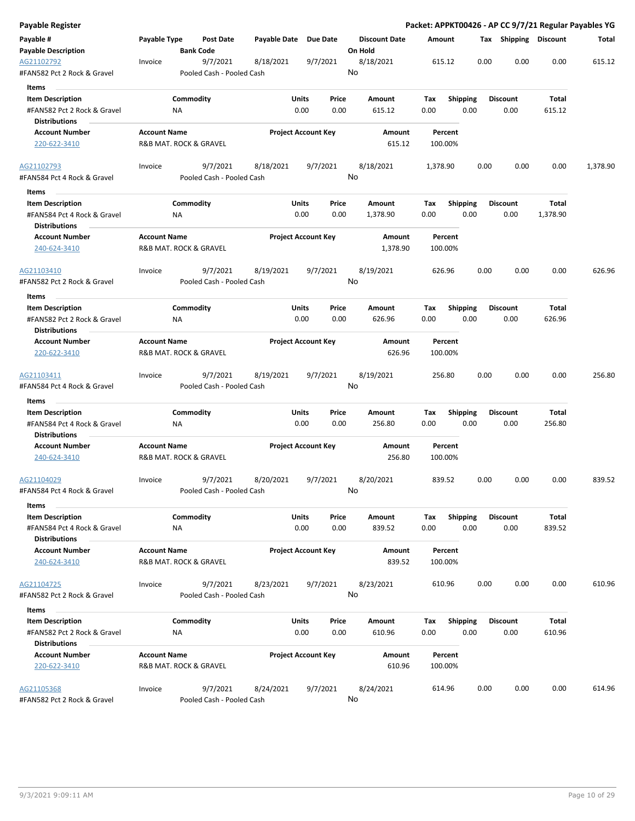| Payable Type<br><b>Discount Date</b><br><b>Post Date</b><br>Payable Date Due Date<br>Amount<br>Tax Shipping Discount<br>Total<br><b>Payable Description</b><br><b>Bank Code</b><br>On Hold<br>9/7/2021<br>8/18/2021<br>615.12<br>0.00<br>0.00<br>0.00<br>615.12<br>AG21102792<br>8/18/2021<br>9/7/2021<br>Invoice<br>No<br>Pooled Cash - Pooled Cash<br>Items<br>Commodity<br>Units<br>Price<br><b>Discount</b><br>Total<br><b>Item Description</b><br>Amount<br>Tax<br><b>Shipping</b><br>#FAN582 Pct 2 Rock & Gravel<br>0.00<br>0.00<br>615.12<br>0.00<br>0.00<br>0.00<br>615.12<br>ΝA<br><b>Distributions</b><br><b>Project Account Key</b><br><b>Account Number</b><br><b>Account Name</b><br>Amount<br>Percent<br>615.12<br>220-622-3410<br>R&B MAT. ROCK & GRAVEL<br>100.00%<br>9/7/2021<br>9/7/2021<br>8/18/2021<br>0.00<br>0.00<br>0.00<br>1,378.90<br>Invoice<br>8/18/2021<br>1,378.90<br>No<br>#FAN584 Pct 4 Rock & Gravel<br>Pooled Cash - Pooled Cash<br>Items<br>Commodity<br>Units<br><b>Discount</b><br><b>Item Description</b><br>Price<br>Amount<br>Tax<br><b>Shipping</b><br>Total<br>0.00<br>0.00<br>0.00<br>#FAN584 Pct 4 Rock & Gravel<br>1,378.90<br>0.00<br>0.00<br>1,378.90<br>ΝA<br><b>Distributions</b><br><b>Account Name</b><br><b>Project Account Key</b><br><b>Account Number</b><br>Amount<br>Percent<br>R&B MAT. ROCK & GRAVEL<br>1,378.90<br>100.00%<br>240-624-3410<br>9/7/2021<br>8/19/2021<br>9/7/2021<br>8/19/2021<br>0.00<br>0.00<br>0.00<br>626.96<br>Invoice<br>626.96<br>No<br>Pooled Cash - Pooled Cash<br>Items<br>Commodity<br><b>Item Description</b><br>Units<br>Price<br>Amount<br>Tax<br><b>Shipping</b><br><b>Discount</b><br>Total<br>0.00<br>0.00<br>626.96<br>0.00<br>0.00<br>0.00<br>626.96<br>#FAN582 Pct 2 Rock & Gravel<br>ΝA<br><b>Distributions</b><br><b>Account Name</b><br><b>Project Account Key</b><br><b>Account Number</b><br>Amount<br>Percent<br>R&B MAT. ROCK & GRAVEL<br>626.96<br>100.00%<br>220-622-3410<br>9/7/2021<br>9/7/2021<br>8/19/2021<br>0.00<br>Invoice<br>8/19/2021<br>256.80<br>0.00<br>0.00<br>256.80<br>No<br>#FAN584 Pct 4 Rock & Gravel<br>Pooled Cash - Pooled Cash<br>Items<br>Commodity<br>Shipping<br>Total<br><b>Item Description</b><br>Units<br>Price<br>Amount<br>Tax<br><b>Discount</b><br>#FAN584 Pct 4 Rock & Gravel<br>0.00<br>0.00<br>256.80<br>0.00<br>0.00<br>0.00<br>256.80<br>ΝA<br><b>Distributions</b><br><b>Account Name</b><br><b>Project Account Key</b><br><b>Account Number</b><br>Amount<br>Percent<br>256.80<br>240-624-3410<br>R&B MAT. ROCK & GRAVEL<br>100.00%<br>9/7/2021<br>8/20/2021<br>9/7/2021<br>8/20/2021<br>839.52<br>0.00<br>0.00<br>0.00<br>839.52<br>Invoice<br>No<br>Pooled Cash - Pooled Cash<br>Items<br>Commodity<br>Units<br>Price<br>Shipping<br>Total<br><b>Item Description</b><br>Amount<br>Tax<br>Discount<br>0.00<br>0.00<br>839.52<br>0.00<br>0.00<br>0.00<br>839.52<br>#FAN584 Pct 4 Rock & Gravel<br><b>NA</b><br><b>Distributions</b><br><b>Account Name</b><br><b>Project Account Key</b><br><b>Account Number</b><br>Amount<br>Percent<br>R&B MAT. ROCK & GRAVEL<br>839.52<br>240-624-3410<br>100.00%<br>8/23/2021<br>610.96<br>0.00<br>0.00<br>0.00<br>610.96<br>9/7/2021<br>8/23/2021<br>9/7/2021<br>Invoice<br>No<br>Pooled Cash - Pooled Cash<br>Items<br><b>Item Description</b><br>Commodity<br>Units<br>Amount<br><b>Shipping</b><br><b>Discount</b><br>Total<br>Price<br>Tax<br>#FAN582 Pct 2 Rock & Gravel<br>0.00<br>0.00<br>610.96<br>0.00<br>0.00<br>0.00<br>610.96<br>ΝA<br><b>Distributions</b><br><b>Account Name</b><br><b>Project Account Key</b><br><b>Account Number</b><br>Amount<br>Percent<br>220-622-3410<br>610.96<br>R&B MAT. ROCK & GRAVEL<br>100.00%<br>9/7/2021<br>8/24/2021<br>9/7/2021<br>8/24/2021<br>614.96<br>0.00<br>0.00<br>0.00<br>614.96<br>Invoice<br>Pooled Cash - Pooled Cash | Payable Register                          |  |  |    |  |  | Packet: APPKT00426 - AP CC 9/7/21 Regular Payables YG |
|----------------------------------------------------------------------------------------------------------------------------------------------------------------------------------------------------------------------------------------------------------------------------------------------------------------------------------------------------------------------------------------------------------------------------------------------------------------------------------------------------------------------------------------------------------------------------------------------------------------------------------------------------------------------------------------------------------------------------------------------------------------------------------------------------------------------------------------------------------------------------------------------------------------------------------------------------------------------------------------------------------------------------------------------------------------------------------------------------------------------------------------------------------------------------------------------------------------------------------------------------------------------------------------------------------------------------------------------------------------------------------------------------------------------------------------------------------------------------------------------------------------------------------------------------------------------------------------------------------------------------------------------------------------------------------------------------------------------------------------------------------------------------------------------------------------------------------------------------------------------------------------------------------------------------------------------------------------------------------------------------------------------------------------------------------------------------------------------------------------------------------------------------------------------------------------------------------------------------------------------------------------------------------------------------------------------------------------------------------------------------------------------------------------------------------------------------------------------------------------------------------------------------------------------------------------------------------------------------------------------------------------------------------------------------------------------------------------------------------------------------------------------------------------------------------------------------------------------------------------------------------------------------------------------------------------------------------------------------------------------------------------------------------------------------------------------------------------------------------------------------------------------------------------------------------------------------------------------------------------------------------------------------------------------------------------------------------------------------------------------------------------------------------------------------------------------------------------------------------------------------------------------------------------------------------------------------------------------------------------------------------------------------------------------------------------------------------------------------------------------------------------------------------------------------------------------------------------------------------------------|-------------------------------------------|--|--|----|--|--|-------------------------------------------------------|
|                                                                                                                                                                                                                                                                                                                                                                                                                                                                                                                                                                                                                                                                                                                                                                                                                                                                                                                                                                                                                                                                                                                                                                                                                                                                                                                                                                                                                                                                                                                                                                                                                                                                                                                                                                                                                                                                                                                                                                                                                                                                                                                                                                                                                                                                                                                                                                                                                                                                                                                                                                                                                                                                                                                                                                                                                                                                                                                                                                                                                                                                                                                                                                                                                                                                                                                                                                                                                                                                                                                                                                                                                                                                                                                                                                                                                                                                      | Payable #                                 |  |  |    |  |  |                                                       |
|                                                                                                                                                                                                                                                                                                                                                                                                                                                                                                                                                                                                                                                                                                                                                                                                                                                                                                                                                                                                                                                                                                                                                                                                                                                                                                                                                                                                                                                                                                                                                                                                                                                                                                                                                                                                                                                                                                                                                                                                                                                                                                                                                                                                                                                                                                                                                                                                                                                                                                                                                                                                                                                                                                                                                                                                                                                                                                                                                                                                                                                                                                                                                                                                                                                                                                                                                                                                                                                                                                                                                                                                                                                                                                                                                                                                                                                                      |                                           |  |  |    |  |  |                                                       |
|                                                                                                                                                                                                                                                                                                                                                                                                                                                                                                                                                                                                                                                                                                                                                                                                                                                                                                                                                                                                                                                                                                                                                                                                                                                                                                                                                                                                                                                                                                                                                                                                                                                                                                                                                                                                                                                                                                                                                                                                                                                                                                                                                                                                                                                                                                                                                                                                                                                                                                                                                                                                                                                                                                                                                                                                                                                                                                                                                                                                                                                                                                                                                                                                                                                                                                                                                                                                                                                                                                                                                                                                                                                                                                                                                                                                                                                                      | #FAN582 Pct 2 Rock & Gravel               |  |  |    |  |  |                                                       |
|                                                                                                                                                                                                                                                                                                                                                                                                                                                                                                                                                                                                                                                                                                                                                                                                                                                                                                                                                                                                                                                                                                                                                                                                                                                                                                                                                                                                                                                                                                                                                                                                                                                                                                                                                                                                                                                                                                                                                                                                                                                                                                                                                                                                                                                                                                                                                                                                                                                                                                                                                                                                                                                                                                                                                                                                                                                                                                                                                                                                                                                                                                                                                                                                                                                                                                                                                                                                                                                                                                                                                                                                                                                                                                                                                                                                                                                                      |                                           |  |  |    |  |  |                                                       |
|                                                                                                                                                                                                                                                                                                                                                                                                                                                                                                                                                                                                                                                                                                                                                                                                                                                                                                                                                                                                                                                                                                                                                                                                                                                                                                                                                                                                                                                                                                                                                                                                                                                                                                                                                                                                                                                                                                                                                                                                                                                                                                                                                                                                                                                                                                                                                                                                                                                                                                                                                                                                                                                                                                                                                                                                                                                                                                                                                                                                                                                                                                                                                                                                                                                                                                                                                                                                                                                                                                                                                                                                                                                                                                                                                                                                                                                                      |                                           |  |  |    |  |  |                                                       |
|                                                                                                                                                                                                                                                                                                                                                                                                                                                                                                                                                                                                                                                                                                                                                                                                                                                                                                                                                                                                                                                                                                                                                                                                                                                                                                                                                                                                                                                                                                                                                                                                                                                                                                                                                                                                                                                                                                                                                                                                                                                                                                                                                                                                                                                                                                                                                                                                                                                                                                                                                                                                                                                                                                                                                                                                                                                                                                                                                                                                                                                                                                                                                                                                                                                                                                                                                                                                                                                                                                                                                                                                                                                                                                                                                                                                                                                                      |                                           |  |  |    |  |  |                                                       |
|                                                                                                                                                                                                                                                                                                                                                                                                                                                                                                                                                                                                                                                                                                                                                                                                                                                                                                                                                                                                                                                                                                                                                                                                                                                                                                                                                                                                                                                                                                                                                                                                                                                                                                                                                                                                                                                                                                                                                                                                                                                                                                                                                                                                                                                                                                                                                                                                                                                                                                                                                                                                                                                                                                                                                                                                                                                                                                                                                                                                                                                                                                                                                                                                                                                                                                                                                                                                                                                                                                                                                                                                                                                                                                                                                                                                                                                                      |                                           |  |  |    |  |  |                                                       |
|                                                                                                                                                                                                                                                                                                                                                                                                                                                                                                                                                                                                                                                                                                                                                                                                                                                                                                                                                                                                                                                                                                                                                                                                                                                                                                                                                                                                                                                                                                                                                                                                                                                                                                                                                                                                                                                                                                                                                                                                                                                                                                                                                                                                                                                                                                                                                                                                                                                                                                                                                                                                                                                                                                                                                                                                                                                                                                                                                                                                                                                                                                                                                                                                                                                                                                                                                                                                                                                                                                                                                                                                                                                                                                                                                                                                                                                                      |                                           |  |  |    |  |  |                                                       |
|                                                                                                                                                                                                                                                                                                                                                                                                                                                                                                                                                                                                                                                                                                                                                                                                                                                                                                                                                                                                                                                                                                                                                                                                                                                                                                                                                                                                                                                                                                                                                                                                                                                                                                                                                                                                                                                                                                                                                                                                                                                                                                                                                                                                                                                                                                                                                                                                                                                                                                                                                                                                                                                                                                                                                                                                                                                                                                                                                                                                                                                                                                                                                                                                                                                                                                                                                                                                                                                                                                                                                                                                                                                                                                                                                                                                                                                                      |                                           |  |  |    |  |  |                                                       |
|                                                                                                                                                                                                                                                                                                                                                                                                                                                                                                                                                                                                                                                                                                                                                                                                                                                                                                                                                                                                                                                                                                                                                                                                                                                                                                                                                                                                                                                                                                                                                                                                                                                                                                                                                                                                                                                                                                                                                                                                                                                                                                                                                                                                                                                                                                                                                                                                                                                                                                                                                                                                                                                                                                                                                                                                                                                                                                                                                                                                                                                                                                                                                                                                                                                                                                                                                                                                                                                                                                                                                                                                                                                                                                                                                                                                                                                                      | AG21102793                                |  |  |    |  |  |                                                       |
|                                                                                                                                                                                                                                                                                                                                                                                                                                                                                                                                                                                                                                                                                                                                                                                                                                                                                                                                                                                                                                                                                                                                                                                                                                                                                                                                                                                                                                                                                                                                                                                                                                                                                                                                                                                                                                                                                                                                                                                                                                                                                                                                                                                                                                                                                                                                                                                                                                                                                                                                                                                                                                                                                                                                                                                                                                                                                                                                                                                                                                                                                                                                                                                                                                                                                                                                                                                                                                                                                                                                                                                                                                                                                                                                                                                                                                                                      |                                           |  |  |    |  |  |                                                       |
|                                                                                                                                                                                                                                                                                                                                                                                                                                                                                                                                                                                                                                                                                                                                                                                                                                                                                                                                                                                                                                                                                                                                                                                                                                                                                                                                                                                                                                                                                                                                                                                                                                                                                                                                                                                                                                                                                                                                                                                                                                                                                                                                                                                                                                                                                                                                                                                                                                                                                                                                                                                                                                                                                                                                                                                                                                                                                                                                                                                                                                                                                                                                                                                                                                                                                                                                                                                                                                                                                                                                                                                                                                                                                                                                                                                                                                                                      |                                           |  |  |    |  |  |                                                       |
|                                                                                                                                                                                                                                                                                                                                                                                                                                                                                                                                                                                                                                                                                                                                                                                                                                                                                                                                                                                                                                                                                                                                                                                                                                                                                                                                                                                                                                                                                                                                                                                                                                                                                                                                                                                                                                                                                                                                                                                                                                                                                                                                                                                                                                                                                                                                                                                                                                                                                                                                                                                                                                                                                                                                                                                                                                                                                                                                                                                                                                                                                                                                                                                                                                                                                                                                                                                                                                                                                                                                                                                                                                                                                                                                                                                                                                                                      |                                           |  |  |    |  |  |                                                       |
|                                                                                                                                                                                                                                                                                                                                                                                                                                                                                                                                                                                                                                                                                                                                                                                                                                                                                                                                                                                                                                                                                                                                                                                                                                                                                                                                                                                                                                                                                                                                                                                                                                                                                                                                                                                                                                                                                                                                                                                                                                                                                                                                                                                                                                                                                                                                                                                                                                                                                                                                                                                                                                                                                                                                                                                                                                                                                                                                                                                                                                                                                                                                                                                                                                                                                                                                                                                                                                                                                                                                                                                                                                                                                                                                                                                                                                                                      |                                           |  |  |    |  |  |                                                       |
|                                                                                                                                                                                                                                                                                                                                                                                                                                                                                                                                                                                                                                                                                                                                                                                                                                                                                                                                                                                                                                                                                                                                                                                                                                                                                                                                                                                                                                                                                                                                                                                                                                                                                                                                                                                                                                                                                                                                                                                                                                                                                                                                                                                                                                                                                                                                                                                                                                                                                                                                                                                                                                                                                                                                                                                                                                                                                                                                                                                                                                                                                                                                                                                                                                                                                                                                                                                                                                                                                                                                                                                                                                                                                                                                                                                                                                                                      |                                           |  |  |    |  |  |                                                       |
|                                                                                                                                                                                                                                                                                                                                                                                                                                                                                                                                                                                                                                                                                                                                                                                                                                                                                                                                                                                                                                                                                                                                                                                                                                                                                                                                                                                                                                                                                                                                                                                                                                                                                                                                                                                                                                                                                                                                                                                                                                                                                                                                                                                                                                                                                                                                                                                                                                                                                                                                                                                                                                                                                                                                                                                                                                                                                                                                                                                                                                                                                                                                                                                                                                                                                                                                                                                                                                                                                                                                                                                                                                                                                                                                                                                                                                                                      | AG21103410                                |  |  |    |  |  |                                                       |
|                                                                                                                                                                                                                                                                                                                                                                                                                                                                                                                                                                                                                                                                                                                                                                                                                                                                                                                                                                                                                                                                                                                                                                                                                                                                                                                                                                                                                                                                                                                                                                                                                                                                                                                                                                                                                                                                                                                                                                                                                                                                                                                                                                                                                                                                                                                                                                                                                                                                                                                                                                                                                                                                                                                                                                                                                                                                                                                                                                                                                                                                                                                                                                                                                                                                                                                                                                                                                                                                                                                                                                                                                                                                                                                                                                                                                                                                      | #FAN582 Pct 2 Rock & Gravel               |  |  |    |  |  |                                                       |
|                                                                                                                                                                                                                                                                                                                                                                                                                                                                                                                                                                                                                                                                                                                                                                                                                                                                                                                                                                                                                                                                                                                                                                                                                                                                                                                                                                                                                                                                                                                                                                                                                                                                                                                                                                                                                                                                                                                                                                                                                                                                                                                                                                                                                                                                                                                                                                                                                                                                                                                                                                                                                                                                                                                                                                                                                                                                                                                                                                                                                                                                                                                                                                                                                                                                                                                                                                                                                                                                                                                                                                                                                                                                                                                                                                                                                                                                      |                                           |  |  |    |  |  |                                                       |
|                                                                                                                                                                                                                                                                                                                                                                                                                                                                                                                                                                                                                                                                                                                                                                                                                                                                                                                                                                                                                                                                                                                                                                                                                                                                                                                                                                                                                                                                                                                                                                                                                                                                                                                                                                                                                                                                                                                                                                                                                                                                                                                                                                                                                                                                                                                                                                                                                                                                                                                                                                                                                                                                                                                                                                                                                                                                                                                                                                                                                                                                                                                                                                                                                                                                                                                                                                                                                                                                                                                                                                                                                                                                                                                                                                                                                                                                      |                                           |  |  |    |  |  |                                                       |
|                                                                                                                                                                                                                                                                                                                                                                                                                                                                                                                                                                                                                                                                                                                                                                                                                                                                                                                                                                                                                                                                                                                                                                                                                                                                                                                                                                                                                                                                                                                                                                                                                                                                                                                                                                                                                                                                                                                                                                                                                                                                                                                                                                                                                                                                                                                                                                                                                                                                                                                                                                                                                                                                                                                                                                                                                                                                                                                                                                                                                                                                                                                                                                                                                                                                                                                                                                                                                                                                                                                                                                                                                                                                                                                                                                                                                                                                      |                                           |  |  |    |  |  |                                                       |
|                                                                                                                                                                                                                                                                                                                                                                                                                                                                                                                                                                                                                                                                                                                                                                                                                                                                                                                                                                                                                                                                                                                                                                                                                                                                                                                                                                                                                                                                                                                                                                                                                                                                                                                                                                                                                                                                                                                                                                                                                                                                                                                                                                                                                                                                                                                                                                                                                                                                                                                                                                                                                                                                                                                                                                                                                                                                                                                                                                                                                                                                                                                                                                                                                                                                                                                                                                                                                                                                                                                                                                                                                                                                                                                                                                                                                                                                      |                                           |  |  |    |  |  |                                                       |
|                                                                                                                                                                                                                                                                                                                                                                                                                                                                                                                                                                                                                                                                                                                                                                                                                                                                                                                                                                                                                                                                                                                                                                                                                                                                                                                                                                                                                                                                                                                                                                                                                                                                                                                                                                                                                                                                                                                                                                                                                                                                                                                                                                                                                                                                                                                                                                                                                                                                                                                                                                                                                                                                                                                                                                                                                                                                                                                                                                                                                                                                                                                                                                                                                                                                                                                                                                                                                                                                                                                                                                                                                                                                                                                                                                                                                                                                      |                                           |  |  |    |  |  |                                                       |
|                                                                                                                                                                                                                                                                                                                                                                                                                                                                                                                                                                                                                                                                                                                                                                                                                                                                                                                                                                                                                                                                                                                                                                                                                                                                                                                                                                                                                                                                                                                                                                                                                                                                                                                                                                                                                                                                                                                                                                                                                                                                                                                                                                                                                                                                                                                                                                                                                                                                                                                                                                                                                                                                                                                                                                                                                                                                                                                                                                                                                                                                                                                                                                                                                                                                                                                                                                                                                                                                                                                                                                                                                                                                                                                                                                                                                                                                      | AG21103411                                |  |  |    |  |  |                                                       |
|                                                                                                                                                                                                                                                                                                                                                                                                                                                                                                                                                                                                                                                                                                                                                                                                                                                                                                                                                                                                                                                                                                                                                                                                                                                                                                                                                                                                                                                                                                                                                                                                                                                                                                                                                                                                                                                                                                                                                                                                                                                                                                                                                                                                                                                                                                                                                                                                                                                                                                                                                                                                                                                                                                                                                                                                                                                                                                                                                                                                                                                                                                                                                                                                                                                                                                                                                                                                                                                                                                                                                                                                                                                                                                                                                                                                                                                                      |                                           |  |  |    |  |  |                                                       |
|                                                                                                                                                                                                                                                                                                                                                                                                                                                                                                                                                                                                                                                                                                                                                                                                                                                                                                                                                                                                                                                                                                                                                                                                                                                                                                                                                                                                                                                                                                                                                                                                                                                                                                                                                                                                                                                                                                                                                                                                                                                                                                                                                                                                                                                                                                                                                                                                                                                                                                                                                                                                                                                                                                                                                                                                                                                                                                                                                                                                                                                                                                                                                                                                                                                                                                                                                                                                                                                                                                                                                                                                                                                                                                                                                                                                                                                                      |                                           |  |  |    |  |  |                                                       |
|                                                                                                                                                                                                                                                                                                                                                                                                                                                                                                                                                                                                                                                                                                                                                                                                                                                                                                                                                                                                                                                                                                                                                                                                                                                                                                                                                                                                                                                                                                                                                                                                                                                                                                                                                                                                                                                                                                                                                                                                                                                                                                                                                                                                                                                                                                                                                                                                                                                                                                                                                                                                                                                                                                                                                                                                                                                                                                                                                                                                                                                                                                                                                                                                                                                                                                                                                                                                                                                                                                                                                                                                                                                                                                                                                                                                                                                                      |                                           |  |  |    |  |  |                                                       |
|                                                                                                                                                                                                                                                                                                                                                                                                                                                                                                                                                                                                                                                                                                                                                                                                                                                                                                                                                                                                                                                                                                                                                                                                                                                                                                                                                                                                                                                                                                                                                                                                                                                                                                                                                                                                                                                                                                                                                                                                                                                                                                                                                                                                                                                                                                                                                                                                                                                                                                                                                                                                                                                                                                                                                                                                                                                                                                                                                                                                                                                                                                                                                                                                                                                                                                                                                                                                                                                                                                                                                                                                                                                                                                                                                                                                                                                                      |                                           |  |  |    |  |  |                                                       |
|                                                                                                                                                                                                                                                                                                                                                                                                                                                                                                                                                                                                                                                                                                                                                                                                                                                                                                                                                                                                                                                                                                                                                                                                                                                                                                                                                                                                                                                                                                                                                                                                                                                                                                                                                                                                                                                                                                                                                                                                                                                                                                                                                                                                                                                                                                                                                                                                                                                                                                                                                                                                                                                                                                                                                                                                                                                                                                                                                                                                                                                                                                                                                                                                                                                                                                                                                                                                                                                                                                                                                                                                                                                                                                                                                                                                                                                                      |                                           |  |  |    |  |  |                                                       |
|                                                                                                                                                                                                                                                                                                                                                                                                                                                                                                                                                                                                                                                                                                                                                                                                                                                                                                                                                                                                                                                                                                                                                                                                                                                                                                                                                                                                                                                                                                                                                                                                                                                                                                                                                                                                                                                                                                                                                                                                                                                                                                                                                                                                                                                                                                                                                                                                                                                                                                                                                                                                                                                                                                                                                                                                                                                                                                                                                                                                                                                                                                                                                                                                                                                                                                                                                                                                                                                                                                                                                                                                                                                                                                                                                                                                                                                                      |                                           |  |  |    |  |  |                                                       |
|                                                                                                                                                                                                                                                                                                                                                                                                                                                                                                                                                                                                                                                                                                                                                                                                                                                                                                                                                                                                                                                                                                                                                                                                                                                                                                                                                                                                                                                                                                                                                                                                                                                                                                                                                                                                                                                                                                                                                                                                                                                                                                                                                                                                                                                                                                                                                                                                                                                                                                                                                                                                                                                                                                                                                                                                                                                                                                                                                                                                                                                                                                                                                                                                                                                                                                                                                                                                                                                                                                                                                                                                                                                                                                                                                                                                                                                                      | AG21104029                                |  |  |    |  |  |                                                       |
|                                                                                                                                                                                                                                                                                                                                                                                                                                                                                                                                                                                                                                                                                                                                                                                                                                                                                                                                                                                                                                                                                                                                                                                                                                                                                                                                                                                                                                                                                                                                                                                                                                                                                                                                                                                                                                                                                                                                                                                                                                                                                                                                                                                                                                                                                                                                                                                                                                                                                                                                                                                                                                                                                                                                                                                                                                                                                                                                                                                                                                                                                                                                                                                                                                                                                                                                                                                                                                                                                                                                                                                                                                                                                                                                                                                                                                                                      | #FAN584 Pct 4 Rock & Gravel               |  |  |    |  |  |                                                       |
|                                                                                                                                                                                                                                                                                                                                                                                                                                                                                                                                                                                                                                                                                                                                                                                                                                                                                                                                                                                                                                                                                                                                                                                                                                                                                                                                                                                                                                                                                                                                                                                                                                                                                                                                                                                                                                                                                                                                                                                                                                                                                                                                                                                                                                                                                                                                                                                                                                                                                                                                                                                                                                                                                                                                                                                                                                                                                                                                                                                                                                                                                                                                                                                                                                                                                                                                                                                                                                                                                                                                                                                                                                                                                                                                                                                                                                                                      |                                           |  |  |    |  |  |                                                       |
|                                                                                                                                                                                                                                                                                                                                                                                                                                                                                                                                                                                                                                                                                                                                                                                                                                                                                                                                                                                                                                                                                                                                                                                                                                                                                                                                                                                                                                                                                                                                                                                                                                                                                                                                                                                                                                                                                                                                                                                                                                                                                                                                                                                                                                                                                                                                                                                                                                                                                                                                                                                                                                                                                                                                                                                                                                                                                                                                                                                                                                                                                                                                                                                                                                                                                                                                                                                                                                                                                                                                                                                                                                                                                                                                                                                                                                                                      |                                           |  |  |    |  |  |                                                       |
|                                                                                                                                                                                                                                                                                                                                                                                                                                                                                                                                                                                                                                                                                                                                                                                                                                                                                                                                                                                                                                                                                                                                                                                                                                                                                                                                                                                                                                                                                                                                                                                                                                                                                                                                                                                                                                                                                                                                                                                                                                                                                                                                                                                                                                                                                                                                                                                                                                                                                                                                                                                                                                                                                                                                                                                                                                                                                                                                                                                                                                                                                                                                                                                                                                                                                                                                                                                                                                                                                                                                                                                                                                                                                                                                                                                                                                                                      |                                           |  |  |    |  |  |                                                       |
|                                                                                                                                                                                                                                                                                                                                                                                                                                                                                                                                                                                                                                                                                                                                                                                                                                                                                                                                                                                                                                                                                                                                                                                                                                                                                                                                                                                                                                                                                                                                                                                                                                                                                                                                                                                                                                                                                                                                                                                                                                                                                                                                                                                                                                                                                                                                                                                                                                                                                                                                                                                                                                                                                                                                                                                                                                                                                                                                                                                                                                                                                                                                                                                                                                                                                                                                                                                                                                                                                                                                                                                                                                                                                                                                                                                                                                                                      |                                           |  |  |    |  |  |                                                       |
|                                                                                                                                                                                                                                                                                                                                                                                                                                                                                                                                                                                                                                                                                                                                                                                                                                                                                                                                                                                                                                                                                                                                                                                                                                                                                                                                                                                                                                                                                                                                                                                                                                                                                                                                                                                                                                                                                                                                                                                                                                                                                                                                                                                                                                                                                                                                                                                                                                                                                                                                                                                                                                                                                                                                                                                                                                                                                                                                                                                                                                                                                                                                                                                                                                                                                                                                                                                                                                                                                                                                                                                                                                                                                                                                                                                                                                                                      | AG21104725                                |  |  |    |  |  |                                                       |
|                                                                                                                                                                                                                                                                                                                                                                                                                                                                                                                                                                                                                                                                                                                                                                                                                                                                                                                                                                                                                                                                                                                                                                                                                                                                                                                                                                                                                                                                                                                                                                                                                                                                                                                                                                                                                                                                                                                                                                                                                                                                                                                                                                                                                                                                                                                                                                                                                                                                                                                                                                                                                                                                                                                                                                                                                                                                                                                                                                                                                                                                                                                                                                                                                                                                                                                                                                                                                                                                                                                                                                                                                                                                                                                                                                                                                                                                      | #FAN582 Pct 2 Rock & Gravel               |  |  |    |  |  |                                                       |
|                                                                                                                                                                                                                                                                                                                                                                                                                                                                                                                                                                                                                                                                                                                                                                                                                                                                                                                                                                                                                                                                                                                                                                                                                                                                                                                                                                                                                                                                                                                                                                                                                                                                                                                                                                                                                                                                                                                                                                                                                                                                                                                                                                                                                                                                                                                                                                                                                                                                                                                                                                                                                                                                                                                                                                                                                                                                                                                                                                                                                                                                                                                                                                                                                                                                                                                                                                                                                                                                                                                                                                                                                                                                                                                                                                                                                                                                      |                                           |  |  |    |  |  |                                                       |
|                                                                                                                                                                                                                                                                                                                                                                                                                                                                                                                                                                                                                                                                                                                                                                                                                                                                                                                                                                                                                                                                                                                                                                                                                                                                                                                                                                                                                                                                                                                                                                                                                                                                                                                                                                                                                                                                                                                                                                                                                                                                                                                                                                                                                                                                                                                                                                                                                                                                                                                                                                                                                                                                                                                                                                                                                                                                                                                                                                                                                                                                                                                                                                                                                                                                                                                                                                                                                                                                                                                                                                                                                                                                                                                                                                                                                                                                      |                                           |  |  |    |  |  |                                                       |
|                                                                                                                                                                                                                                                                                                                                                                                                                                                                                                                                                                                                                                                                                                                                                                                                                                                                                                                                                                                                                                                                                                                                                                                                                                                                                                                                                                                                                                                                                                                                                                                                                                                                                                                                                                                                                                                                                                                                                                                                                                                                                                                                                                                                                                                                                                                                                                                                                                                                                                                                                                                                                                                                                                                                                                                                                                                                                                                                                                                                                                                                                                                                                                                                                                                                                                                                                                                                                                                                                                                                                                                                                                                                                                                                                                                                                                                                      |                                           |  |  |    |  |  |                                                       |
|                                                                                                                                                                                                                                                                                                                                                                                                                                                                                                                                                                                                                                                                                                                                                                                                                                                                                                                                                                                                                                                                                                                                                                                                                                                                                                                                                                                                                                                                                                                                                                                                                                                                                                                                                                                                                                                                                                                                                                                                                                                                                                                                                                                                                                                                                                                                                                                                                                                                                                                                                                                                                                                                                                                                                                                                                                                                                                                                                                                                                                                                                                                                                                                                                                                                                                                                                                                                                                                                                                                                                                                                                                                                                                                                                                                                                                                                      |                                           |  |  |    |  |  |                                                       |
|                                                                                                                                                                                                                                                                                                                                                                                                                                                                                                                                                                                                                                                                                                                                                                                                                                                                                                                                                                                                                                                                                                                                                                                                                                                                                                                                                                                                                                                                                                                                                                                                                                                                                                                                                                                                                                                                                                                                                                                                                                                                                                                                                                                                                                                                                                                                                                                                                                                                                                                                                                                                                                                                                                                                                                                                                                                                                                                                                                                                                                                                                                                                                                                                                                                                                                                                                                                                                                                                                                                                                                                                                                                                                                                                                                                                                                                                      |                                           |  |  |    |  |  |                                                       |
|                                                                                                                                                                                                                                                                                                                                                                                                                                                                                                                                                                                                                                                                                                                                                                                                                                                                                                                                                                                                                                                                                                                                                                                                                                                                                                                                                                                                                                                                                                                                                                                                                                                                                                                                                                                                                                                                                                                                                                                                                                                                                                                                                                                                                                                                                                                                                                                                                                                                                                                                                                                                                                                                                                                                                                                                                                                                                                                                                                                                                                                                                                                                                                                                                                                                                                                                                                                                                                                                                                                                                                                                                                                                                                                                                                                                                                                                      | AG21105368<br>#FAN582 Pct 2 Rock & Gravel |  |  | No |  |  |                                                       |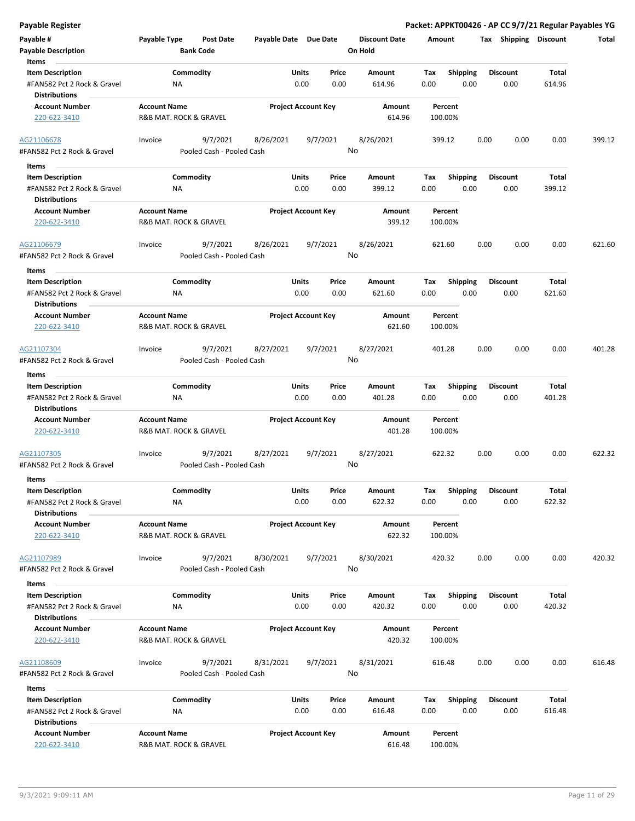|  | Payable Register |  |
|--|------------------|--|
|  |                  |  |

**Payable Register Packet: APPKT00426 - AP CC 9/7/21 Regular Payables YG**

| Payable #                   | Payable Type           | Post Date                 | Payable Date Due Date |                            | <b>Discount Date</b> | Amount  |                 | Тах  | Shipping        | <b>Discount</b> | Total  |
|-----------------------------|------------------------|---------------------------|-----------------------|----------------------------|----------------------|---------|-----------------|------|-----------------|-----------------|--------|
| <b>Payable Description</b>  |                        | <b>Bank Code</b>          |                       |                            | On Hold              |         |                 |      |                 |                 |        |
| Items                       |                        |                           |                       |                            |                      |         |                 |      |                 |                 |        |
| <b>Item Description</b>     |                        | Commodity                 |                       | Units<br>Price             | Amount               | Tax     | <b>Shipping</b> |      | <b>Discount</b> | <b>Total</b>    |        |
| #FAN582 Pct 2 Rock & Gravel | ΝA                     |                           |                       | 0.00<br>0.00               | 614.96               | 0.00    | 0.00            |      | 0.00            | 614.96          |        |
| <b>Distributions</b>        |                        |                           |                       |                            |                      |         |                 |      |                 |                 |        |
| <b>Account Number</b>       | <b>Account Name</b>    |                           |                       | <b>Project Account Key</b> | Amount               | Percent |                 |      |                 |                 |        |
| 220-622-3410                | R&B MAT. ROCK & GRAVEL |                           |                       |                            | 614.96               | 100.00% |                 |      |                 |                 |        |
|                             |                        |                           |                       |                            |                      |         |                 |      |                 |                 |        |
| AG21106678                  | Invoice                | 9/7/2021                  | 8/26/2021             | 9/7/2021                   | 8/26/2021            | 399.12  |                 | 0.00 | 0.00            | 0.00            | 399.12 |
| #FAN582 Pct 2 Rock & Gravel |                        | Pooled Cash - Pooled Cash |                       |                            | No                   |         |                 |      |                 |                 |        |
| Items                       |                        |                           |                       |                            |                      |         |                 |      |                 |                 |        |
| <b>Item Description</b>     |                        | Commodity                 |                       | Units<br>Price             | Amount               | Tax     | <b>Shipping</b> |      | <b>Discount</b> | Total           |        |
| #FAN582 Pct 2 Rock & Gravel | NA                     |                           |                       | 0.00<br>0.00               | 399.12               | 0.00    | 0.00            |      | 0.00            | 399.12          |        |
| <b>Distributions</b>        |                        |                           |                       |                            |                      |         |                 |      |                 |                 |        |
| <b>Account Number</b>       | <b>Account Name</b>    |                           |                       | <b>Project Account Key</b> | Amount               | Percent |                 |      |                 |                 |        |
| 220-622-3410                | R&B MAT. ROCK & GRAVEL |                           |                       |                            | 399.12               | 100.00% |                 |      |                 |                 |        |
|                             |                        |                           |                       |                            |                      |         |                 |      |                 |                 |        |
| AG21106679                  | Invoice                | 9/7/2021                  | 8/26/2021             | 9/7/2021                   | 8/26/2021            | 621.60  |                 | 0.00 | 0.00            | 0.00            | 621.60 |
| #FAN582 Pct 2 Rock & Gravel |                        | Pooled Cash - Pooled Cash |                       |                            | No                   |         |                 |      |                 |                 |        |
|                             |                        |                           |                       |                            |                      |         |                 |      |                 |                 |        |
| Items                       |                        |                           |                       |                            |                      |         |                 |      |                 |                 |        |
| <b>Item Description</b>     |                        | Commodity                 |                       | Price<br>Units             | Amount               | Tax     | <b>Shipping</b> |      | <b>Discount</b> | Total           |        |
| #FAN582 Pct 2 Rock & Gravel | ΝA                     |                           |                       | 0.00<br>0.00               | 621.60               | 0.00    | 0.00            |      | 0.00            | 621.60          |        |
| <b>Distributions</b>        |                        |                           |                       |                            |                      |         |                 |      |                 |                 |        |
| <b>Account Number</b>       | <b>Account Name</b>    |                           |                       | <b>Project Account Key</b> | Amount               | Percent |                 |      |                 |                 |        |
| 220-622-3410                | R&B MAT. ROCK & GRAVEL |                           |                       |                            | 621.60               | 100.00% |                 |      |                 |                 |        |
|                             |                        |                           |                       |                            |                      |         |                 |      |                 |                 |        |
| AG21107304                  | Invoice                | 9/7/2021                  | 8/27/2021             | 9/7/2021                   | 8/27/2021            | 401.28  |                 | 0.00 | 0.00            | 0.00            | 401.28 |
| #FAN582 Pct 2 Rock & Gravel |                        | Pooled Cash - Pooled Cash |                       |                            | No                   |         |                 |      |                 |                 |        |
| Items                       |                        |                           |                       |                            |                      |         |                 |      |                 |                 |        |
| <b>Item Description</b>     |                        | Commodity                 |                       | Units<br>Price             | Amount               | Tax     | Shipping        |      | <b>Discount</b> | <b>Total</b>    |        |
| #FAN582 Pct 2 Rock & Gravel | NA                     |                           |                       | 0.00<br>0.00               | 401.28               | 0.00    | 0.00            |      | 0.00            | 401.28          |        |
| <b>Distributions</b>        |                        |                           |                       |                            |                      |         |                 |      |                 |                 |        |
| <b>Account Number</b>       | <b>Account Name</b>    |                           |                       | <b>Project Account Key</b> | Amount               | Percent |                 |      |                 |                 |        |
| 220-622-3410                | R&B MAT. ROCK & GRAVEL |                           |                       |                            | 401.28               | 100.00% |                 |      |                 |                 |        |
|                             |                        |                           |                       |                            |                      |         |                 |      |                 |                 |        |
| AG21107305                  | Invoice                | 9/7/2021                  | 8/27/2021             | 9/7/2021                   | 8/27/2021            | 622.32  |                 | 0.00 | 0.00            | 0.00            | 622.32 |
| #FAN582 Pct 2 Rock & Gravel |                        | Pooled Cash - Pooled Cash |                       |                            | No                   |         |                 |      |                 |                 |        |
| Items                       |                        |                           |                       |                            |                      |         |                 |      |                 |                 |        |
| <b>Item Description</b>     |                        | Commodity                 |                       | <b>Units</b><br>Price      | Amount               | Tax     | <b>Shipping</b> |      | <b>Discount</b> | <b>Total</b>    |        |
| #FAN582 Pct 2 Rock & Gravel | ΝA                     |                           |                       | 0.00<br>0.00               | 622.32               | 0.00    | 0.00            |      | 0.00            | 622.32          |        |
| <b>Distributions</b>        |                        |                           |                       |                            |                      |         |                 |      |                 |                 |        |
| <b>Account Number</b>       | <b>Account Name</b>    |                           |                       | <b>Project Account Key</b> | Amount               | Percent |                 |      |                 |                 |        |
| 220-622-3410                | R&B MAT. ROCK & GRAVEL |                           |                       |                            | 622.32               | 100.00% |                 |      |                 |                 |        |
|                             |                        |                           |                       |                            |                      |         |                 |      |                 |                 |        |
| AG21107989                  | Invoice                | 9/7/2021                  | 8/30/2021             | 9/7/2021                   | 8/30/2021            | 420.32  |                 | 0.00 | 0.00            | 0.00            | 420.32 |
| #FAN582 Pct 2 Rock & Gravel |                        | Pooled Cash - Pooled Cash |                       |                            | No                   |         |                 |      |                 |                 |        |
|                             |                        |                           |                       |                            |                      |         |                 |      |                 |                 |        |
| Items                       |                        |                           |                       |                            |                      |         |                 |      |                 |                 |        |
| <b>Item Description</b>     |                        | Commodity                 |                       | Units<br>Price             | Amount               | Tax     | <b>Shipping</b> |      | <b>Discount</b> | Total           |        |
| #FAN582 Pct 2 Rock & Gravel | ΝA                     |                           |                       | 0.00<br>0.00               | 420.32               | 0.00    | 0.00            |      | 0.00            | 420.32          |        |
| <b>Distributions</b>        |                        |                           |                       |                            |                      |         |                 |      |                 |                 |        |
| <b>Account Number</b>       | <b>Account Name</b>    |                           |                       | <b>Project Account Key</b> | Amount               | Percent |                 |      |                 |                 |        |
| 220-622-3410                | R&B MAT. ROCK & GRAVEL |                           |                       |                            | 420.32               | 100.00% |                 |      |                 |                 |        |
|                             |                        |                           |                       |                            |                      |         |                 |      |                 |                 |        |
| AG21108609                  | Invoice                | 9/7/2021                  | 8/31/2021             | 9/7/2021                   | 8/31/2021            | 616.48  |                 | 0.00 | 0.00            | 0.00            | 616.48 |
| #FAN582 Pct 2 Rock & Gravel |                        | Pooled Cash - Pooled Cash |                       |                            | No                   |         |                 |      |                 |                 |        |
| Items                       |                        |                           |                       |                            |                      |         |                 |      |                 |                 |        |
| <b>Item Description</b>     |                        | Commodity                 |                       | Units<br>Price             | Amount               | Tax     | <b>Shipping</b> |      | <b>Discount</b> | Total           |        |
| #FAN582 Pct 2 Rock & Gravel | NA                     |                           |                       | 0.00<br>0.00               | 616.48               | 0.00    | 0.00            |      | 0.00            | 616.48          |        |
| <b>Distributions</b>        |                        |                           |                       |                            |                      |         |                 |      |                 |                 |        |
| <b>Account Number</b>       | <b>Account Name</b>    |                           |                       | <b>Project Account Key</b> | Amount               | Percent |                 |      |                 |                 |        |
| 220-622-3410                | R&B MAT. ROCK & GRAVEL |                           |                       |                            | 616.48               | 100.00% |                 |      |                 |                 |        |
|                             |                        |                           |                       |                            |                      |         |                 |      |                 |                 |        |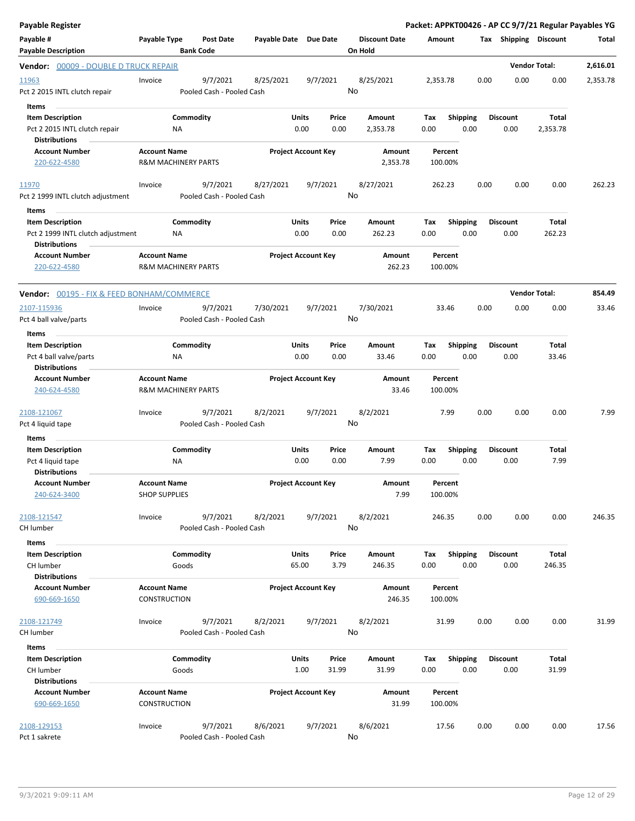| <b>Payable Register</b>                                                              |                                            |                                       |                       |                                 |                                 |                  |                    |                         |      |                         |                       | Packet: APPKT00426 - AP CC 9/7/21 Regular Payables YG |
|--------------------------------------------------------------------------------------|--------------------------------------------|---------------------------------------|-----------------------|---------------------------------|---------------------------------|------------------|--------------------|-------------------------|------|-------------------------|-----------------------|-------------------------------------------------------|
| Payable #<br><b>Payable Description</b>                                              | Payable Type                               | <b>Post Date</b><br><b>Bank Code</b>  | Payable Date Due Date |                                 | <b>Discount Date</b><br>On Hold |                  | Amount             |                         |      |                         | Tax Shipping Discount | Total                                                 |
| Vendor: 00009 - DOUBLE D TRUCK REPAIR                                                |                                            |                                       |                       |                                 |                                 |                  |                    |                         |      |                         | <b>Vendor Total:</b>  | 2,616.01                                              |
| 11963                                                                                | Invoice                                    | 9/7/2021                              | 8/25/2021             | 9/7/2021                        | 8/25/2021                       |                  | 2,353.78           |                         | 0.00 | 0.00                    | 0.00                  | 2,353.78                                              |
| Pct 2 2015 INTL clutch repair<br>Items                                               |                                            | Pooled Cash - Pooled Cash             |                       |                                 | No                              |                  |                    |                         |      |                         |                       |                                                       |
| <b>Item Description</b>                                                              |                                            | Commodity                             |                       | Units<br>Price                  | Amount                          |                  | Tax                | <b>Shipping</b>         |      | <b>Discount</b>         | Total                 |                                                       |
| Pct 2 2015 INTL clutch repair                                                        |                                            | NA                                    |                       | 0.00<br>0.00                    | 2,353.78                        |                  | 0.00               | 0.00                    |      | 0.00                    | 2,353.78              |                                                       |
| <b>Distributions</b>                                                                 |                                            |                                       |                       |                                 |                                 |                  |                    |                         |      |                         |                       |                                                       |
| <b>Account Number</b>                                                                | <b>Account Name</b>                        |                                       |                       | <b>Project Account Key</b>      |                                 | Amount           | Percent            |                         |      |                         |                       |                                                       |
| 220-622-4580                                                                         |                                            | <b>R&amp;M MACHINERY PARTS</b>        |                       |                                 |                                 | 2,353.78         | 100.00%            |                         |      |                         |                       |                                                       |
| 11970<br>Pct 2 1999 INTL clutch adjustment                                           | Invoice                                    | 9/7/2021<br>Pooled Cash - Pooled Cash | 8/27/2021             | 9/7/2021                        | 8/27/2021<br>No                 |                  | 262.23             |                         | 0.00 | 0.00                    | 0.00                  | 262.23                                                |
| Items                                                                                |                                            |                                       |                       |                                 |                                 |                  |                    |                         |      |                         |                       |                                                       |
| <b>Item Description</b><br>Pct 2 1999 INTL clutch adjustment<br><b>Distributions</b> |                                            | Commodity<br>NA                       |                       | Units<br>Price<br>0.00<br>0.00  | Amount<br>262.23                |                  | Tax<br>0.00        | <b>Shipping</b><br>0.00 |      | <b>Discount</b><br>0.00 | Total<br>262.23       |                                                       |
| <b>Account Number</b><br>220-622-4580                                                | <b>Account Name</b>                        | <b>R&amp;M MACHINERY PARTS</b>        |                       | <b>Project Account Key</b>      |                                 | Amount<br>262.23 | Percent<br>100.00% |                         |      |                         |                       |                                                       |
| Vendor: 00195 - FIX & FEED BONHAM/COMMERCE                                           |                                            |                                       |                       |                                 |                                 |                  |                    |                         |      |                         | <b>Vendor Total:</b>  | 854.49                                                |
| 2107-115936                                                                          | Invoice                                    | 9/7/2021                              | 7/30/2021             | 9/7/2021                        | 7/30/2021                       |                  | 33.46              |                         | 0.00 | 0.00                    | 0.00                  | 33.46                                                 |
| Pct 4 ball valve/parts                                                               |                                            | Pooled Cash - Pooled Cash             |                       |                                 | No                              |                  |                    |                         |      |                         |                       |                                                       |
| Items                                                                                |                                            |                                       |                       |                                 |                                 |                  |                    |                         |      |                         |                       |                                                       |
| <b>Item Description</b>                                                              |                                            | Commodity                             |                       | Units<br>Price                  | Amount                          |                  | Tax                | <b>Shipping</b>         |      | <b>Discount</b>         | Total                 |                                                       |
| Pct 4 ball valve/parts<br><b>Distributions</b>                                       |                                            | <b>NA</b>                             |                       | 0.00<br>0.00                    | 33.46                           |                  | 0.00               | 0.00                    |      | 0.00                    | 33.46                 |                                                       |
| <b>Account Number</b>                                                                | <b>Account Name</b>                        |                                       |                       | <b>Project Account Key</b>      |                                 | Amount           | Percent            |                         |      |                         |                       |                                                       |
| 240-624-4580                                                                         |                                            | <b>R&amp;M MACHINERY PARTS</b>        |                       |                                 |                                 | 33.46            | 100.00%            |                         |      |                         |                       |                                                       |
| 2108-121067                                                                          | Invoice                                    | 9/7/2021                              | 8/2/2021              | 9/7/2021                        | 8/2/2021                        |                  | 7.99               |                         | 0.00 | 0.00                    | 0.00                  | 7.99                                                  |
| Pct 4 liquid tape                                                                    |                                            | Pooled Cash - Pooled Cash             |                       |                                 | No                              |                  |                    |                         |      |                         |                       |                                                       |
| Items                                                                                |                                            |                                       |                       |                                 |                                 |                  |                    |                         |      |                         |                       |                                                       |
| <b>Item Description</b>                                                              |                                            | Commodity                             |                       | Units<br>Price                  | Amount                          |                  | Tax                | <b>Shipping</b>         |      | <b>Discount</b>         | Total                 |                                                       |
| Pct 4 liquid tape<br><b>Distributions</b>                                            |                                            | NA                                    |                       | 0.00<br>0.00                    | 7.99                            |                  | 0.00               | 0.00                    |      | 0.00                    | 7.99                  |                                                       |
| <b>Account Number</b>                                                                | <b>Account Name</b>                        |                                       |                       | <b>Project Account Key</b>      |                                 | Amount           | Percent            |                         |      |                         |                       |                                                       |
| 240-624-3400                                                                         | <b>SHOP SUPPLIES</b>                       |                                       |                       |                                 |                                 | 7.99             | 100.00%            |                         |      |                         |                       |                                                       |
| 2108-121547                                                                          | Invoice                                    | 9/7/2021                              | 8/2/2021              | 9/7/2021                        | 8/2/2021<br>No                  |                  | 246.35             |                         | 0.00 | 0.00                    | 0.00                  | 246.35                                                |
| CH lumber                                                                            |                                            | Pooled Cash - Pooled Cash             |                       |                                 |                                 |                  |                    |                         |      |                         |                       |                                                       |
| Items                                                                                |                                            |                                       |                       |                                 |                                 |                  |                    |                         |      |                         |                       |                                                       |
| <b>Item Description</b><br>CH lumber                                                 |                                            | Commodity<br>Goods                    |                       | Units<br>Price<br>65.00<br>3.79 | Amount<br>246.35                |                  | Tax<br>0.00        | <b>Shipping</b><br>0.00 |      | <b>Discount</b><br>0.00 | Total<br>246.35       |                                                       |
| <b>Distributions</b>                                                                 |                                            |                                       |                       |                                 |                                 |                  |                    |                         |      |                         |                       |                                                       |
| <b>Account Number</b><br>690-669-1650                                                | <b>Account Name</b><br><b>CONSTRUCTION</b> |                                       |                       | <b>Project Account Key</b>      |                                 | Amount<br>246.35 | Percent<br>100.00% |                         |      |                         |                       |                                                       |
| 2108-121749                                                                          |                                            | 9/7/2021                              |                       |                                 | 8/2/2021                        |                  | 31.99              |                         | 0.00 | 0.00                    | 0.00                  | 31.99                                                 |
| CH lumber                                                                            | Invoice                                    | Pooled Cash - Pooled Cash             | 8/2/2021              | 9/7/2021                        | No                              |                  |                    |                         |      |                         |                       |                                                       |
| Items                                                                                |                                            |                                       |                       |                                 |                                 |                  |                    |                         |      |                         |                       |                                                       |
| <b>Item Description</b>                                                              |                                            | Commodity                             |                       | Units<br>Price                  | Amount                          |                  | Tax                | <b>Shipping</b>         |      | <b>Discount</b>         | Total                 |                                                       |
| CH lumber                                                                            |                                            | Goods                                 |                       | 1.00<br>31.99                   | 31.99                           |                  | 0.00               | 0.00                    |      | 0.00                    | 31.99                 |                                                       |
| <b>Distributions</b>                                                                 |                                            |                                       |                       |                                 |                                 |                  |                    |                         |      |                         |                       |                                                       |
| <b>Account Number</b><br>690-669-1650                                                | <b>Account Name</b><br><b>CONSTRUCTION</b> |                                       |                       | <b>Project Account Key</b>      |                                 | Amount<br>31.99  | Percent<br>100.00% |                         |      |                         |                       |                                                       |
| 2108-129153                                                                          | Invoice                                    | 9/7/2021                              | 8/6/2021              | 9/7/2021                        | 8/6/2021                        |                  | 17.56              |                         | 0.00 | 0.00                    | 0.00                  | 17.56                                                 |
| Pct 1 sakrete                                                                        |                                            | Pooled Cash - Pooled Cash             |                       |                                 | No                              |                  |                    |                         |      |                         |                       |                                                       |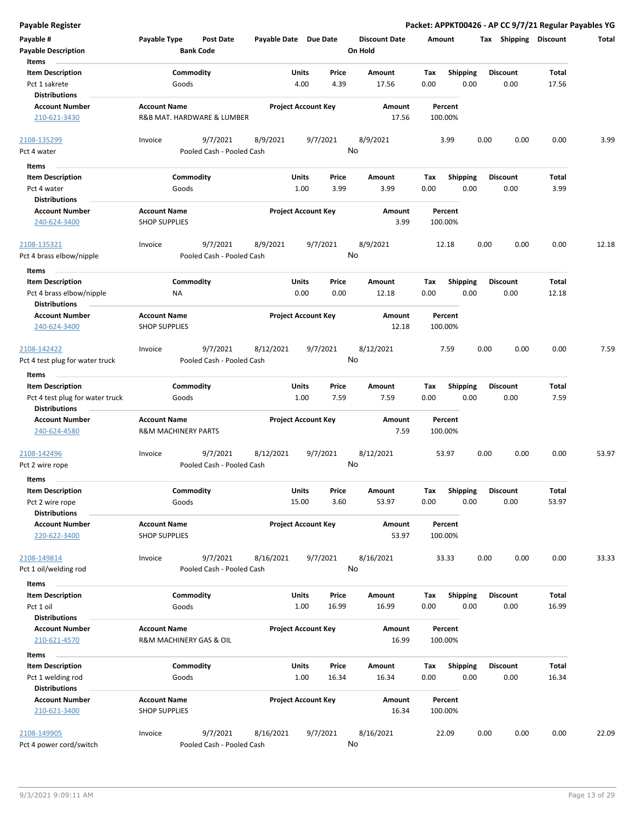| Payable #<br><b>Payable Description</b><br>Items                     | Payable Type                                          | <b>Post Date</b><br><b>Bank Code</b>  | Payable Date Due Date |                                 | <b>Discount Date</b><br>On Hold | Amount             |                         |      | Tax Shipping            | <b>Discount</b>       | Total |
|----------------------------------------------------------------------|-------------------------------------------------------|---------------------------------------|-----------------------|---------------------------------|---------------------------------|--------------------|-------------------------|------|-------------------------|-----------------------|-------|
| <b>Item Description</b>                                              |                                                       | Commodity                             |                       | Units<br>Price                  | Amount                          | Tax                | <b>Shipping</b>         |      | <b>Discount</b>         | Total                 |       |
| Pct 1 sakrete                                                        | Goods                                                 |                                       |                       | 4.00<br>4.39                    | 17.56                           | 0.00               | 0.00                    |      | 0.00                    | 17.56                 |       |
| <b>Distributions</b>                                                 |                                                       |                                       |                       |                                 |                                 |                    |                         |      |                         |                       |       |
| <b>Account Number</b><br>210-621-3430                                | <b>Account Name</b>                                   | R&B MAT. HARDWARE & LUMBER            |                       | <b>Project Account Key</b>      | Amount<br>17.56                 | Percent<br>100.00% |                         |      |                         |                       |       |
| 2108-135299<br>Pct 4 water                                           | Invoice                                               | 9/7/2021<br>Pooled Cash - Pooled Cash | 8/9/2021              | 9/7/2021                        | 8/9/2021<br>No                  | 3.99               |                         | 0.00 | 0.00                    | 0.00                  | 3.99  |
| Items                                                                |                                                       |                                       |                       |                                 |                                 |                    |                         |      |                         |                       |       |
| <b>Item Description</b>                                              |                                                       | Commodity                             |                       | Units<br>Price                  | Amount                          | Tax                | <b>Shipping</b>         |      | <b>Discount</b>         | Total                 |       |
| Pct 4 water                                                          | Goods                                                 |                                       |                       | 1.00<br>3.99                    | 3.99                            | 0.00               | 0.00                    |      | 0.00                    | 3.99                  |       |
| <b>Distributions</b>                                                 |                                                       |                                       |                       |                                 |                                 |                    |                         |      |                         |                       |       |
| <b>Account Number</b><br>240-624-3400                                | <b>Account Name</b><br><b>SHOP SUPPLIES</b>           |                                       |                       | <b>Project Account Key</b>      | Amount<br>3.99                  | Percent<br>100.00% |                         |      |                         |                       |       |
| <u>2108-135321</u><br>Pct 4 brass elbow/nipple                       | Invoice                                               | 9/7/2021<br>Pooled Cash - Pooled Cash | 8/9/2021              | 9/7/2021                        | 8/9/2021<br>No                  | 12.18              |                         | 0.00 | 0.00                    | 0.00                  | 12.18 |
| Items                                                                |                                                       |                                       |                       |                                 |                                 |                    |                         |      |                         |                       |       |
| <b>Item Description</b>                                              |                                                       | Commodity                             |                       | Units<br>Price                  | Amount                          | Tax                | <b>Shipping</b>         |      | <b>Discount</b>         | Total                 |       |
| Pct 4 brass elbow/nipple                                             | ΝA                                                    |                                       |                       | 0.00<br>0.00                    | 12.18                           | 0.00               | 0.00                    |      | 0.00                    | 12.18                 |       |
| <b>Distributions</b>                                                 |                                                       |                                       |                       |                                 |                                 |                    |                         |      |                         |                       |       |
| <b>Account Number</b>                                                | <b>Account Name</b>                                   |                                       |                       | <b>Project Account Key</b>      | Amount                          | Percent            |                         |      |                         |                       |       |
| 240-624-3400                                                         | <b>SHOP SUPPLIES</b>                                  |                                       |                       |                                 | 12.18                           | 100.00%            |                         |      |                         |                       |       |
| 2108-142422<br>Pct 4 test plug for water truck                       | Invoice                                               | 9/7/2021<br>Pooled Cash - Pooled Cash | 8/12/2021             | 9/7/2021                        | 8/12/2021<br>No                 | 7.59               |                         | 0.00 | 0.00                    | 0.00                  | 7.59  |
| Items                                                                |                                                       |                                       |                       |                                 |                                 |                    |                         |      |                         |                       |       |
| <b>Item Description</b>                                              |                                                       | Commodity                             |                       | Units<br>Price                  | Amount                          | Tax                | <b>Shipping</b>         |      | <b>Discount</b>         | Total                 |       |
| Pct 4 test plug for water truck<br><b>Distributions</b>              | Goods                                                 |                                       |                       | 1.00<br>7.59                    | 7.59                            | 0.00               | 0.00                    |      | 0.00                    | 7.59                  |       |
| <b>Account Number</b><br>240-624-4580                                | <b>Account Name</b><br><b>R&amp;M MACHINERY PARTS</b> |                                       |                       | <b>Project Account Key</b>      | Amount<br>7.59                  | Percent<br>100.00% |                         |      |                         |                       |       |
| <u>2108-142496</u><br>Pct 2 wire rope                                | Invoice                                               | 9/7/2021<br>Pooled Cash - Pooled Cash | 8/12/2021             | 9/7/2021                        | 8/12/2021<br>No                 | 53.97              |                         | 0.00 | 0.00                    | 0.00                  | 53.97 |
| <b>Items</b>                                                         |                                                       |                                       |                       |                                 |                                 |                    |                         |      |                         |                       |       |
| <b>Item Description</b><br>Pct 2 wire rope<br><b>Distributions</b>   | Goods                                                 | Commodity                             |                       | Units<br>Price<br>15.00<br>3.60 | Amount<br>53.97                 | Tax<br>0.00        | <b>Shipping</b><br>0.00 |      | <b>Discount</b><br>0.00 | <b>Total</b><br>53.97 |       |
| <b>Account Number</b><br>220-622-3400                                | <b>Account Name</b><br><b>SHOP SUPPLIES</b>           |                                       |                       | <b>Project Account Key</b>      | Amount<br>53.97                 | Percent<br>100.00% |                         |      |                         |                       |       |
| 2108-149814<br>Pct 1 oil/welding rod                                 | Invoice                                               | 9/7/2021<br>Pooled Cash - Pooled Cash | 8/16/2021             | 9/7/2021                        | 8/16/2021<br>No                 | 33.33              |                         | 0.00 | 0.00                    | 0.00                  | 33.33 |
| Items                                                                |                                                       |                                       |                       |                                 |                                 |                    |                         |      |                         |                       |       |
| <b>Item Description</b><br>Pct 1 oil                                 | Goods                                                 | Commodity                             |                       | Units<br>Price<br>1.00<br>16.99 | Amount<br>16.99                 | Tax<br>0.00        | <b>Shipping</b><br>0.00 |      | <b>Discount</b><br>0.00 | Total<br>16.99        |       |
| <b>Distributions</b><br><b>Account Number</b><br>210-621-4570        | <b>Account Name</b><br>R&M MACHINERY GAS & OIL        |                                       |                       | <b>Project Account Key</b>      | Amount<br>16.99                 | Percent<br>100.00% |                         |      |                         |                       |       |
| Items                                                                |                                                       |                                       |                       |                                 |                                 |                    |                         |      |                         |                       |       |
| <b>Item Description</b><br>Pct 1 welding rod<br><b>Distributions</b> | Goods                                                 | Commodity                             |                       | Units<br>Price<br>1.00<br>16.34 | Amount<br>16.34                 | Tax<br>0.00        | <b>Shipping</b><br>0.00 |      | <b>Discount</b><br>0.00 | <b>Total</b><br>16.34 |       |
| <b>Account Number</b><br>210-621-3400                                | <b>Account Name</b><br><b>SHOP SUPPLIES</b>           |                                       |                       | <b>Project Account Key</b>      | Amount<br>16.34                 | Percent<br>100.00% |                         |      |                         |                       |       |
| 2108-149905<br>Pct 4 power cord/switch                               | Invoice                                               | 9/7/2021<br>Pooled Cash - Pooled Cash | 8/16/2021             | 9/7/2021                        | 8/16/2021<br>No                 | 22.09              |                         | 0.00 | 0.00                    | 0.00                  | 22.09 |

**Payable Register Packet: APPKT00426 - AP CC 9/7/21 Regular Payables YG**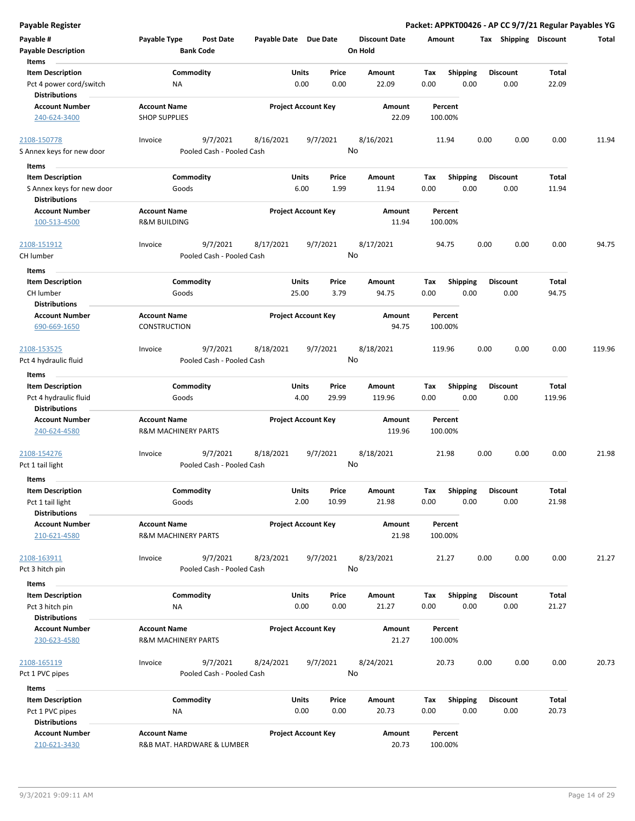| Payable #                                         | Payable Type                   | <b>Post Date</b>                      | Payable Date Due Date |                            |       | <b>Discount Date</b> | Amount  |                 | Tax  | <b>Shipping</b> | <b>Discount</b> | <b>Total</b> |
|---------------------------------------------------|--------------------------------|---------------------------------------|-----------------------|----------------------------|-------|----------------------|---------|-----------------|------|-----------------|-----------------|--------------|
| <b>Payable Description</b>                        |                                | <b>Bank Code</b>                      |                       |                            |       | On Hold              |         |                 |      |                 |                 |              |
| Items                                             |                                |                                       |                       |                            |       |                      |         |                 |      |                 |                 |              |
| <b>Item Description</b>                           |                                | Commodity                             |                       | Units                      | Price | Amount               | Tax     | Shipping        |      | <b>Discount</b> | Total           |              |
| Pct 4 power cord/switch                           | ΝA                             |                                       |                       | 0.00                       | 0.00  | 22.09                | 0.00    | 0.00            |      | 0.00            | 22.09           |              |
| <b>Distributions</b>                              |                                |                                       |                       |                            |       |                      |         |                 |      |                 |                 |              |
| <b>Account Number</b>                             | <b>Account Name</b>            |                                       |                       | <b>Project Account Key</b> |       | Amount               | Percent |                 |      |                 |                 |              |
| 240-624-3400                                      | <b>SHOP SUPPLIES</b>           |                                       |                       |                            |       | 22.09                | 100.00% |                 |      |                 |                 |              |
|                                                   |                                |                                       |                       |                            |       | 8/16/2021            |         |                 |      |                 |                 |              |
| 2108-150778<br>S Annex keys for new door          | Invoice                        | 9/7/2021<br>Pooled Cash - Pooled Cash | 8/16/2021             | 9/7/2021                   | No    |                      | 11.94   |                 | 0.00 | 0.00            | 0.00            | 11.94        |
|                                                   |                                |                                       |                       |                            |       |                      |         |                 |      |                 |                 |              |
| Items                                             |                                |                                       |                       |                            |       |                      |         |                 |      |                 |                 |              |
| <b>Item Description</b>                           |                                | Commodity                             |                       | <b>Units</b>               | Price | Amount               | Tax     | <b>Shipping</b> |      | <b>Discount</b> | Total           |              |
| S Annex keys for new door<br><b>Distributions</b> | Goods                          |                                       |                       | 6.00                       | 1.99  | 11.94                | 0.00    | 0.00            |      | 0.00            | 11.94           |              |
| <b>Account Number</b>                             | <b>Account Name</b>            |                                       |                       | <b>Project Account Key</b> |       | Amount               | Percent |                 |      |                 |                 |              |
| 100-513-4500                                      | <b>R&amp;M BUILDING</b>        |                                       |                       |                            |       | 11.94                | 100.00% |                 |      |                 |                 |              |
|                                                   |                                |                                       |                       |                            |       |                      |         |                 |      |                 |                 |              |
| <u>2108-151912</u>                                | Invoice                        | 9/7/2021                              | 8/17/2021             | 9/7/2021                   |       | 8/17/2021            | 94.75   |                 | 0.00 | 0.00            | 0.00            | 94.75        |
| CH lumber                                         |                                | Pooled Cash - Pooled Cash             |                       |                            | No    |                      |         |                 |      |                 |                 |              |
|                                                   |                                |                                       |                       |                            |       |                      |         |                 |      |                 |                 |              |
| Items<br><b>Item Description</b>                  |                                | Commodity                             |                       | Units                      | Price | Amount               | Tax     | <b>Shipping</b> |      | Discount        | Total           |              |
| CH lumber                                         | Goods                          |                                       |                       | 25.00                      | 3.79  | 94.75                | 0.00    | 0.00            |      | 0.00            | 94.75           |              |
| <b>Distributions</b>                              |                                |                                       |                       |                            |       |                      |         |                 |      |                 |                 |              |
| <b>Account Number</b>                             | <b>Account Name</b>            |                                       |                       | <b>Project Account Key</b> |       | Amount               | Percent |                 |      |                 |                 |              |
| 690-669-1650                                      | CONSTRUCTION                   |                                       |                       |                            |       | 94.75                | 100.00% |                 |      |                 |                 |              |
|                                                   |                                |                                       |                       |                            |       |                      |         |                 |      |                 |                 |              |
| 2108-153525                                       | Invoice                        | 9/7/2021                              | 8/18/2021             | 9/7/2021                   |       | 8/18/2021            | 119.96  |                 | 0.00 | 0.00            | 0.00            | 119.96       |
| Pct 4 hydraulic fluid                             |                                | Pooled Cash - Pooled Cash             |                       |                            | No    |                      |         |                 |      |                 |                 |              |
| Items                                             |                                |                                       |                       |                            |       |                      |         |                 |      |                 |                 |              |
| <b>Item Description</b>                           |                                | Commodity                             |                       | Units                      | Price | Amount               | Tax     | <b>Shipping</b> |      | <b>Discount</b> | Total           |              |
| Pct 4 hydraulic fluid                             | Goods                          |                                       |                       | 4.00                       | 29.99 | 119.96               | 0.00    | 0.00            |      | 0.00            | 119.96          |              |
| <b>Distributions</b>                              |                                |                                       |                       |                            |       |                      |         |                 |      |                 |                 |              |
| <b>Account Number</b>                             | <b>Account Name</b>            |                                       |                       | <b>Project Account Key</b> |       | Amount               | Percent |                 |      |                 |                 |              |
| 240-624-4580                                      | <b>R&amp;M MACHINERY PARTS</b> |                                       |                       |                            |       | 119.96               | 100.00% |                 |      |                 |                 |              |
|                                                   |                                |                                       |                       |                            |       |                      |         |                 |      |                 |                 |              |
| 2108-154276                                       | Invoice                        | 9/7/2021                              | 8/18/2021             | 9/7/2021                   |       | 8/18/2021            | 21.98   |                 | 0.00 | 0.00            | 0.00            | 21.98        |
| Pct 1 tail light                                  |                                | Pooled Cash - Pooled Cash             |                       |                            | No    |                      |         |                 |      |                 |                 |              |
| Items                                             |                                |                                       |                       |                            |       |                      |         |                 |      |                 |                 |              |
| <b>Item Description</b>                           |                                | Commodity                             |                       | Units                      | Price | Amount               | Тах     | <b>Shipping</b> |      | <b>Discount</b> | Total           |              |
| Pct 1 tail light                                  | Goods                          |                                       |                       | 2.00                       | 10.99 | 21.98                | 0.00    | 0.00            |      | 0.00            | 21.98           |              |
| <b>Distributions</b>                              |                                |                                       |                       |                            |       |                      |         |                 |      |                 |                 |              |
| <b>Account Number</b>                             | <b>Account Name</b>            |                                       |                       | <b>Project Account Key</b> |       | Amount               | Percent |                 |      |                 |                 |              |
| 210-621-4580                                      | <b>R&amp;M MACHINERY PARTS</b> |                                       |                       |                            |       | 21.98                | 100.00% |                 |      |                 |                 |              |
|                                                   |                                |                                       |                       |                            |       |                      |         |                 |      |                 |                 |              |
| 2108-163911                                       | Invoice                        | 9/7/2021                              | 8/23/2021             | 9/7/2021                   |       | 8/23/2021            | 21.27   |                 | 0.00 | 0.00            | 0.00            | 21.27        |
| Pct 3 hitch pin                                   |                                | Pooled Cash - Pooled Cash             |                       |                            | No    |                      |         |                 |      |                 |                 |              |
| Items                                             |                                |                                       |                       |                            |       |                      |         |                 |      |                 |                 |              |
| <b>Item Description</b>                           |                                | Commodity                             |                       | Units                      | Price | Amount               | Tax     | Shipping        |      | <b>Discount</b> | Total           |              |
| Pct 3 hitch pin                                   | ΝA                             |                                       |                       | 0.00                       | 0.00  | 21.27                | 0.00    | 0.00            |      | 0.00            | 21.27           |              |
| <b>Distributions</b>                              |                                |                                       |                       |                            |       |                      |         |                 |      |                 |                 |              |
| <b>Account Number</b>                             | <b>Account Name</b>            |                                       |                       | <b>Project Account Key</b> |       | Amount               | Percent |                 |      |                 |                 |              |
| 230-623-4580                                      | <b>R&amp;M MACHINERY PARTS</b> |                                       |                       |                            |       | 21.27                | 100.00% |                 |      |                 |                 |              |
|                                                   |                                |                                       |                       |                            |       |                      |         |                 |      |                 |                 |              |
| 2108-165119                                       | Invoice                        | 9/7/2021                              | 8/24/2021             | 9/7/2021                   |       | 8/24/2021            |         | 20.73           | 0.00 | 0.00            | 0.00            | 20.73        |
| Pct 1 PVC pipes                                   |                                | Pooled Cash - Pooled Cash             |                       |                            | No    |                      |         |                 |      |                 |                 |              |
| Items                                             |                                |                                       |                       |                            |       |                      |         |                 |      |                 |                 |              |
| <b>Item Description</b>                           |                                | Commodity                             |                       | <b>Units</b>               | Price | Amount               | Tax     | Shipping        |      | <b>Discount</b> | Total           |              |
| Pct 1 PVC pipes                                   | <b>NA</b>                      |                                       |                       | 0.00                       | 0.00  | 20.73                | 0.00    | 0.00            |      | 0.00            | 20.73           |              |
| <b>Distributions</b>                              |                                |                                       |                       |                            |       |                      |         |                 |      |                 |                 |              |
| <b>Account Number</b>                             | <b>Account Name</b>            |                                       |                       | <b>Project Account Key</b> |       | Amount               | Percent |                 |      |                 |                 |              |
| 210-621-3430                                      |                                | R&B MAT. HARDWARE & LUMBER            |                       |                            |       | 20.73                | 100.00% |                 |      |                 |                 |              |

**Payable Register Packet: APPKT00426 - AP CC 9/7/21 Regular Payables YG**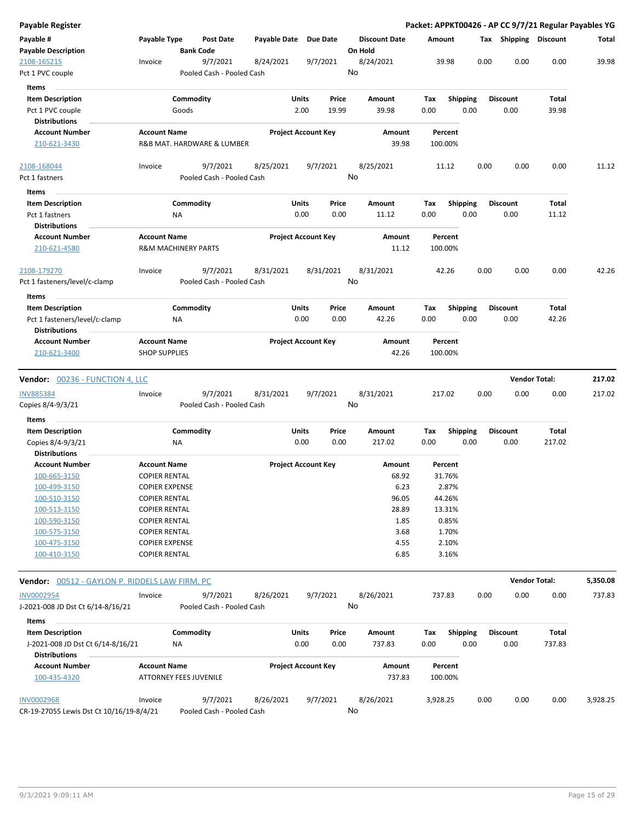| <b>Payable Register</b>                                       |                                             |                                       |              |                                |                                 | Packet: APPKT00426 - AP CC 9/7/21 Regular Payables YG |                         |                         |                      |          |
|---------------------------------------------------------------|---------------------------------------------|---------------------------------------|--------------|--------------------------------|---------------------------------|-------------------------------------------------------|-------------------------|-------------------------|----------------------|----------|
| Payable #<br><b>Payable Description</b>                       | Payable Type                                | Post Date<br><b>Bank Code</b>         | Payable Date | Due Date                       | <b>Discount Date</b><br>On Hold | Amount                                                |                         | Tax Shipping Discount   |                      | Total    |
| 2108-165215<br>Pct 1 PVC couple                               | Invoice                                     | 9/7/2021<br>Pooled Cash - Pooled Cash | 8/24/2021    | 9/7/2021                       | 8/24/2021<br>No                 | 39.98                                                 | 0.00                    | 0.00                    | 0.00                 | 39.98    |
| Items                                                         |                                             |                                       |              |                                |                                 |                                                       |                         |                         |                      |          |
| <b>Item Description</b>                                       |                                             | Commodity                             |              | Units<br>Price                 | Amount                          | Tax                                                   | <b>Shipping</b>         | <b>Discount</b>         | Total                |          |
| Pct 1 PVC couple                                              |                                             | Goods                                 |              | 2.00<br>19.99                  | 39.98                           | 0.00                                                  | 0.00                    | 0.00                    | 39.98                |          |
| <b>Distributions</b><br><b>Account Number</b>                 | <b>Account Name</b>                         |                                       |              | <b>Project Account Key</b>     | Amount                          | Percent                                               |                         |                         |                      |          |
| 210-621-3430                                                  |                                             | R&B MAT. HARDWARE & LUMBER            |              |                                | 39.98                           | 100.00%                                               |                         |                         |                      |          |
| 2108-168044                                                   | Invoice                                     | 9/7/2021                              | 8/25/2021    | 9/7/2021                       | 8/25/2021                       | 11.12                                                 | 0.00                    | 0.00                    | 0.00                 | 11.12    |
| Pct 1 fastners                                                |                                             | Pooled Cash - Pooled Cash             |              |                                | No                              |                                                       |                         |                         |                      |          |
| Items                                                         |                                             |                                       |              |                                |                                 |                                                       |                         |                         |                      |          |
| <b>Item Description</b>                                       |                                             | Commodity                             |              | Units<br>Price                 | Amount                          | Tax                                                   | <b>Shipping</b>         | <b>Discount</b>         | Total                |          |
| Pct 1 fastners<br><b>Distributions</b>                        |                                             | ΝA                                    |              | 0.00<br>0.00                   | 11.12                           | 0.00                                                  | 0.00                    | 0.00                    | 11.12                |          |
| <b>Account Number</b><br>210-621-4580                         | <b>Account Name</b>                         | <b>R&amp;M MACHINERY PARTS</b>        |              | <b>Project Account Key</b>     | Amount<br>11.12                 | Percent<br>100.00%                                    |                         |                         |                      |          |
| 2108-179270<br>Pct 1 fasteners/level/c-clamp                  | Invoice                                     | 9/7/2021<br>Pooled Cash - Pooled Cash | 8/31/2021    | 8/31/2021                      | 8/31/2021<br>No                 | 42.26                                                 | 0.00                    | 0.00                    | 0.00                 | 42.26    |
| Items                                                         |                                             |                                       |              |                                |                                 |                                                       |                         |                         |                      |          |
| <b>Item Description</b><br>Pct 1 fasteners/level/c-clamp      |                                             | Commodity<br>ΝA                       |              | Units<br>Price<br>0.00<br>0.00 | Amount<br>42.26                 | Tax<br>0.00                                           | <b>Shipping</b><br>0.00 | <b>Discount</b><br>0.00 | Total<br>42.26       |          |
| <b>Distributions</b>                                          |                                             |                                       |              |                                |                                 |                                                       |                         |                         |                      |          |
| <b>Account Number</b><br>210-621-3400                         | <b>Account Name</b><br><b>SHOP SUPPLIES</b> |                                       |              | <b>Project Account Key</b>     | Amount<br>42.26                 | Percent<br>100.00%                                    |                         |                         |                      |          |
| <b>Vendor: 00236 - FUNCTION 4, LLC</b>                        |                                             |                                       |              |                                |                                 |                                                       |                         |                         | <b>Vendor Total:</b> | 217.02   |
| <b>INV885384</b><br>Copies 8/4-9/3/21                         | Invoice                                     | 9/7/2021<br>Pooled Cash - Pooled Cash | 8/31/2021    | 9/7/2021                       | 8/31/2021<br>No                 | 217.02                                                | 0.00                    | 0.00                    | 0.00                 | 217.02   |
| Items                                                         |                                             |                                       |              |                                |                                 |                                                       |                         |                         |                      |          |
| <b>Item Description</b>                                       |                                             | Commodity                             |              | Units<br>Price                 | Amount                          | Tax                                                   | <b>Shipping</b>         | <b>Discount</b>         | Total                |          |
| Copies 8/4-9/3/21<br><b>Distributions</b>                     |                                             | NA.                                   |              | 0.00<br>0.00                   | 217.02                          | 0.00                                                  | 0.00                    | 0.00                    | 217.02               |          |
| <b>Account Number</b>                                         | <b>Account Name</b>                         |                                       |              | <b>Project Account Key</b>     | Amount                          | Percent                                               |                         |                         |                      |          |
| 100-665-3150                                                  | <b>COPIER RENTAL</b>                        |                                       |              |                                | 68.92                           | 31.76%                                                |                         |                         |                      |          |
| 100-499-3150                                                  | <b>COPIER EXPENSE</b>                       |                                       |              |                                | 6.23                            | 2.87%                                                 |                         |                         |                      |          |
| 100-510-3150                                                  | <b>COPIER RENTAL</b>                        |                                       |              |                                | 96.05                           | 44.26%                                                |                         |                         |                      |          |
| 100-513-3150                                                  | <b>COPIER RENTAL</b>                        |                                       |              |                                | 28.89                           | 13.31%                                                |                         |                         |                      |          |
| 100-590-3150                                                  | <b>COPIER RENTAL</b>                        |                                       |              |                                | 1.85                            | 0.85%                                                 |                         |                         |                      |          |
| 100-575-3150                                                  | <b>COPIER RENTAL</b>                        |                                       |              |                                | 3.68                            | 1.70%                                                 |                         |                         |                      |          |
| 100-475-3150                                                  | <b>COPIER EXPENSE</b>                       |                                       |              |                                | 4.55                            | 2.10%                                                 |                         |                         |                      |          |
| 100-410-3150                                                  | <b>COPIER RENTAL</b>                        |                                       |              |                                | 6.85                            | 3.16%                                                 |                         |                         |                      |          |
| Vendor: 00512 - GAYLON P. RIDDELS LAW FIRM, PC                |                                             |                                       |              |                                |                                 |                                                       |                         |                         | <b>Vendor Total:</b> | 5,350.08 |
| <b>INV0002954</b>                                             | Invoice                                     | 9/7/2021                              | 8/26/2021    | 9/7/2021                       | 8/26/2021                       | 737.83                                                | 0.00                    | 0.00                    | 0.00                 | 737.83   |
| J-2021-008 JD Dst Ct 6/14-8/16/21                             |                                             | Pooled Cash - Pooled Cash             |              |                                | No                              |                                                       |                         |                         |                      |          |
| Items                                                         |                                             |                                       |              |                                |                                 |                                                       |                         |                         |                      |          |
| <b>Item Description</b>                                       |                                             | Commodity                             |              | Units<br>Price                 | Amount                          | Tax                                                   | Shipping                | <b>Discount</b>         | Total                |          |
| J-2021-008 JD Dst Ct 6/14-8/16/21<br><b>Distributions</b>     |                                             | NA                                    |              | 0.00<br>0.00                   | 737.83                          | 0.00                                                  | 0.00                    | 0.00                    | 737.83               |          |
| <b>Account Number</b>                                         | <b>Account Name</b>                         |                                       |              | <b>Project Account Key</b>     | Amount                          | Percent                                               |                         |                         |                      |          |
| 100-435-4320                                                  |                                             | <b>ATTORNEY FEES JUVENILE</b>         |              |                                | 737.83                          | 100.00%                                               |                         |                         |                      |          |
| <b>INV0002968</b><br>CR-19-27055 Lewis Dst Ct 10/16/19-8/4/21 | Invoice                                     | 9/7/2021<br>Pooled Cash - Pooled Cash | 8/26/2021    | 9/7/2021                       | 8/26/2021<br>No                 | 3,928.25                                              | 0.00                    | 0.00                    | 0.00                 | 3,928.25 |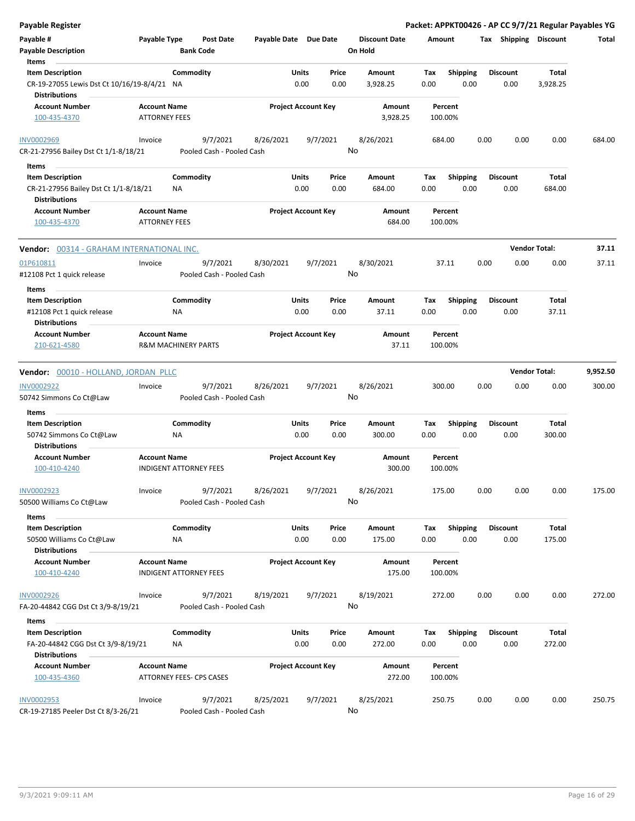| Payable Register                                                                                  |                                             |                                      |                                        |                            |               |                                 |                    |                         |      |                         | Packet: APPKT00426 - AP CC 9/7/21 Regular Payables YG |          |
|---------------------------------------------------------------------------------------------------|---------------------------------------------|--------------------------------------|----------------------------------------|----------------------------|---------------|---------------------------------|--------------------|-------------------------|------|-------------------------|-------------------------------------------------------|----------|
| Payable #<br><b>Payable Description</b>                                                           | Payable Type                                | <b>Post Date</b><br><b>Bank Code</b> |                                        | Payable Date Due Date      |               | <b>Discount Date</b><br>On Hold | Amount             |                         |      | Tax Shipping Discount   |                                                       | Total    |
| Items<br><b>Item Description</b><br>CR-19-27055 Lewis Dst Ct 10/16/19-8/4/21 NA                   |                                             | Commodity                            |                                        | Units<br>0.00              | Price<br>0.00 | Amount<br>3,928.25              | Tax<br>0.00        | <b>Shipping</b><br>0.00 |      | <b>Discount</b><br>0.00 | Total<br>3,928.25                                     |          |
| <b>Distributions</b><br><b>Account Number</b><br>100-435-4370                                     | <b>Account Name</b><br><b>ATTORNEY FEES</b> |                                      |                                        | <b>Project Account Key</b> |               | Amount<br>3,928.25              | Percent<br>100.00% |                         |      |                         |                                                       |          |
| <b>INV0002969</b><br>CR-21-27956 Bailey Dst Ct 1/1-8/18/21                                        | Invoice                                     | 9/7/2021                             | 8/26/2021<br>Pooled Cash - Pooled Cash |                            | 9/7/2021      | 8/26/2021<br>No                 | 684.00             |                         | 0.00 | 0.00                    | 0.00                                                  | 684.00   |
|                                                                                                   |                                             |                                      |                                        |                            |               |                                 |                    |                         |      |                         |                                                       |          |
| Items<br><b>Item Description</b><br>CR-21-27956 Bailey Dst Ct 1/1-8/18/21<br><b>Distributions</b> |                                             | Commodity<br><b>NA</b>               |                                        | Units<br>0.00              | Price<br>0.00 | Amount<br>684.00                | Tax<br>0.00        | <b>Shipping</b><br>0.00 |      | <b>Discount</b><br>0.00 | <b>Total</b><br>684.00                                |          |
| <b>Account Number</b><br>100-435-4370                                                             | <b>Account Name</b><br><b>ATTORNEY FEES</b> |                                      |                                        | <b>Project Account Key</b> |               | Amount<br>684.00                | Percent<br>100.00% |                         |      |                         |                                                       |          |
| Vendor: 00314 - GRAHAM INTERNATIONAL INC.                                                         |                                             |                                      |                                        |                            |               |                                 |                    |                         |      |                         | <b>Vendor Total:</b>                                  | 37.11    |
| 01P610811<br>#12108 Pct 1 quick release                                                           | Invoice                                     | 9/7/2021                             | 8/30/2021<br>Pooled Cash - Pooled Cash |                            | 9/7/2021      | 8/30/2021<br>No                 | 37.11              |                         | 0.00 | 0.00                    | 0.00                                                  | 37.11    |
| Items                                                                                             |                                             |                                      |                                        |                            |               |                                 |                    |                         |      |                         |                                                       |          |
| <b>Item Description</b><br>#12108 Pct 1 quick release                                             |                                             | Commodity<br>ΝA                      |                                        | Units<br>0.00              | Price<br>0.00 | Amount<br>37.11                 | Tax<br>0.00        | <b>Shipping</b><br>0.00 |      | <b>Discount</b><br>0.00 | Total<br>37.11                                        |          |
| <b>Distributions</b>                                                                              |                                             |                                      |                                        | <b>Project Account Key</b> |               |                                 | Percent            |                         |      |                         |                                                       |          |
| <b>Account Number</b><br>210-621-4580                                                             | <b>Account Name</b>                         | <b>R&amp;M MACHINERY PARTS</b>       |                                        |                            |               | Amount<br>37.11                 | 100.00%            |                         |      |                         |                                                       |          |
| Vendor: 00010 - HOLLAND, JORDAN PLLC                                                              |                                             |                                      |                                        |                            |               |                                 |                    |                         |      |                         | <b>Vendor Total:</b>                                  | 9,952.50 |
| INV0002922<br>50742 Simmons Co Ct@Law                                                             | Invoice                                     | 9/7/2021                             | 8/26/2021<br>Pooled Cash - Pooled Cash |                            | 9/7/2021      | 8/26/2021<br>No                 | 300.00             |                         | 0.00 | 0.00                    | 0.00                                                  | 300.00   |
| Items                                                                                             |                                             |                                      |                                        |                            |               |                                 |                    |                         |      |                         |                                                       |          |
| <b>Item Description</b>                                                                           |                                             | Commodity                            |                                        | Units                      | Price         | Amount                          | Tax                | Shipping                |      | <b>Discount</b>         | Total                                                 |          |
| 50742 Simmons Co Ct@Law<br><b>Distributions</b>                                                   |                                             | ΝA                                   |                                        | 0.00                       | 0.00          | 300.00                          | 0.00               | 0.00                    |      | 0.00                    | 300.00                                                |          |
| <b>Account Number</b><br>100-410-4240                                                             | <b>Account Name</b>                         | <b>INDIGENT ATTORNEY FEES</b>        |                                        | <b>Project Account Key</b> |               | <b>Amount</b><br>300.00         | Percent<br>100.00% |                         |      |                         |                                                       |          |
| INV0002923<br>50500 Williams Co Ct@Law                                                            | Invoice                                     | 9/7/2021                             | 8/26/2021<br>Pooled Cash - Pooled Cash |                            | 9/7/2021      | 8/26/2021<br>No                 | 175.00             |                         | 0.00 | 0.00                    | 0.00                                                  | 175.00   |
| Items                                                                                             |                                             |                                      |                                        |                            |               |                                 |                    |                         |      |                         |                                                       |          |
| <b>Item Description</b><br>50500 Williams Co Ct@Law<br><b>Distributions</b>                       |                                             | Commodity<br>NA                      |                                        | Units<br>0.00              | Price<br>0.00 | Amount<br>175.00                | Tax<br>0.00        | <b>Shipping</b><br>0.00 |      | <b>Discount</b><br>0.00 | Total<br>175.00                                       |          |
| <b>Account Number</b><br>100-410-4240                                                             | <b>Account Name</b>                         | <b>INDIGENT ATTORNEY FEES</b>        |                                        | <b>Project Account Key</b> |               | Amount<br>175.00                | Percent<br>100.00% |                         |      |                         |                                                       |          |
| <b>INV0002926</b><br>FA-20-44842 CGG Dst Ct 3/9-8/19/21                                           | Invoice                                     | 9/7/2021                             | 8/19/2021<br>Pooled Cash - Pooled Cash |                            | 9/7/2021      | 8/19/2021<br>No                 | 272.00             |                         | 0.00 | 0.00                    | 0.00                                                  | 272.00   |
| Items                                                                                             |                                             |                                      |                                        |                            |               |                                 |                    |                         |      |                         |                                                       |          |
| <b>Item Description</b><br>FA-20-44842 CGG Dst Ct 3/9-8/19/21<br><b>Distributions</b>             |                                             | Commodity<br>NA                      |                                        | Units<br>0.00              | Price<br>0.00 | Amount<br>272.00                | Tax<br>0.00        | <b>Shipping</b><br>0.00 |      | <b>Discount</b><br>0.00 | Total<br>272.00                                       |          |
| <b>Account Number</b><br>100-435-4360                                                             | <b>Account Name</b>                         | ATTORNEY FEES- CPS CASES             |                                        | <b>Project Account Key</b> |               | Amount<br>272.00                | Percent<br>100.00% |                         |      |                         |                                                       |          |
| <b>INV0002953</b><br>CR-19-27185 Peeler Dst Ct 8/3-26/21                                          | Invoice                                     | 9/7/2021                             | 8/25/2021<br>Pooled Cash - Pooled Cash |                            | 9/7/2021      | 8/25/2021<br>No                 | 250.75             |                         | 0.00 | 0.00                    | 0.00                                                  | 250.75   |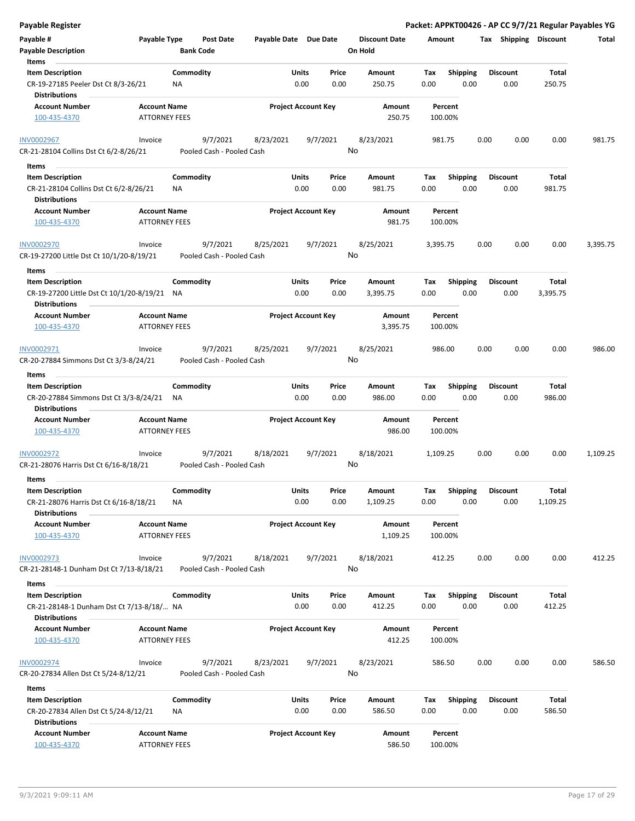| <b>Payable Register</b>                                                                         |                                             |                  |                                       |                       |                            |               |                                 |             |                         |      |                         |                   | Packet: APPKT00426 - AP CC 9/7/21 Regular Payables YG |
|-------------------------------------------------------------------------------------------------|---------------------------------------------|------------------|---------------------------------------|-----------------------|----------------------------|---------------|---------------------------------|-------------|-------------------------|------|-------------------------|-------------------|-------------------------------------------------------|
| Payable #<br><b>Payable Description</b>                                                         | Payable Type                                | <b>Bank Code</b> | Post Date                             | Payable Date Due Date |                            |               | <b>Discount Date</b><br>On Hold | Amount      |                         |      | Tax Shipping Discount   |                   | Total                                                 |
| Items                                                                                           |                                             |                  |                                       |                       |                            |               |                                 |             |                         |      |                         |                   |                                                       |
| <b>Item Description</b><br>CR-19-27185 Peeler Dst Ct 8/3-26/21                                  |                                             | Commodity<br>ΝA  |                                       |                       | Units<br>0.00              | Price<br>0.00 | Amount<br>250.75                | Tax<br>0.00 | Shipping<br>0.00        |      | <b>Discount</b><br>0.00 | Total<br>250.75   |                                                       |
| <b>Distributions</b>                                                                            |                                             |                  |                                       |                       |                            |               |                                 |             |                         |      |                         |                   |                                                       |
| <b>Account Number</b><br>100-435-4370                                                           | <b>Account Name</b><br><b>ATTORNEY FEES</b> |                  |                                       |                       | <b>Project Account Key</b> |               | Amount<br>250.75                |             | Percent<br>100.00%      |      |                         |                   |                                                       |
| <b>INV0002967</b><br>CR-21-28104 Collins Dst Ct 6/2-8/26/21                                     | Invoice                                     |                  | 9/7/2021<br>Pooled Cash - Pooled Cash | 8/23/2021             |                            | 9/7/2021      | 8/23/2021<br>No                 |             | 981.75                  | 0.00 | 0.00                    | 0.00              | 981.75                                                |
| Items                                                                                           |                                             |                  |                                       |                       |                            |               |                                 |             |                         |      |                         |                   |                                                       |
| <b>Item Description</b>                                                                         |                                             | Commodity        |                                       |                       | Units                      | Price         | Amount                          | Тах         | <b>Shipping</b>         |      | <b>Discount</b>         | Total             |                                                       |
| CR-21-28104 Collins Dst Ct 6/2-8/26/21<br><b>Distributions</b>                                  |                                             | ΝA               |                                       |                       | 0.00                       | 0.00          | 981.75                          | 0.00        | 0.00                    |      | 0.00                    | 981.75            |                                                       |
| <b>Account Number</b><br>100-435-4370                                                           | <b>Account Name</b><br><b>ATTORNEY FEES</b> |                  |                                       |                       | <b>Project Account Key</b> |               | Amount<br>981.75                |             | Percent<br>100.00%      |      |                         |                   |                                                       |
| <b>INV0002970</b><br>CR-19-27200 Little Dst Ct 10/1/20-8/19/21                                  | Invoice                                     |                  | 9/7/2021<br>Pooled Cash - Pooled Cash | 8/25/2021             |                            | 9/7/2021      | 8/25/2021<br>No                 | 3,395.75    |                         | 0.00 | 0.00                    | 0.00              | 3,395.75                                              |
| Items                                                                                           |                                             |                  |                                       |                       |                            |               |                                 |             |                         |      |                         |                   |                                                       |
| <b>Item Description</b><br>CR-19-27200 Little Dst Ct 10/1/20-8/19/21 NA<br><b>Distributions</b> |                                             | Commodity        |                                       |                       | Units<br>0.00              | Price<br>0.00 | Amount<br>3,395.75              | Tax<br>0.00 | <b>Shipping</b><br>0.00 |      | Discount<br>0.00        | Total<br>3,395.75 |                                                       |
| <b>Account Number</b>                                                                           | <b>Account Name</b>                         |                  |                                       |                       | <b>Project Account Key</b> |               | Amount                          |             | Percent                 |      |                         |                   |                                                       |
| 100-435-4370                                                                                    | <b>ATTORNEY FEES</b>                        |                  |                                       |                       |                            |               | 3,395.75                        |             | 100.00%                 |      |                         |                   |                                                       |
| INV0002971                                                                                      | Invoice                                     |                  | 9/7/2021                              | 8/25/2021             |                            | 9/7/2021      | 8/25/2021                       |             | 986.00                  | 0.00 | 0.00                    | 0.00              | 986.00                                                |
| CR-20-27884 Simmons Dst Ct 3/3-8/24/21                                                          |                                             |                  | Pooled Cash - Pooled Cash             |                       |                            |               | No                              |             |                         |      |                         |                   |                                                       |
| Items                                                                                           |                                             |                  |                                       |                       |                            |               |                                 |             |                         |      |                         |                   |                                                       |
| <b>Item Description</b>                                                                         |                                             | Commodity        |                                       |                       | Units                      | Price         | Amount                          | Tax         | <b>Shipping</b>         |      | <b>Discount</b>         | Total             |                                                       |
| CR-20-27884 Simmons Dst Ct 3/3-8/24/21<br><b>Distributions</b>                                  |                                             | ΝA               |                                       |                       | 0.00                       | 0.00          | 986.00                          | 0.00        | 0.00                    |      | 0.00                    | 986.00            |                                                       |
| <b>Account Number</b><br>100-435-4370                                                           | <b>Account Name</b><br><b>ATTORNEY FEES</b> |                  |                                       |                       | <b>Project Account Key</b> |               | Amount<br>986.00                |             | Percent<br>100.00%      |      |                         |                   |                                                       |
| INV0002972                                                                                      | Invoice                                     |                  | 9/7/2021                              | 8/18/2021             |                            | 9/7/2021      | 8/18/2021                       | 1,109.25    |                         | 0.00 | 0.00                    | 0.00              | 1,109.25                                              |
| CR-21-28076 Harris Dst Ct 6/16-8/18/21                                                          |                                             |                  | Pooled Cash - Pooled Cash             |                       |                            |               | No                              |             |                         |      |                         |                   |                                                       |
| Items                                                                                           |                                             |                  |                                       |                       |                            |               |                                 |             |                         |      |                         |                   |                                                       |
| <b>Item Description</b>                                                                         |                                             | Commodity        |                                       |                       | Units                      | Price         | Amount                          | Tax         | Shipping                |      | <b>Discount</b>         | Total             |                                                       |
| CR-21-28076 Harris Dst Ct 6/16-8/18/21<br><b>Distributions</b>                                  |                                             | ΝA               |                                       |                       | 0.00                       | 0.00          | 1,109.25                        | 0.00        | 0.00                    |      | 0.00                    | 1,109.25          |                                                       |
| <b>Account Number</b>                                                                           | <b>Account Name</b>                         |                  |                                       |                       | <b>Project Account Key</b> |               | Amount                          |             | Percent                 |      |                         |                   |                                                       |
| 100-435-4370                                                                                    | <b>ATTORNEY FEES</b>                        |                  |                                       |                       |                            |               | 1,109.25                        |             | 100.00%                 |      |                         |                   |                                                       |
| <b>INV0002973</b>                                                                               | Invoice                                     |                  | 9/7/2021                              | 8/18/2021             |                            | 9/7/2021      | 8/18/2021                       |             | 412.25                  | 0.00 | 0.00                    | 0.00              | 412.25                                                |
| CR-21-28148-1 Dunham Dst Ct 7/13-8/18/21                                                        |                                             |                  | Pooled Cash - Pooled Cash             |                       |                            |               | No                              |             |                         |      |                         |                   |                                                       |
| Items                                                                                           |                                             |                  |                                       |                       |                            |               |                                 |             |                         |      |                         |                   |                                                       |
| <b>Item Description</b>                                                                         |                                             | Commodity        |                                       |                       | <b>Units</b>               | Price         | Amount                          | Tax         | <b>Shipping</b>         |      | <b>Discount</b>         | Total             |                                                       |
| CR-21-28148-1 Dunham Dst Ct 7/13-8/18/ NA<br><b>Distributions</b>                               |                                             |                  |                                       |                       | 0.00                       | 0.00          | 412.25                          | 0.00        | 0.00                    |      | 0.00                    | 412.25            |                                                       |
| <b>Account Number</b>                                                                           | <b>Account Name</b>                         |                  |                                       |                       | <b>Project Account Key</b> |               | Amount                          |             | Percent                 |      |                         |                   |                                                       |
| 100-435-4370                                                                                    | <b>ATTORNEY FEES</b>                        |                  |                                       |                       |                            |               | 412.25                          |             | 100.00%                 |      |                         |                   |                                                       |
| <b>INV0002974</b><br>CR-20-27834 Allen Dst Ct 5/24-8/12/21                                      | Invoice                                     |                  | 9/7/2021<br>Pooled Cash - Pooled Cash | 8/23/2021             |                            | 9/7/2021      | 8/23/2021<br>No                 |             | 586.50                  | 0.00 | 0.00                    | 0.00              | 586.50                                                |
| Items                                                                                           |                                             |                  |                                       |                       |                            |               |                                 |             |                         |      |                         |                   |                                                       |
| <b>Item Description</b><br>CR-20-27834 Allen Dst Ct 5/24-8/12/21<br><b>Distributions</b>        |                                             | Commodity<br>NA  |                                       |                       | Units<br>0.00              | Price<br>0.00 | Amount<br>586.50                | Tax<br>0.00 | <b>Shipping</b><br>0.00 |      | <b>Discount</b><br>0.00 | Total<br>586.50   |                                                       |
| <b>Account Number</b>                                                                           | <b>Account Name</b>                         |                  |                                       |                       | <b>Project Account Key</b> |               | Amount                          |             | Percent                 |      |                         |                   |                                                       |
| 100-435-4370                                                                                    | <b>ATTORNEY FEES</b>                        |                  |                                       |                       |                            |               | 586.50                          |             | 100.00%                 |      |                         |                   |                                                       |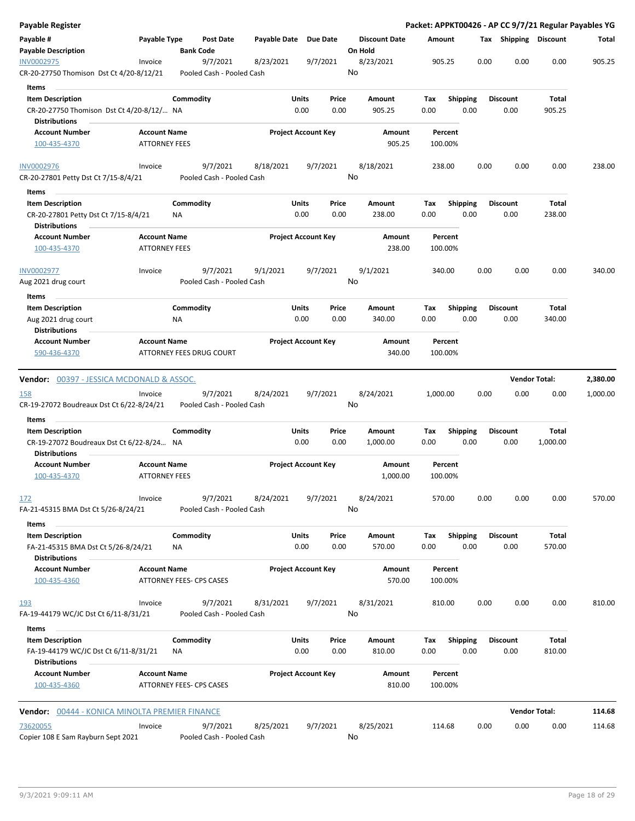| <b>Payable Register</b>                                                                 |                                             |                  |                                       |              |                            |                 |                                 |             |                         |      |                         |                      | Packet: APPKT00426 - AP CC 9/7/21 Regular Payables YG |
|-----------------------------------------------------------------------------------------|---------------------------------------------|------------------|---------------------------------------|--------------|----------------------------|-----------------|---------------------------------|-------------|-------------------------|------|-------------------------|----------------------|-------------------------------------------------------|
| Payable #<br><b>Payable Description</b>                                                 | Payable Type                                | <b>Bank Code</b> | <b>Post Date</b>                      | Payable Date |                            | <b>Due Date</b> | <b>Discount Date</b><br>On Hold |             | Amount                  |      | Tax Shipping Discount   |                      | Total                                                 |
| INV0002975<br>CR-20-27750 Thomison Dst Ct 4/20-8/12/21                                  | Invoice                                     |                  | 9/7/2021<br>Pooled Cash - Pooled Cash | 8/23/2021    |                            | 9/7/2021        | 8/23/2021<br>No                 |             | 905.25                  | 0.00 | 0.00                    | 0.00                 | 905.25                                                |
| Items                                                                                   |                                             |                  |                                       |              |                            |                 |                                 |             |                         |      |                         |                      |                                                       |
| <b>Item Description</b><br>CR-20-27750 Thomison Dst Ct 4/20-8/12/ NA                    |                                             | Commodity        |                                       |              | Units<br>0.00              | Price<br>0.00   | Amount<br>905.25                | Tax<br>0.00 | <b>Shipping</b><br>0.00 |      | <b>Discount</b><br>0.00 | Total<br>905.25      |                                                       |
| <b>Distributions</b>                                                                    |                                             |                  |                                       |              |                            |                 |                                 |             |                         |      |                         |                      |                                                       |
| <b>Account Number</b><br>100-435-4370                                                   | <b>Account Name</b><br><b>ATTORNEY FEES</b> |                  |                                       |              | <b>Project Account Key</b> |                 | Amount<br>905.25                |             | Percent<br>100.00%      |      |                         |                      |                                                       |
| <b>INV0002976</b>                                                                       | Invoice                                     |                  | 9/7/2021                              | 8/18/2021    |                            | 9/7/2021        | 8/18/2021                       |             | 238.00                  | 0.00 | 0.00                    | 0.00                 | 238.00                                                |
| CR-20-27801 Petty Dst Ct 7/15-8/4/21                                                    |                                             |                  | Pooled Cash - Pooled Cash             |              |                            |                 | No                              |             |                         |      |                         |                      |                                                       |
| Items                                                                                   |                                             |                  |                                       |              |                            |                 |                                 |             |                         |      |                         |                      |                                                       |
| <b>Item Description</b><br>CR-20-27801 Petty Dst Ct 7/15-8/4/21<br><b>Distributions</b> |                                             | Commodity<br>NA  |                                       |              | Units<br>0.00              | Price<br>0.00   | Amount<br>238.00                | Tax<br>0.00 | <b>Shipping</b><br>0.00 |      | <b>Discount</b><br>0.00 | Total<br>238.00      |                                                       |
| <b>Account Number</b>                                                                   | <b>Account Name</b>                         |                  |                                       |              | <b>Project Account Key</b> |                 | Amount                          |             | Percent                 |      |                         |                      |                                                       |
| 100-435-4370                                                                            | <b>ATTORNEY FEES</b>                        |                  |                                       |              |                            |                 | 238.00                          |             | 100.00%                 |      |                         |                      |                                                       |
| <b>INV0002977</b><br>Aug 2021 drug court                                                | Invoice                                     |                  | 9/7/2021<br>Pooled Cash - Pooled Cash | 9/1/2021     |                            | 9/7/2021        | 9/1/2021<br>No                  |             | 340.00                  | 0.00 | 0.00                    | 0.00                 | 340.00                                                |
| Items                                                                                   |                                             |                  |                                       |              |                            |                 |                                 |             |                         |      |                         |                      |                                                       |
| <b>Item Description</b>                                                                 |                                             | Commodity        |                                       |              | Units                      | Price           | Amount                          | Tax         | <b>Shipping</b>         |      | <b>Discount</b>         | Total                |                                                       |
| Aug 2021 drug court<br><b>Distributions</b>                                             |                                             | <b>NA</b>        |                                       |              | 0.00                       | 0.00            | 340.00                          | 0.00        | 0.00                    |      | 0.00                    | 340.00               |                                                       |
| <b>Account Number</b>                                                                   | <b>Account Name</b>                         |                  |                                       |              | <b>Project Account Key</b> |                 | Amount                          |             | Percent                 |      |                         |                      |                                                       |
| 590-436-4370                                                                            |                                             |                  | ATTORNEY FEES DRUG COURT              |              |                            |                 | 340.00                          |             | 100.00%                 |      |                         |                      |                                                       |
| <b>Vendor:</b> 00397 - JESSICA MCDONALD & ASSOC.                                        |                                             |                  |                                       |              |                            |                 |                                 |             |                         |      |                         | <b>Vendor Total:</b> | 2,380.00                                              |
| <u>158</u><br>CR-19-27072 Boudreaux Dst Ct 6/22-8/24/21                                 | Invoice                                     |                  | 9/7/2021<br>Pooled Cash - Pooled Cash | 8/24/2021    |                            | 9/7/2021        | 8/24/2021<br>No                 | 1,000.00    |                         | 0.00 | 0.00                    | 0.00                 | 1,000.00                                              |
| Items                                                                                   |                                             |                  |                                       |              |                            |                 |                                 |             |                         |      |                         |                      |                                                       |
| <b>Item Description</b><br>CR-19-27072 Boudreaux Dst Ct 6/22-8/24 NA                    |                                             | Commodity        |                                       |              | Units<br>0.00              | Price<br>0.00   | Amount<br>1,000.00              | Tax<br>0.00 | <b>Shipping</b><br>0.00 |      | <b>Discount</b><br>0.00 | Total<br>1,000.00    |                                                       |
| <b>Distributions</b><br><b>Account Number</b>                                           | <b>Account Name</b>                         |                  |                                       |              | <b>Project Account Key</b> |                 | Amount                          |             | Percent                 |      |                         |                      |                                                       |
| 100-435-4370                                                                            | <b>ATTORNEY FEES</b>                        |                  |                                       |              |                            |                 | 1,000.00                        |             | 100.00%                 |      |                         |                      |                                                       |
| <u> 172</u><br>FA-21-45315 BMA Dst Ct 5/26-8/24/21                                      | Invoice                                     |                  | 9/7/2021<br>Pooled Cash - Pooled Cash | 8/24/2021    |                            | 9/7/2021        | 8/24/2021<br>No                 |             | 570.00                  | 0.00 | 0.00                    | 0.00                 | 570.00                                                |
| Items                                                                                   |                                             |                  |                                       |              |                            |                 |                                 |             |                         |      |                         |                      |                                                       |
| <b>Item Description</b><br>FA-21-45315 BMA Dst Ct 5/26-8/24/21                          |                                             | Commodity<br>NA. |                                       |              | Units<br>0.00              | Price<br>0.00   | Amount<br>570.00                | Tax<br>0.00 | Shipping<br>0.00        |      | <b>Discount</b><br>0.00 | Total<br>570.00      |                                                       |
| <b>Distributions</b>                                                                    |                                             |                  |                                       |              |                            |                 |                                 |             |                         |      |                         |                      |                                                       |
| <b>Account Number</b><br>100-435-4360                                                   | <b>Account Name</b>                         |                  | ATTORNEY FEES- CPS CASES              |              | <b>Project Account Key</b> |                 | Amount<br>570.00                |             | Percent<br>100.00%      |      |                         |                      |                                                       |
| <u>193</u><br>FA-19-44179 WC/JC Dst Ct 6/11-8/31/21                                     | Invoice                                     |                  | 9/7/2021<br>Pooled Cash - Pooled Cash | 8/31/2021    |                            | 9/7/2021        | 8/31/2021<br>No                 |             | 810.00                  | 0.00 | 0.00                    | 0.00                 | 810.00                                                |
|                                                                                         |                                             |                  |                                       |              |                            |                 |                                 |             |                         |      |                         |                      |                                                       |
| Items<br><b>Item Description</b><br>FA-19-44179 WC/JC Dst Ct 6/11-8/31/21               |                                             | Commodity<br>ΝA  |                                       |              | Units<br>0.00              | Price<br>0.00   | Amount<br>810.00                | Tax<br>0.00 | <b>Shipping</b><br>0.00 |      | <b>Discount</b><br>0.00 | Total<br>810.00      |                                                       |
| <b>Distributions</b>                                                                    |                                             |                  |                                       |              |                            |                 |                                 |             |                         |      |                         |                      |                                                       |
| <b>Account Number</b><br>100-435-4360                                                   | <b>Account Name</b>                         |                  | ATTORNEY FEES- CPS CASES              |              | <b>Project Account Key</b> |                 | Amount<br>810.00                |             | Percent<br>100.00%      |      |                         |                      |                                                       |
| Vendor: 00444 - KONICA MINOLTA PREMIER FINANCE                                          |                                             |                  |                                       |              |                            |                 |                                 |             |                         |      |                         | <b>Vendor Total:</b> | 114.68                                                |
| 73620055                                                                                | Invoice                                     |                  | 9/7/2021                              | 8/25/2021    |                            | 9/7/2021        | 8/25/2021                       |             | 114.68                  | 0.00 | 0.00                    | 0.00                 | 114.68                                                |
| Copier 108 E Sam Rayburn Sept 2021                                                      |                                             |                  | Pooled Cash - Pooled Cash             |              |                            |                 | No                              |             |                         |      |                         |                      |                                                       |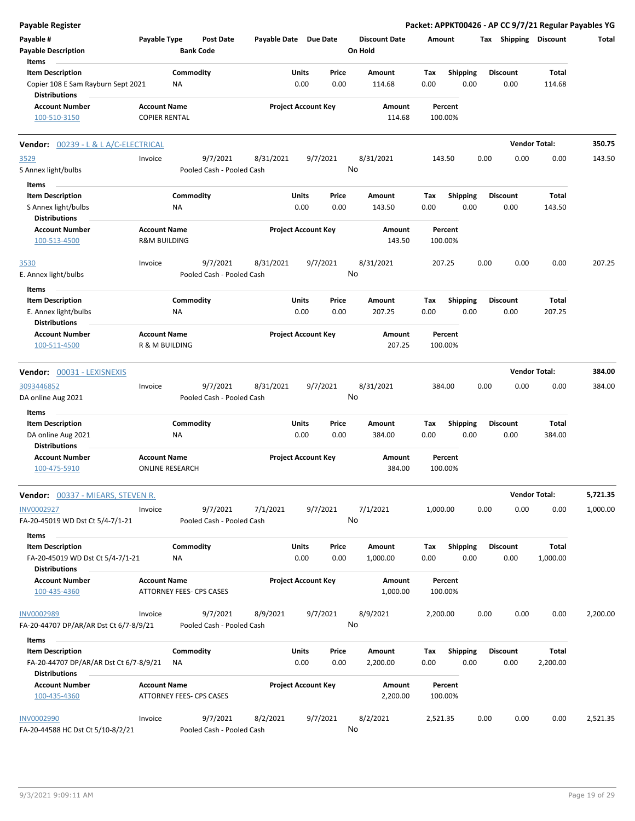| <b>Payable Register</b>                                                               |                                                |                          |                                       |                       |               |                            |                                 |             |                         |      |                         | Packet: APPKT00426 - AP CC 9/7/21 Regular Payables YG |          |
|---------------------------------------------------------------------------------------|------------------------------------------------|--------------------------|---------------------------------------|-----------------------|---------------|----------------------------|---------------------------------|-------------|-------------------------|------|-------------------------|-------------------------------------------------------|----------|
| Payable #<br><b>Payable Description</b>                                               | Payable Type                                   | <b>Bank Code</b>         | <b>Post Date</b>                      | Payable Date Due Date |               |                            | <b>Discount Date</b><br>On Hold |             | Amount                  |      | Tax Shipping Discount   |                                                       | Total    |
| Items                                                                                 |                                                |                          |                                       |                       |               |                            |                                 |             |                         |      |                         |                                                       |          |
| <b>Item Description</b><br>Copier 108 E Sam Rayburn Sept 2021<br><b>Distributions</b> |                                                | Commodity<br><b>NA</b>   |                                       |                       | Units<br>0.00 | Price<br>0.00              | Amount<br>114.68                | Tax<br>0.00 | <b>Shipping</b><br>0.00 |      | <b>Discount</b><br>0.00 | Total<br>114.68                                       |          |
| <b>Account Number</b><br>100-510-3150                                                 | <b>Account Name</b><br><b>COPIER RENTAL</b>    |                          |                                       |                       |               | <b>Project Account Key</b> | Amount<br>114.68                |             | Percent<br>100.00%      |      |                         |                                                       |          |
| <b>Vendor: 00239 - L &amp; L A/C-ELECTRICAL</b>                                       |                                                |                          |                                       |                       |               |                            |                                 |             |                         |      |                         | <b>Vendor Total:</b>                                  | 350.75   |
| 3529                                                                                  | Invoice                                        |                          | 9/7/2021                              | 8/31/2021             |               | 9/7/2021                   | 8/31/2021                       |             | 143.50                  | 0.00 | 0.00                    | 0.00                                                  | 143.50   |
| S Annex light/bulbs                                                                   |                                                |                          | Pooled Cash - Pooled Cash             |                       |               |                            | No                              |             |                         |      |                         |                                                       |          |
| Items                                                                                 |                                                |                          |                                       |                       |               |                            |                                 |             |                         |      |                         |                                                       |          |
| <b>Item Description</b>                                                               |                                                | Commodity                |                                       |                       | Units         | Price                      | Amount                          | Tax         | <b>Shipping</b>         |      | <b>Discount</b>         | Total                                                 |          |
| S Annex light/bulbs                                                                   |                                                | <b>NA</b>                |                                       |                       | 0.00          | 0.00                       | 143.50                          | 0.00        | 0.00                    |      | 0.00                    | 143.50                                                |          |
| <b>Distributions</b><br><b>Account Number</b><br>100-513-4500                         | <b>Account Name</b><br><b>R&amp;M BUILDING</b> |                          |                                       |                       |               | <b>Project Account Key</b> | <b>Amount</b><br>143.50         |             | Percent<br>100.00%      |      |                         |                                                       |          |
| 3530                                                                                  | Invoice                                        |                          | 9/7/2021                              | 8/31/2021             |               | 9/7/2021                   | 8/31/2021                       |             | 207.25                  | 0.00 | 0.00                    | 0.00                                                  | 207.25   |
| E. Annex light/bulbs                                                                  |                                                |                          | Pooled Cash - Pooled Cash             |                       |               |                            | No                              |             |                         |      |                         |                                                       |          |
| Items                                                                                 |                                                |                          |                                       |                       |               |                            |                                 |             |                         |      |                         |                                                       |          |
| <b>Item Description</b>                                                               |                                                | Commodity                |                                       |                       | Units         | Price                      | Amount                          | Tax         | <b>Shipping</b>         |      | <b>Discount</b>         | Total                                                 |          |
| E. Annex light/bulbs                                                                  |                                                | ΝA                       |                                       |                       | 0.00          | 0.00                       | 207.25                          | 0.00        | 0.00                    |      | 0.00                    | 207.25                                                |          |
| <b>Distributions</b><br><b>Account Number</b><br>100-511-4500                         | <b>Account Name</b><br>R & M BUILDING          |                          |                                       |                       |               | <b>Project Account Key</b> | Amount<br>207.25                |             | Percent<br>100.00%      |      |                         |                                                       |          |
| Vendor: 00031 - LEXISNEXIS                                                            |                                                |                          |                                       |                       |               |                            |                                 |             |                         |      |                         | <b>Vendor Total:</b>                                  | 384.00   |
| 3093446852                                                                            | Invoice                                        |                          | 9/7/2021                              | 8/31/2021             |               | 9/7/2021                   | 8/31/2021                       |             |                         | 0.00 | 0.00                    | 0.00                                                  | 384.00   |
| DA online Aug 2021                                                                    |                                                |                          | Pooled Cash - Pooled Cash             |                       |               |                            | No                              |             | 384.00                  |      |                         |                                                       |          |
| Items                                                                                 |                                                | Commodity                |                                       |                       | Units         | Price                      | Amount                          | Tax         |                         |      | <b>Discount</b>         | Total                                                 |          |
| <b>Item Description</b><br>DA online Aug 2021<br><b>Distributions</b>                 |                                                | NA                       |                                       |                       | 0.00          | 0.00                       | 384.00                          | 0.00        | <b>Shipping</b><br>0.00 |      | 0.00                    | 384.00                                                |          |
| <b>Account Number</b><br>100-475-5910                                                 | <b>Account Name</b><br><b>ONLINE RESEARCH</b>  |                          |                                       |                       |               | <b>Project Account Key</b> | Amount<br>384.00                |             | Percent<br>100.00%      |      |                         |                                                       |          |
| <b>Vendor:</b> 00337 - MIEARS, STEVEN R.                                              |                                                |                          |                                       |                       |               |                            |                                 |             |                         |      |                         | <b>Vendor Total:</b>                                  | 5,721.35 |
| INV0002927<br>FA-20-45019 WD Dst Ct 5/4-7/1-21                                        | Invoice                                        |                          | 9/7/2021<br>Pooled Cash - Pooled Cash | 7/1/2021              |               | 9/7/2021                   | 7/1/2021<br>No                  | 1,000.00    |                         | 0.00 | 0.00                    | 0.00                                                  | 1,000.00 |
| Items                                                                                 |                                                |                          |                                       |                       |               |                            |                                 |             |                         |      |                         |                                                       |          |
| <b>Item Description</b>                                                               |                                                | Commodity                |                                       |                       | Units         | Price                      | Amount                          | Tax         | <b>Shipping</b>         |      | <b>Discount</b>         | Total                                                 |          |
| FA-20-45019 WD Dst Ct 5/4-7/1-21                                                      |                                                | NA                       |                                       |                       | 0.00          | 0.00                       | 1,000.00                        | 0.00        | 0.00                    |      | 0.00                    | 1,000.00                                              |          |
| <b>Distributions</b><br><b>Account Number</b>                                         | <b>Account Name</b>                            |                          |                                       |                       |               | <b>Project Account Key</b> | Amount                          |             | Percent                 |      |                         |                                                       |          |
| 100-435-4360                                                                          |                                                | ATTORNEY FEES- CPS CASES |                                       |                       |               |                            | 1,000.00                        |             | 100.00%                 |      |                         |                                                       |          |
| <b>INV0002989</b><br>FA-20-44707 DP/AR/AR Dst Ct 6/7-8/9/21                           | Invoice                                        |                          | 9/7/2021<br>Pooled Cash - Pooled Cash | 8/9/2021              |               | 9/7/2021                   | 8/9/2021<br>No                  | 2,200.00    |                         | 0.00 | 0.00                    | 0.00                                                  | 2,200.00 |
| Items                                                                                 |                                                |                          |                                       |                       |               |                            |                                 |             |                         |      |                         |                                                       |          |
| <b>Item Description</b>                                                               |                                                | Commodity                |                                       |                       | Units         | Price                      | Amount                          | Tax         | <b>Shipping</b>         |      | <b>Discount</b>         | Total                                                 |          |
| FA-20-44707 DP/AR/AR Dst Ct 6/7-8/9/21<br><b>Distributions</b>                        |                                                | ΝA                       |                                       |                       | 0.00          | 0.00                       | 2,200.00                        | 0.00        | 0.00                    |      | 0.00                    | 2,200.00                                              |          |
| <b>Account Number</b>                                                                 | <b>Account Name</b>                            |                          |                                       |                       |               | <b>Project Account Key</b> | Amount                          |             | Percent                 |      |                         |                                                       |          |
| 100-435-4360                                                                          |                                                | ATTORNEY FEES- CPS CASES |                                       |                       |               |                            | 2,200.00                        |             | 100.00%                 |      |                         |                                                       |          |
| <b>INV0002990</b><br>FA-20-44588 HC Dst Ct 5/10-8/2/21                                | Invoice                                        |                          | 9/7/2021<br>Pooled Cash - Pooled Cash | 8/2/2021              |               | 9/7/2021                   | 8/2/2021<br>No                  | 2,521.35    |                         | 0.00 | 0.00                    | 0.00                                                  | 2,521.35 |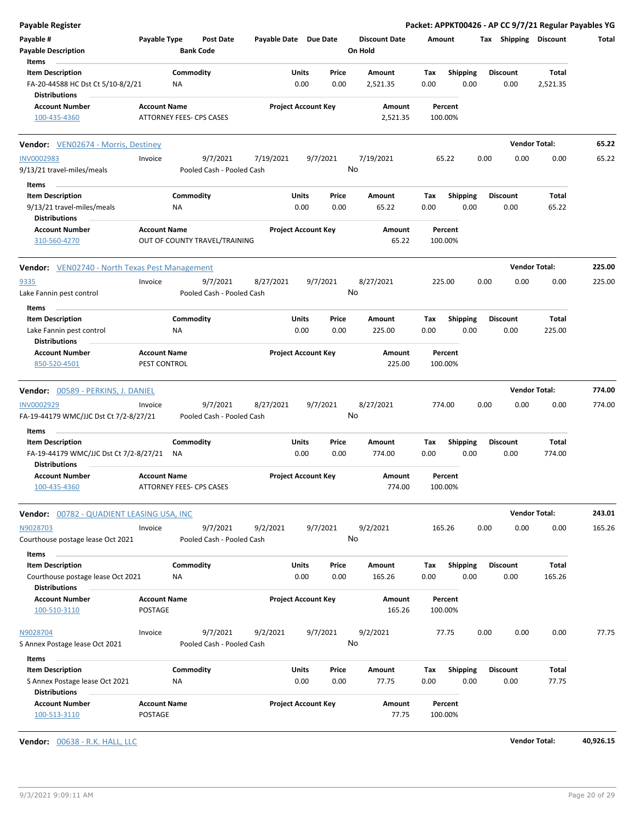| Payable Register                                          |                          |                                      |                       |                            |                                 |         |                 |                 |                      | Packet: APPKT00426 - AP CC 9/7/21 Regular Payables YG |        |
|-----------------------------------------------------------|--------------------------|--------------------------------------|-----------------------|----------------------------|---------------------------------|---------|-----------------|-----------------|----------------------|-------------------------------------------------------|--------|
| Payable #<br><b>Payable Description</b>                   | Payable Type             | <b>Post Date</b><br><b>Bank Code</b> | Payable Date Due Date |                            | <b>Discount Date</b><br>On Hold | Amount  |                 |                 |                      | Tax Shipping Discount                                 | Total  |
| Items                                                     |                          |                                      |                       |                            |                                 |         |                 |                 |                      |                                                       |        |
| <b>Item Description</b>                                   |                          | Commodity                            | Units                 | Price                      | Amount                          | Tax     | <b>Shipping</b> | <b>Discount</b> |                      | Total                                                 |        |
| FA-20-44588 HC Dst Ct 5/10-8/2/21                         | NA                       |                                      |                       | 0.00<br>0.00               | 2,521.35                        | 0.00    | 0.00            |                 | 0.00                 | 2,521.35                                              |        |
| <b>Distributions</b>                                      |                          |                                      |                       |                            |                                 |         |                 |                 |                      |                                                       |        |
| <b>Account Number</b>                                     | <b>Account Name</b>      |                                      |                       | <b>Project Account Key</b> | Amount                          | Percent |                 |                 |                      |                                                       |        |
| 100-435-4360                                              | ATTORNEY FEES- CPS CASES |                                      |                       |                            | 2,521.35                        | 100.00% |                 |                 |                      |                                                       |        |
| <b>Vendor:</b> VEN02674 - Morris, Destiney                |                          |                                      |                       |                            |                                 |         |                 |                 | <b>Vendor Total:</b> |                                                       | 65.22  |
| <b>INV0002983</b>                                         | Invoice                  | 9/7/2021                             | 7/19/2021             | 9/7/2021                   | 7/19/2021                       | 65.22   |                 | 0.00            | 0.00                 | 0.00                                                  | 65.22  |
| 9/13/21 travel-miles/meals                                |                          | Pooled Cash - Pooled Cash            |                       |                            | No                              |         |                 |                 |                      |                                                       |        |
| Items                                                     |                          |                                      |                       |                            |                                 |         |                 |                 |                      |                                                       |        |
| <b>Item Description</b>                                   |                          | Commodity                            | Units                 | Price                      | Amount                          | Тах     | <b>Shipping</b> | <b>Discount</b> |                      | Total                                                 |        |
| 9/13/21 travel-miles/meals<br><b>Distributions</b>        | <b>NA</b>                |                                      |                       | 0.00<br>0.00               | 65.22                           | 0.00    | 0.00            |                 | 0.00                 | 65.22                                                 |        |
| <b>Account Number</b>                                     | <b>Account Name</b>      |                                      |                       | <b>Project Account Key</b> | Amount                          | Percent |                 |                 |                      |                                                       |        |
| 310-560-4270                                              |                          | OUT OF COUNTY TRAVEL/TRAINING        |                       |                            | 65.22                           | 100.00% |                 |                 |                      |                                                       |        |
| <b>Vendor:</b> VEN02740 - North Texas Pest Management     |                          |                                      |                       |                            |                                 |         |                 |                 | <b>Vendor Total:</b> |                                                       | 225.00 |
| 9335                                                      | Invoice                  | 9/7/2021                             | 8/27/2021             | 9/7/2021                   | 8/27/2021                       | 225.00  |                 | 0.00            | 0.00                 | 0.00                                                  | 225.00 |
| Lake Fannin pest control                                  |                          | Pooled Cash - Pooled Cash            |                       |                            | No                              |         |                 |                 |                      |                                                       |        |
| Items                                                     |                          |                                      |                       |                            |                                 |         |                 |                 |                      |                                                       |        |
| <b>Item Description</b>                                   |                          | Commodity                            | Units                 | Price                      | Amount                          | Tax     | <b>Shipping</b> | <b>Discount</b> |                      | Total                                                 |        |
| Lake Fannin pest control<br><b>Distributions</b>          | ΝA                       |                                      |                       | 0.00<br>0.00               | 225.00                          | 0.00    | 0.00            |                 | 0.00                 | 225.00                                                |        |
| <b>Account Number</b>                                     | <b>Account Name</b>      |                                      |                       | <b>Project Account Key</b> | Amount                          | Percent |                 |                 |                      |                                                       |        |
| 850-520-4501                                              | PEST CONTROL             |                                      |                       |                            | 225.00                          | 100.00% |                 |                 |                      |                                                       |        |
| Vendor: 00589 - PERKINS, J. DANIEL                        |                          |                                      |                       |                            |                                 |         |                 |                 | <b>Vendor Total:</b> |                                                       | 774.00 |
| <b>INV0002929</b>                                         | Invoice                  | 9/7/2021                             | 8/27/2021             | 9/7/2021                   | 8/27/2021                       | 774.00  |                 | 0.00            | 0.00                 | 0.00                                                  | 774.00 |
| FA-19-44179 WMC/JJC Dst Ct 7/2-8/27/21                    |                          | Pooled Cash - Pooled Cash            |                       |                            | No                              |         |                 |                 |                      |                                                       |        |
| Items                                                     |                          |                                      |                       |                            |                                 |         |                 |                 |                      |                                                       |        |
| <b>Item Description</b>                                   |                          | Commodity                            | Units                 | Price                      | Amount                          | Tax     | Shipping        | <b>Discount</b> |                      | Total                                                 |        |
| FA-19-44179 WMC/JJC Dst Ct 7/2-8/27/21                    | NA                       |                                      |                       | 0.00<br>0.00               | 774.00                          | 0.00    | 0.00            |                 | 0.00                 | 774.00                                                |        |
| <b>Distributions</b>                                      |                          |                                      |                       |                            |                                 |         |                 |                 |                      |                                                       |        |
| <b>Account Number</b>                                     | <b>Account Name</b>      |                                      |                       | <b>Project Account Key</b> | Amount                          | Percent |                 |                 |                      |                                                       |        |
| 100-435-4360                                              | ATTORNEY FEES- CPS CASES |                                      |                       |                            | 774.00                          | 100.00% |                 |                 |                      |                                                       |        |
| Vendor: 00782 - QUADIENT LEASING USA, INC                 |                          |                                      |                       |                            |                                 |         |                 |                 | <b>Vendor Total:</b> |                                                       | 243.01 |
| N9028703                                                  | Invoice                  | 9/7/2021                             | 9/2/2021              | 9/7/2021                   | 9/2/2021                        | 165.26  |                 | 0.00            | 0.00                 | 0.00                                                  | 165.26 |
| Courthouse postage lease Oct 2021                         |                          | Pooled Cash - Pooled Cash            |                       |                            | No                              |         |                 |                 |                      |                                                       |        |
| Items                                                     |                          |                                      |                       |                            |                                 |         |                 |                 |                      |                                                       |        |
| <b>Item Description</b>                                   |                          | Commodity                            | <b>Units</b>          | Price                      | Amount                          | Tax     | <b>Shipping</b> | <b>Discount</b> |                      | Total                                                 |        |
| Courthouse postage lease Oct 2021<br><b>Distributions</b> | ΝA                       |                                      |                       | 0.00<br>0.00               | 165.26                          | 0.00    | 0.00            |                 | 0.00                 | 165.26                                                |        |
| <b>Account Number</b>                                     | <b>Account Name</b>      |                                      |                       | <b>Project Account Key</b> | Amount                          | Percent |                 |                 |                      |                                                       |        |
| 100-510-3110                                              | POSTAGE                  |                                      |                       |                            | 165.26                          | 100.00% |                 |                 |                      |                                                       |        |
| N9028704                                                  | Invoice                  | 9/7/2021                             | 9/2/2021              | 9/7/2021                   | 9/2/2021                        | 77.75   |                 | 0.00            | 0.00                 | 0.00                                                  | 77.75  |
| S Annex Postage lease Oct 2021                            |                          | Pooled Cash - Pooled Cash            |                       |                            | No                              |         |                 |                 |                      |                                                       |        |
| Items                                                     |                          |                                      |                       |                            |                                 |         |                 |                 |                      |                                                       |        |
| <b>Item Description</b>                                   |                          | Commodity                            | <b>Units</b>          | Price                      | Amount                          | Tax     | <b>Shipping</b> | <b>Discount</b> |                      | Total                                                 |        |
| S Annex Postage lease Oct 2021                            | NA                       |                                      |                       | 0.00<br>0.00               | 77.75                           | 0.00    | 0.00            |                 | 0.00                 | 77.75                                                 |        |
| <b>Distributions</b><br><b>Account Number</b>             | <b>Account Name</b>      |                                      |                       |                            |                                 |         |                 |                 |                      |                                                       |        |
|                                                           |                          |                                      |                       | <b>Project Account Key</b> | Amount                          | Percent |                 |                 |                      |                                                       |        |

**Vendor:** 00638 - R.K. HALL, LLC **Vendor Total: 40,926.15**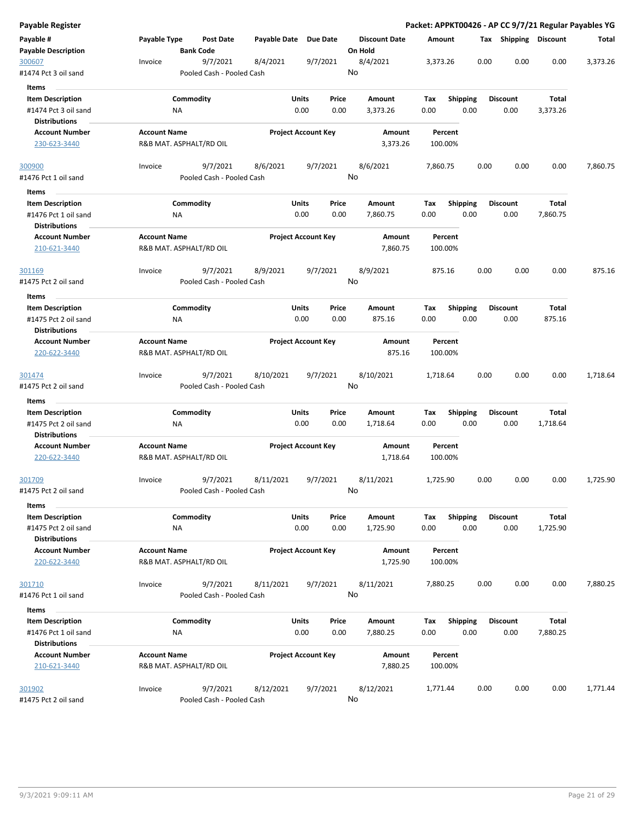| Payable Register                                |                     |                                       |              |                            |                                 |             |                         |                       |              | Packet: APPKT00426 - AP CC 9/7/21 Regular Payables YG |
|-------------------------------------------------|---------------------|---------------------------------------|--------------|----------------------------|---------------------------------|-------------|-------------------------|-----------------------|--------------|-------------------------------------------------------|
| Payable #<br><b>Payable Description</b>         | Payable Type        | Post Date<br><b>Bank Code</b>         | Payable Date | <b>Due Date</b>            | <b>Discount Date</b><br>On Hold | Amount      |                         | Tax Shipping Discount |              | Total                                                 |
| 300607<br>#1474 Pct 3 oil sand                  | Invoice             | 9/7/2021<br>Pooled Cash - Pooled Cash | 8/4/2021     | 9/7/2021                   | 8/4/2021<br>No                  | 3,373.26    | 0.00                    | 0.00                  | 0.00         | 3,373.26                                              |
| <b>Items</b>                                    |                     |                                       |              |                            |                                 |             |                         |                       |              |                                                       |
| <b>Item Description</b>                         |                     | Commodity                             |              | Units<br>Price             | Amount                          | Tax         | <b>Shipping</b>         | <b>Discount</b>       | <b>Total</b> |                                                       |
| #1474 Pct 3 oil sand                            |                     | ΝA                                    |              | 0.00<br>0.00               | 3,373.26                        | 0.00        | 0.00                    | 0.00                  | 3,373.26     |                                                       |
| <b>Distributions</b>                            |                     |                                       |              |                            |                                 |             |                         |                       |              |                                                       |
| <b>Account Number</b>                           | <b>Account Name</b> |                                       |              | <b>Project Account Key</b> | Amount                          | Percent     |                         |                       |              |                                                       |
| 230-623-3440                                    |                     | R&B MAT. ASPHALT/RD OIL               |              |                            | 3,373.26                        | 100.00%     |                         |                       |              |                                                       |
| 300900                                          | Invoice             | 9/7/2021                              | 8/6/2021     | 9/7/2021                   | 8/6/2021                        | 7,860.75    | 0.00                    | 0.00                  | 0.00         | 7,860.75                                              |
| #1476 Pct 1 oil sand                            |                     | Pooled Cash - Pooled Cash             |              |                            | No                              |             |                         |                       |              |                                                       |
| Items                                           |                     | Commodity                             |              | <b>Units</b><br>Price      |                                 |             |                         | <b>Discount</b>       | Total        |                                                       |
| <b>Item Description</b><br>#1476 Pct 1 oil sand |                     | NA                                    |              | 0.00<br>0.00               | Amount<br>7,860.75              | Tax<br>0.00 | <b>Shipping</b><br>0.00 | 0.00                  | 7,860.75     |                                                       |
| <b>Distributions</b>                            |                     |                                       |              |                            |                                 |             |                         |                       |              |                                                       |
| <b>Account Number</b>                           | <b>Account Name</b> |                                       |              | <b>Project Account Key</b> | Amount                          | Percent     |                         |                       |              |                                                       |
| 210-621-3440                                    |                     | R&B MAT. ASPHALT/RD OIL               |              |                            | 7,860.75                        | 100.00%     |                         |                       |              |                                                       |
| 301169                                          | Invoice             | 9/7/2021                              | 8/9/2021     | 9/7/2021                   | 8/9/2021                        | 875.16      | 0.00                    | 0.00                  | 0.00         | 875.16                                                |
| #1475 Pct 2 oil sand                            |                     | Pooled Cash - Pooled Cash             |              |                            | No                              |             |                         |                       |              |                                                       |
| Items                                           |                     |                                       |              |                            |                                 |             |                         |                       |              |                                                       |
| <b>Item Description</b>                         |                     | Commodity                             |              | Units<br>Price             | Amount                          | Tax         | <b>Shipping</b>         | <b>Discount</b>       | Total        |                                                       |
| #1475 Pct 2 oil sand                            |                     | ΝA                                    |              | 0.00<br>0.00               | 875.16                          | 0.00        | 0.00                    | 0.00                  | 875.16       |                                                       |
| Distributions                                   |                     |                                       |              |                            |                                 |             |                         |                       |              |                                                       |
| <b>Account Number</b>                           | <b>Account Name</b> |                                       |              | <b>Project Account Key</b> | Amount                          | Percent     |                         |                       |              |                                                       |
| 220-622-3440                                    |                     | R&B MAT. ASPHALT/RD OIL               |              |                            | 875.16                          | 100.00%     |                         |                       |              |                                                       |
| <u>301474</u>                                   | Invoice             | 9/7/2021                              | 8/10/2021    | 9/7/2021                   | 8/10/2021                       | 1,718.64    | 0.00                    | 0.00                  | 0.00         | 1,718.64                                              |
| #1475 Pct 2 oil sand                            |                     | Pooled Cash - Pooled Cash             |              |                            | No                              |             |                         |                       |              |                                                       |
| Items                                           |                     |                                       |              |                            |                                 |             |                         |                       |              |                                                       |
| <b>Item Description</b>                         |                     | Commodity                             |              | Units<br>Price             | Amount                          | Tax         | Shipping                | <b>Discount</b>       | Total        |                                                       |
| #1475 Pct 2 oil sand<br><b>Distributions</b>    |                     | ΝA                                    |              | 0.00<br>0.00               | 1,718.64                        | 0.00        | 0.00                    | 0.00                  | 1,718.64     |                                                       |
| <b>Account Number</b>                           | <b>Account Name</b> |                                       |              | <b>Project Account Key</b> | Amount                          | Percent     |                         |                       |              |                                                       |
| 220-622-3440                                    |                     | R&B MAT. ASPHALT/RD OIL               |              |                            | 1,718.64                        | 100.00%     |                         |                       |              |                                                       |
| 301709                                          | Invoice             | 9/7/2021                              | 8/11/2021    | 9/7/2021                   | 8/11/2021                       | 1,725.90    | 0.00                    | 0.00                  | 0.00         | 1,725.90                                              |
| #1475 Pct 2 oil sand                            |                     | Pooled Cash - Pooled Cash             |              |                            | No                              |             |                         |                       |              |                                                       |
| Items<br><b>Item Description</b>                |                     | Commodity                             |              | Units<br>Price             |                                 |             | <b>Shipping</b>         | <b>Discount</b>       | Total        |                                                       |
| #1475 Pct 2 oil sand                            |                     | NA                                    |              | 0.00<br>0.00               | Amount<br>1,725.90              | Tax<br>0.00 | 0.00                    | 0.00                  | 1,725.90     |                                                       |
| <b>Distributions</b><br><b>Account Number</b>   | <b>Account Name</b> |                                       |              | <b>Project Account Key</b> | Amount                          | Percent     |                         |                       |              |                                                       |
| 220-622-3440                                    |                     | R&B MAT. ASPHALT/RD OIL               |              |                            | 1,725.90                        | 100.00%     |                         |                       |              |                                                       |
| 301710                                          | Invoice             | 9/7/2021                              | 8/11/2021    | 9/7/2021                   | 8/11/2021                       | 7,880.25    | 0.00                    | 0.00                  | 0.00         | 7,880.25                                              |
| #1476 Pct 1 oil sand                            |                     | Pooled Cash - Pooled Cash             |              |                            | No                              |             |                         |                       |              |                                                       |
| Items                                           |                     |                                       |              |                            |                                 |             |                         |                       |              |                                                       |
| <b>Item Description</b>                         |                     | Commodity                             |              | Units<br>Price             | Amount                          | Tax         | <b>Shipping</b>         | <b>Discount</b>       | Total        |                                                       |
| #1476 Pct 1 oil sand                            |                     | ΝA                                    |              | 0.00<br>0.00               | 7,880.25                        | 0.00        | 0.00                    | 0.00                  | 7,880.25     |                                                       |
| <b>Distributions</b>                            |                     |                                       |              |                            |                                 |             |                         |                       |              |                                                       |
| <b>Account Number</b>                           | <b>Account Name</b> |                                       |              | <b>Project Account Key</b> | Amount                          | Percent     |                         |                       |              |                                                       |
| 210-621-3440                                    |                     | R&B MAT. ASPHALT/RD OIL               |              |                            | 7,880.25                        | 100.00%     |                         |                       |              |                                                       |
| 301902                                          | Invoice             | 9/7/2021                              | 8/12/2021    | 9/7/2021                   | 8/12/2021                       | 1,771.44    | 0.00                    | 0.00                  | 0.00         | 1,771.44                                              |
| #1475 Pct 2 oil sand                            |                     | Pooled Cash - Pooled Cash             |              |                            | No                              |             |                         |                       |              |                                                       |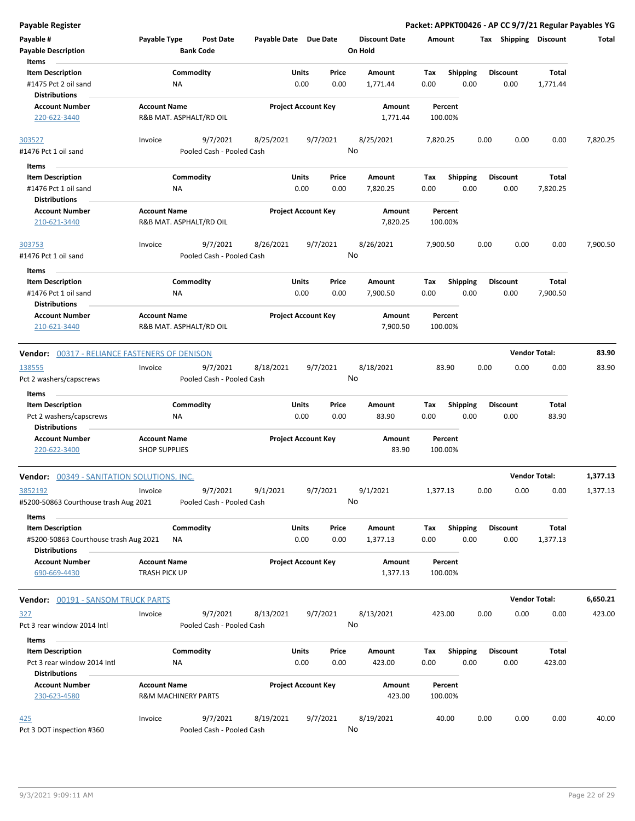| Payable Register                                              |                                                       |                           |                            |               |               |                                 |                    |                         |      |                         | Packet: APPKT00426 - AP CC 9/7/21 Regular Payables YG |          |
|---------------------------------------------------------------|-------------------------------------------------------|---------------------------|----------------------------|---------------|---------------|---------------------------------|--------------------|-------------------------|------|-------------------------|-------------------------------------------------------|----------|
| Payable #<br><b>Payable Description</b>                       | Payable Type<br><b>Bank Code</b>                      | <b>Post Date</b>          | Payable Date Due Date      |               |               | <b>Discount Date</b><br>On Hold | Amount             |                         |      | Tax Shipping Discount   |                                                       | Total    |
| Items                                                         |                                                       |                           |                            |               |               |                                 |                    |                         |      |                         |                                                       |          |
| <b>Item Description</b><br>#1475 Pct 2 oil sand               | Commodity<br>ΝA                                       |                           |                            | Units<br>0.00 | Price<br>0.00 | Amount<br>1,771.44              | Tax<br>0.00        | <b>Shipping</b><br>0.00 |      | <b>Discount</b><br>0.00 | <b>Total</b><br>1,771.44                              |          |
| <b>Distributions</b>                                          |                                                       |                           |                            |               |               |                                 |                    |                         |      |                         |                                                       |          |
| <b>Account Number</b><br>220-622-3440                         | <b>Account Name</b><br>R&B MAT. ASPHALT/RD OIL        |                           | <b>Project Account Key</b> |               |               | Amount<br>1,771.44              | Percent<br>100.00% |                         |      |                         |                                                       |          |
| 303527                                                        | Invoice                                               | 9/7/2021                  | 8/25/2021                  |               | 9/7/2021      | 8/25/2021                       | 7,820.25           |                         | 0.00 | 0.00                    | 0.00                                                  | 7,820.25 |
| #1476 Pct 1 oil sand                                          |                                                       | Pooled Cash - Pooled Cash |                            |               |               | No                              |                    |                         |      |                         |                                                       |          |
|                                                               |                                                       |                           |                            |               |               |                                 |                    |                         |      |                         |                                                       |          |
| Items                                                         |                                                       |                           |                            |               |               |                                 |                    |                         |      |                         |                                                       |          |
| <b>Item Description</b>                                       | Commodity                                             |                           |                            | Units         | Price         | Amount                          | Tax                | <b>Shipping</b>         |      | <b>Discount</b>         | Total                                                 |          |
| #1476 Pct 1 oil sand<br><b>Distributions</b>                  | ΝA                                                    |                           |                            | 0.00          | 0.00          | 7,820.25                        | 0.00               | 0.00                    |      | 0.00                    | 7,820.25                                              |          |
| <b>Account Number</b>                                         | <b>Account Name</b>                                   |                           |                            |               |               | Amount                          | Percent            |                         |      |                         |                                                       |          |
| 210-621-3440                                                  | R&B MAT. ASPHALT/RD OIL                               |                           | <b>Project Account Key</b> |               |               | 7,820.25                        | 100.00%            |                         |      |                         |                                                       |          |
| 303753                                                        | Invoice                                               | 9/7/2021                  | 8/26/2021                  |               | 9/7/2021      | 8/26/2021                       | 7,900.50           |                         | 0.00 | 0.00                    | 0.00                                                  | 7,900.50 |
| #1476 Pct 1 oil sand                                          |                                                       | Pooled Cash - Pooled Cash |                            |               |               | No                              |                    |                         |      |                         |                                                       |          |
| Items                                                         |                                                       |                           |                            |               |               |                                 |                    |                         |      |                         |                                                       |          |
| <b>Item Description</b>                                       | Commodity                                             |                           |                            | Units         | Price         | Amount                          | Tax                | <b>Shipping</b>         |      | <b>Discount</b>         | Total                                                 |          |
| #1476 Pct 1 oil sand                                          | NA                                                    |                           |                            | 0.00          | 0.00          | 7,900.50                        | 0.00               | 0.00                    |      | 0.00                    | 7,900.50                                              |          |
| <b>Distributions</b>                                          |                                                       |                           |                            |               |               |                                 |                    |                         |      |                         |                                                       |          |
| <b>Account Number</b><br>210-621-3440                         | <b>Account Name</b><br>R&B MAT. ASPHALT/RD OIL        |                           | <b>Project Account Key</b> |               |               | Amount<br>7,900.50              | Percent<br>100.00% |                         |      |                         |                                                       |          |
| <b>Vendor: 00317 - RELIANCE FASTENERS OF DENISON</b>          |                                                       |                           |                            |               |               |                                 |                    |                         |      |                         | <b>Vendor Total:</b>                                  | 83.90    |
| 138555                                                        | Invoice                                               | 9/7/2021                  | 8/18/2021                  |               | 9/7/2021      | 8/18/2021                       | 83.90              |                         | 0.00 | 0.00                    | 0.00                                                  | 83.90    |
| Pct 2 washers/capscrews                                       |                                                       | Pooled Cash - Pooled Cash |                            |               |               | No                              |                    |                         |      |                         |                                                       |          |
| Items                                                         |                                                       |                           |                            |               |               |                                 |                    |                         |      |                         |                                                       |          |
| <b>Item Description</b>                                       | Commodity                                             |                           |                            | Units         | Price         | Amount                          | Tax                | <b>Shipping</b>         |      | <b>Discount</b>         | <b>Total</b>                                          |          |
| Pct 2 washers/capscrews                                       | ΝA                                                    |                           |                            | 0.00          | 0.00          | 83.90                           | 0.00               | 0.00                    |      | 0.00                    | 83.90                                                 |          |
| <b>Distributions</b>                                          |                                                       |                           |                            |               |               |                                 |                    |                         |      |                         |                                                       |          |
| <b>Account Number</b>                                         | <b>Account Name</b>                                   |                           | <b>Project Account Key</b> |               |               | Amount                          | Percent            |                         |      |                         |                                                       |          |
| 220-622-3400                                                  | <b>SHOP SUPPLIES</b>                                  |                           |                            |               |               | 83.90                           | 100.00%            |                         |      |                         |                                                       |          |
| Vendor: 00349 - SANITATION SOLUTIONS, INC.                    |                                                       |                           |                            |               |               |                                 |                    |                         |      |                         | <b>Vendor Total:</b>                                  | 1,377.13 |
| 3852192                                                       | Invoice                                               | 9/7/2021                  | 9/1/2021                   |               | 9/7/2021      | 9/1/2021                        | 1,377.13           |                         | 0.00 | 0.00                    | 0.00                                                  | 1,377.13 |
| #5200-50863 Courthouse trash Aug 2021<br>Items                |                                                       | Pooled Cash - Pooled Cash |                            |               |               | No                              |                    |                         |      |                         |                                                       |          |
| <b>Item Description</b>                                       | Commodity                                             |                           |                            | Units         | Price         | Amount                          | Тах                | Shipping                |      | <b>Discount</b>         | Total                                                 |          |
| #5200-50863 Courthouse trash Aug 2021<br><b>Distributions</b> | ΝA                                                    |                           |                            | 0.00          | 0.00          | 1,377.13                        | 0.00               | 0.00                    |      | 0.00                    | 1,377.13                                              |          |
| <b>Account Number</b><br>690-669-4430                         | <b>Account Name</b><br><b>TRASH PICK UP</b>           |                           | <b>Project Account Key</b> |               |               | Amount<br>1,377.13              | Percent<br>100.00% |                         |      |                         |                                                       |          |
| <b>Vendor: 00191 - SANSOM TRUCK PARTS</b>                     |                                                       |                           |                            |               |               |                                 |                    |                         |      |                         | <b>Vendor Total:</b>                                  | 6,650.21 |
| <u>327</u>                                                    | Invoice                                               | 9/7/2021                  | 8/13/2021                  |               | 9/7/2021      | 8/13/2021                       | 423.00             |                         | 0.00 | 0.00                    | 0.00                                                  | 423.00   |
| Pct 3 rear window 2014 Intl                                   |                                                       | Pooled Cash - Pooled Cash |                            |               |               | No                              |                    |                         |      |                         |                                                       |          |
|                                                               |                                                       |                           |                            |               |               |                                 |                    |                         |      |                         |                                                       |          |
| Items                                                         |                                                       |                           |                            |               |               |                                 |                    |                         |      |                         |                                                       |          |
| <b>Item Description</b>                                       | Commodity                                             |                           |                            | Units         | Price         | Amount                          | Тах                | <b>Shipping</b>         |      | <b>Discount</b>         | Total                                                 |          |
| Pct 3 rear window 2014 Intl                                   | ΝA                                                    |                           |                            | 0.00          | 0.00          | 423.00                          | 0.00               | 0.00                    |      | 0.00                    | 423.00                                                |          |
| <b>Distributions</b>                                          |                                                       |                           |                            |               |               |                                 |                    |                         |      |                         |                                                       |          |
| <b>Account Number</b><br>230-623-4580                         | <b>Account Name</b><br><b>R&amp;M MACHINERY PARTS</b> |                           | <b>Project Account Key</b> |               |               | Amount<br>423.00                | Percent<br>100.00% |                         |      |                         |                                                       |          |
| 425                                                           | Invoice                                               | 9/7/2021                  | 8/19/2021                  |               | 9/7/2021      | 8/19/2021                       | 40.00              |                         | 0.00 | 0.00                    | 0.00                                                  | 40.00    |
| Pct 3 DOT inspection #360                                     |                                                       | Pooled Cash - Pooled Cash |                            |               |               | No                              |                    |                         |      |                         |                                                       |          |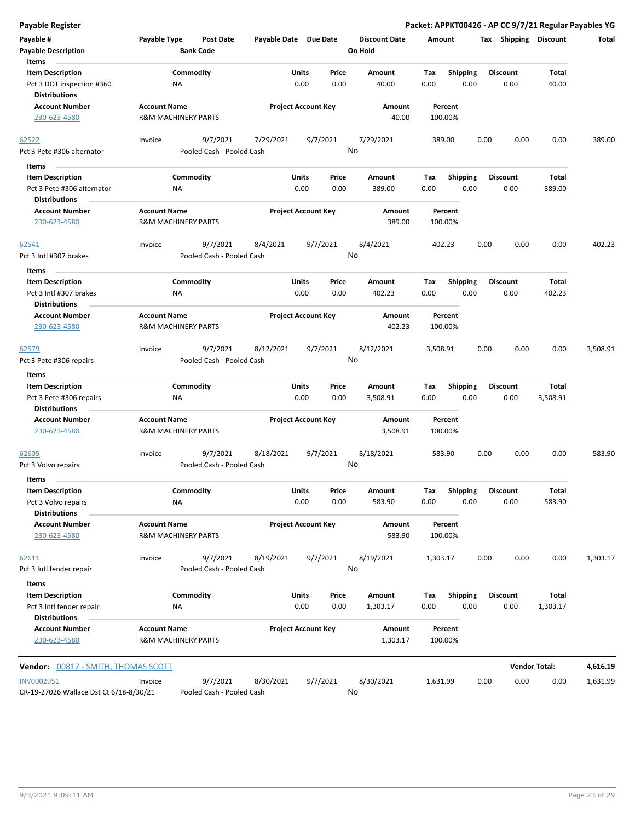| Payable #                                            | Payable Type                   | <b>Post Date</b>          | Payable Date Due Date |                                | <b>Discount Date</b> | Amount      |                         | Tax             | Shipping             | <b>Discount</b> | Total    |
|------------------------------------------------------|--------------------------------|---------------------------|-----------------------|--------------------------------|----------------------|-------------|-------------------------|-----------------|----------------------|-----------------|----------|
| <b>Payable Description</b>                           |                                | <b>Bank Code</b>          |                       |                                | On Hold              |             |                         |                 |                      |                 |          |
| Items                                                |                                |                           |                       |                                |                      |             |                         |                 |                      |                 |          |
| <b>Item Description</b><br>Pct 3 DOT inspection #360 | NA                             | Commodity                 |                       | Units<br>Price<br>0.00<br>0.00 | Amount<br>40.00      | Tax<br>0.00 | <b>Shipping</b><br>0.00 | Discount        | 0.00                 | Total<br>40.00  |          |
| <b>Distributions</b>                                 |                                |                           |                       |                                |                      |             |                         |                 |                      |                 |          |
| <b>Account Number</b>                                | <b>Account Name</b>            |                           |                       | <b>Project Account Key</b>     | Amount               | Percent     |                         |                 |                      |                 |          |
| 230-623-4580                                         | <b>R&amp;M MACHINERY PARTS</b> |                           |                       |                                | 40.00                | 100.00%     |                         |                 |                      |                 |          |
|                                                      |                                |                           |                       |                                |                      |             |                         |                 |                      |                 |          |
| 62522                                                | Invoice                        | 9/7/2021                  | 7/29/2021             | 9/7/2021                       | 7/29/2021            | 389.00      |                         | 0.00            | 0.00                 | 0.00            | 389.00   |
| Pct 3 Pete #306 alternator                           |                                | Pooled Cash - Pooled Cash |                       |                                | No                   |             |                         |                 |                      |                 |          |
| Items                                                |                                |                           |                       |                                |                      |             |                         |                 |                      |                 |          |
| <b>Item Description</b>                              |                                | Commodity                 |                       | Units<br>Price                 | <b>Amount</b>        | Tax         | <b>Shipping</b>         | <b>Discount</b> |                      | Total           |          |
| Pct 3 Pete #306 alternator                           | ΝA                             |                           |                       | 0.00<br>0.00                   | 389.00               | 0.00        | 0.00                    |                 | 0.00                 | 389.00          |          |
| <b>Distributions</b>                                 |                                |                           |                       |                                |                      |             |                         |                 |                      |                 |          |
| <b>Account Number</b>                                | <b>Account Name</b>            |                           |                       | <b>Project Account Key</b>     | Amount               | Percent     |                         |                 |                      |                 |          |
| 230-623-4580                                         | <b>R&amp;M MACHINERY PARTS</b> |                           |                       |                                | 389.00               | 100.00%     |                         |                 |                      |                 |          |
| <u>62541</u>                                         | Invoice                        | 9/7/2021                  | 8/4/2021              | 9/7/2021                       | 8/4/2021             | 402.23      |                         | 0.00            | 0.00                 | 0.00            | 402.23   |
| Pct 3 Intl #307 brakes                               |                                | Pooled Cash - Pooled Cash |                       |                                | No                   |             |                         |                 |                      |                 |          |
| Items                                                |                                |                           |                       |                                |                      |             |                         |                 |                      |                 |          |
| <b>Item Description</b>                              |                                | Commodity                 |                       | Units<br>Price                 | Amount               | Tax         | <b>Shipping</b>         | <b>Discount</b> |                      | <b>Total</b>    |          |
| Pct 3 Intl #307 brakes                               | ΝA                             |                           |                       | 0.00<br>0.00                   | 402.23               | 0.00        | 0.00                    |                 | 0.00                 | 402.23          |          |
| Distributions                                        |                                |                           |                       |                                |                      |             |                         |                 |                      |                 |          |
| <b>Account Number</b>                                | <b>Account Name</b>            |                           |                       | <b>Project Account Key</b>     | Amount               | Percent     |                         |                 |                      |                 |          |
| 230-623-4580                                         | <b>R&amp;M MACHINERY PARTS</b> |                           |                       |                                | 402.23               | 100.00%     |                         |                 |                      |                 |          |
| <u>62579</u>                                         | Invoice                        | 9/7/2021                  | 8/12/2021             | 9/7/2021                       | 8/12/2021            | 3,508.91    |                         | 0.00            | 0.00                 | 0.00            | 3,508.91 |
| Pct 3 Pete #306 repairs                              |                                | Pooled Cash - Pooled Cash |                       |                                | No                   |             |                         |                 |                      |                 |          |
| Items                                                |                                |                           |                       |                                |                      |             |                         |                 |                      |                 |          |
| <b>Item Description</b>                              |                                | Commodity                 |                       | Units<br>Price                 | Amount               | Tax         | <b>Shipping</b>         | <b>Discount</b> |                      | Total           |          |
| Pct 3 Pete #306 repairs                              | ΝA                             |                           |                       | 0.00<br>0.00                   | 3,508.91             | 0.00        | 0.00                    |                 | 0.00                 | 3,508.91        |          |
| <b>Distributions</b>                                 |                                |                           |                       |                                |                      |             |                         |                 |                      |                 |          |
| <b>Account Number</b>                                | <b>Account Name</b>            |                           |                       | <b>Project Account Key</b>     | Amount               | Percent     |                         |                 |                      |                 |          |
| 230-623-4580                                         | <b>R&amp;M MACHINERY PARTS</b> |                           |                       |                                | 3,508.91             | 100.00%     |                         |                 |                      |                 |          |
| <u>62605</u>                                         | Invoice                        | 9/7/2021                  | 8/18/2021             | 9/7/2021                       | 8/18/2021            | 583.90      |                         | 0.00            | 0.00                 | 0.00            | 583.90   |
| Pct 3 Volvo repairs                                  |                                | Pooled Cash - Pooled Cash |                       |                                | No                   |             |                         |                 |                      |                 |          |
| <b>Items</b>                                         |                                |                           |                       |                                |                      |             |                         |                 |                      |                 |          |
| <b>Item Description</b>                              |                                | Commodity                 |                       | Units<br>Price                 | <b>Amount</b>        | Тах         | <b>Shipping</b>         | <b>Discount</b> |                      | <b>Total</b>    |          |
| Pct 3 Volvo repairs                                  | ΝA                             |                           |                       | 0.00<br>0.00                   | 583.90               | 0.00        | 0.00                    |                 | 0.00                 | 583.90          |          |
| <b>Distributions</b>                                 |                                |                           |                       |                                |                      |             |                         |                 |                      |                 |          |
| <b>Account Number</b>                                | <b>Account Name</b>            |                           |                       | <b>Project Account Key</b>     | Amount               | Percent     |                         |                 |                      |                 |          |
| 230-623-4580                                         | <b>R&amp;M MACHINERY PARTS</b> |                           |                       |                                | 583.90               | 100.00%     |                         |                 |                      |                 |          |
| 62611                                                | Invoice                        | 9/7/2021                  | 8/19/2021             | 9/7/2021                       | 8/19/2021            | 1,303.17    |                         | 0.00            | 0.00                 | 0.00            | 1,303.17 |
| Pct 3 Intl fender repair                             |                                | Pooled Cash - Pooled Cash |                       |                                | No                   |             |                         |                 |                      |                 |          |
| Items                                                |                                |                           |                       |                                |                      |             |                         |                 |                      |                 |          |
| <b>Item Description</b>                              |                                | Commodity                 |                       | Units<br>Price                 | Amount               | Tax         | Shipping                | <b>Discount</b> |                      | Total           |          |
| Pct 3 Intl fender repair                             | NA                             |                           |                       | 0.00<br>0.00                   | 1,303.17             | 0.00        | 0.00                    |                 | 0.00                 | 1,303.17        |          |
| <b>Distributions</b>                                 |                                |                           |                       |                                |                      |             |                         |                 |                      |                 |          |
| <b>Account Number</b>                                | <b>Account Name</b>            |                           |                       | <b>Project Account Key</b>     | Amount               | Percent     |                         |                 |                      |                 |          |
| 230-623-4580                                         | <b>R&amp;M MACHINERY PARTS</b> |                           |                       |                                | 1,303.17             | 100.00%     |                         |                 |                      |                 |          |
| <b>Vendor:</b> 00817 - SMITH, THOMAS SCOTT           |                                |                           |                       |                                |                      |             |                         |                 | <b>Vendor Total:</b> |                 | 4,616.19 |
| <b>INV0002951</b>                                    | Invoice                        | 9/7/2021                  | 8/30/2021             | 9/7/2021                       | 8/30/2021            | 1,631.99    |                         | 0.00            | 0.00                 | 0.00            | 1,631.99 |

**Payable Register Packet: APPKT00426 - AP CC 9/7/21 Regular Payables YG**

CR-19-27026 Wallace Dst Ct 6/18-8/30/21 Pooled Cash - Pooled Cash

No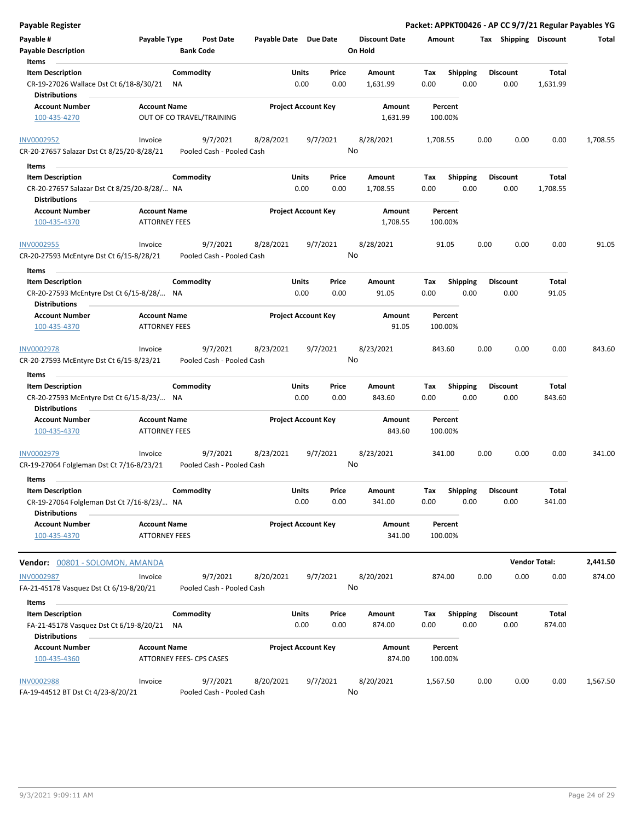|                                                     | <b>Post Date</b><br><b>Bank Code</b>                 |                                                                                                                                                                                                                                                                                                                                                                                                                                                                                                                                                                                                              |                                                                                                                                                                                         | <b>Discount Date</b>                                                                                                                                                                                                                                                                                                                                       | Amount                                                                                             |                                               |                                                                                                                                                                 |                                                                                                                                | Total                                                                                                                             |
|-----------------------------------------------------|------------------------------------------------------|--------------------------------------------------------------------------------------------------------------------------------------------------------------------------------------------------------------------------------------------------------------------------------------------------------------------------------------------------------------------------------------------------------------------------------------------------------------------------------------------------------------------------------------------------------------------------------------------------------------|-----------------------------------------------------------------------------------------------------------------------------------------------------------------------------------------|------------------------------------------------------------------------------------------------------------------------------------------------------------------------------------------------------------------------------------------------------------------------------------------------------------------------------------------------------------|----------------------------------------------------------------------------------------------------|-----------------------------------------------|-----------------------------------------------------------------------------------------------------------------------------------------------------------------|--------------------------------------------------------------------------------------------------------------------------------|-----------------------------------------------------------------------------------------------------------------------------------|
|                                                     |                                                      |                                                                                                                                                                                                                                                                                                                                                                                                                                                                                                                                                                                                              |                                                                                                                                                                                         |                                                                                                                                                                                                                                                                                                                                                            |                                                                                                    |                                               |                                                                                                                                                                 |                                                                                                                                |                                                                                                                                   |
| CR-19-27026 Wallace Dst Ct 6/18-8/30/21             |                                                      |                                                                                                                                                                                                                                                                                                                                                                                                                                                                                                                                                                                                              | 0.00                                                                                                                                                                                    | 1,631.99                                                                                                                                                                                                                                                                                                                                                   | 0.00                                                                                               |                                               | 0.00                                                                                                                                                            | 1,631.99                                                                                                                       |                                                                                                                                   |
|                                                     |                                                      |                                                                                                                                                                                                                                                                                                                                                                                                                                                                                                                                                                                                              |                                                                                                                                                                                         | Amount<br>1,631.99                                                                                                                                                                                                                                                                                                                                         | Percent<br>100.00%                                                                                 |                                               |                                                                                                                                                                 |                                                                                                                                |                                                                                                                                   |
|                                                     |                                                      |                                                                                                                                                                                                                                                                                                                                                                                                                                                                                                                                                                                                              |                                                                                                                                                                                         |                                                                                                                                                                                                                                                                                                                                                            |                                                                                                    |                                               |                                                                                                                                                                 |                                                                                                                                |                                                                                                                                   |
| CR-20-27657 Salazar Dst Ct 8/25/20-8/28/21          |                                                      |                                                                                                                                                                                                                                                                                                                                                                                                                                                                                                                                                                                                              |                                                                                                                                                                                         |                                                                                                                                                                                                                                                                                                                                                            |                                                                                                    |                                               |                                                                                                                                                                 |                                                                                                                                | 1,708.55                                                                                                                          |
|                                                     |                                                      |                                                                                                                                                                                                                                                                                                                                                                                                                                                                                                                                                                                                              |                                                                                                                                                                                         |                                                                                                                                                                                                                                                                                                                                                            |                                                                                                    |                                               |                                                                                                                                                                 |                                                                                                                                |                                                                                                                                   |
|                                                     |                                                      |                                                                                                                                                                                                                                                                                                                                                                                                                                                                                                                                                                                                              | Price<br>0.00                                                                                                                                                                           | Amount<br>1,708.55                                                                                                                                                                                                                                                                                                                                         | Tax<br>0.00                                                                                        |                                               | 0.00                                                                                                                                                            | Total<br>1,708.55                                                                                                              |                                                                                                                                   |
|                                                     |                                                      |                                                                                                                                                                                                                                                                                                                                                                                                                                                                                                                                                                                                              |                                                                                                                                                                                         | Amount                                                                                                                                                                                                                                                                                                                                                     | Percent                                                                                            |                                               |                                                                                                                                                                 |                                                                                                                                |                                                                                                                                   |
|                                                     |                                                      |                                                                                                                                                                                                                                                                                                                                                                                                                                                                                                                                                                                                              |                                                                                                                                                                                         |                                                                                                                                                                                                                                                                                                                                                            |                                                                                                    |                                               |                                                                                                                                                                 |                                                                                                                                |                                                                                                                                   |
| Invoice<br>CR-20-27593 McEntyre Dst Ct 6/15-8/28/21 | 9/7/2021                                             | 8/28/2021                                                                                                                                                                                                                                                                                                                                                                                                                                                                                                                                                                                                    | 9/7/2021                                                                                                                                                                                | 8/28/2021                                                                                                                                                                                                                                                                                                                                                  | 91.05                                                                                              | 0.00                                          | 0.00                                                                                                                                                            | 0.00                                                                                                                           | 91.05                                                                                                                             |
|                                                     |                                                      |                                                                                                                                                                                                                                                                                                                                                                                                                                                                                                                                                                                                              |                                                                                                                                                                                         |                                                                                                                                                                                                                                                                                                                                                            |                                                                                                    |                                               |                                                                                                                                                                 |                                                                                                                                |                                                                                                                                   |
|                                                     |                                                      |                                                                                                                                                                                                                                                                                                                                                                                                                                                                                                                                                                                                              | Price                                                                                                                                                                                   | Amount                                                                                                                                                                                                                                                                                                                                                     | Tax                                                                                                |                                               |                                                                                                                                                                 | Total                                                                                                                          |                                                                                                                                   |
|                                                     |                                                      |                                                                                                                                                                                                                                                                                                                                                                                                                                                                                                                                                                                                              | 0.00                                                                                                                                                                                    | 91.05                                                                                                                                                                                                                                                                                                                                                      | 0.00                                                                                               |                                               | 0.00                                                                                                                                                            | 91.05                                                                                                                          |                                                                                                                                   |
|                                                     |                                                      |                                                                                                                                                                                                                                                                                                                                                                                                                                                                                                                                                                                                              |                                                                                                                                                                                         | Amount<br>91.05                                                                                                                                                                                                                                                                                                                                            | Percent<br>100.00%                                                                                 |                                               |                                                                                                                                                                 |                                                                                                                                |                                                                                                                                   |
| Invoice                                             | 9/7/2021                                             | 8/23/2021                                                                                                                                                                                                                                                                                                                                                                                                                                                                                                                                                                                                    | 9/7/2021                                                                                                                                                                                | 8/23/2021                                                                                                                                                                                                                                                                                                                                                  | 843.60                                                                                             | 0.00                                          | 0.00                                                                                                                                                            | 0.00                                                                                                                           | 843.60                                                                                                                            |
| CR-20-27593 McEntyre Dst Ct 6/15-8/23/21            |                                                      |                                                                                                                                                                                                                                                                                                                                                                                                                                                                                                                                                                                                              |                                                                                                                                                                                         |                                                                                                                                                                                                                                                                                                                                                            |                                                                                                    |                                               |                                                                                                                                                                 |                                                                                                                                |                                                                                                                                   |
|                                                     |                                                      |                                                                                                                                                                                                                                                                                                                                                                                                                                                                                                                                                                                                              |                                                                                                                                                                                         |                                                                                                                                                                                                                                                                                                                                                            |                                                                                                    |                                               |                                                                                                                                                                 |                                                                                                                                |                                                                                                                                   |
|                                                     |                                                      |                                                                                                                                                                                                                                                                                                                                                                                                                                                                                                                                                                                                              | Price                                                                                                                                                                                   | Amount                                                                                                                                                                                                                                                                                                                                                     | Tax                                                                                                |                                               |                                                                                                                                                                 | Total                                                                                                                          |                                                                                                                                   |
|                                                     |                                                      |                                                                                                                                                                                                                                                                                                                                                                                                                                                                                                                                                                                                              |                                                                                                                                                                                         |                                                                                                                                                                                                                                                                                                                                                            |                                                                                                    |                                               |                                                                                                                                                                 |                                                                                                                                |                                                                                                                                   |
|                                                     |                                                      |                                                                                                                                                                                                                                                                                                                                                                                                                                                                                                                                                                                                              |                                                                                                                                                                                         | 843.60                                                                                                                                                                                                                                                                                                                                                     | 100.00%                                                                                            |                                               |                                                                                                                                                                 |                                                                                                                                |                                                                                                                                   |
| Invoice                                             | 9/7/2021                                             | 8/23/2021                                                                                                                                                                                                                                                                                                                                                                                                                                                                                                                                                                                                    | 9/7/2021                                                                                                                                                                                | 8/23/2021                                                                                                                                                                                                                                                                                                                                                  | 341.00                                                                                             | 0.00                                          | 0.00                                                                                                                                                            | 0.00                                                                                                                           | 341.00                                                                                                                            |
|                                                     |                                                      |                                                                                                                                                                                                                                                                                                                                                                                                                                                                                                                                                                                                              |                                                                                                                                                                                         |                                                                                                                                                                                                                                                                                                                                                            |                                                                                                    |                                               |                                                                                                                                                                 |                                                                                                                                |                                                                                                                                   |
|                                                     |                                                      |                                                                                                                                                                                                                                                                                                                                                                                                                                                                                                                                                                                                              | Price<br>0.00                                                                                                                                                                           | Amount<br>341.00                                                                                                                                                                                                                                                                                                                                           | Tax<br>0.00                                                                                        |                                               | 0.00                                                                                                                                                            | Total<br>341.00                                                                                                                |                                                                                                                                   |
|                                                     |                                                      |                                                                                                                                                                                                                                                                                                                                                                                                                                                                                                                                                                                                              |                                                                                                                                                                                         | Amount<br>341.00                                                                                                                                                                                                                                                                                                                                           | Percent<br>100.00%                                                                                 |                                               |                                                                                                                                                                 |                                                                                                                                |                                                                                                                                   |
|                                                     |                                                      |                                                                                                                                                                                                                                                                                                                                                                                                                                                                                                                                                                                                              |                                                                                                                                                                                         |                                                                                                                                                                                                                                                                                                                                                            |                                                                                                    |                                               |                                                                                                                                                                 |                                                                                                                                |                                                                                                                                   |
| Vendor: 00801 - SOLOMON, AMANDA                     |                                                      |                                                                                                                                                                                                                                                                                                                                                                                                                                                                                                                                                                                                              |                                                                                                                                                                                         |                                                                                                                                                                                                                                                                                                                                                            |                                                                                                    |                                               |                                                                                                                                                                 |                                                                                                                                | 2,441.50                                                                                                                          |
| Invoice<br>FA-21-45178 Vasquez Dst Ct 6/19-8/20/21  | 9/7/2021                                             | 8/20/2021                                                                                                                                                                                                                                                                                                                                                                                                                                                                                                                                                                                                    | 9/7/2021                                                                                                                                                                                | 8/20/2021                                                                                                                                                                                                                                                                                                                                                  | 874.00                                                                                             | 0.00                                          | 0.00                                                                                                                                                            | 0.00                                                                                                                           | 874.00                                                                                                                            |
|                                                     |                                                      |                                                                                                                                                                                                                                                                                                                                                                                                                                                                                                                                                                                                              |                                                                                                                                                                                         |                                                                                                                                                                                                                                                                                                                                                            |                                                                                                    |                                               |                                                                                                                                                                 |                                                                                                                                |                                                                                                                                   |
| FA-21-45178 Vasquez Dst Ct 6/19-8/20/21             |                                                      |                                                                                                                                                                                                                                                                                                                                                                                                                                                                                                                                                                                                              | Price<br>0.00                                                                                                                                                                           | Amount<br>874.00                                                                                                                                                                                                                                                                                                                                           | Tax<br>0.00                                                                                        |                                               | 0.00                                                                                                                                                            | Total<br>874.00                                                                                                                |                                                                                                                                   |
|                                                     |                                                      |                                                                                                                                                                                                                                                                                                                                                                                                                                                                                                                                                                                                              |                                                                                                                                                                                         |                                                                                                                                                                                                                                                                                                                                                            |                                                                                                    |                                               |                                                                                                                                                                 |                                                                                                                                |                                                                                                                                   |
|                                                     |                                                      |                                                                                                                                                                                                                                                                                                                                                                                                                                                                                                                                                                                                              |                                                                                                                                                                                         | Amount<br>874.00                                                                                                                                                                                                                                                                                                                                           | Percent<br>100.00%                                                                                 |                                               |                                                                                                                                                                 |                                                                                                                                |                                                                                                                                   |
| Invoice<br>FA-19-44512 BT Dst Ct 4/23-8/20/21       | 9/7/2021                                             | 8/20/2021                                                                                                                                                                                                                                                                                                                                                                                                                                                                                                                                                                                                    | 9/7/2021                                                                                                                                                                                | 8/20/2021                                                                                                                                                                                                                                                                                                                                                  | 1,567.50                                                                                           | 0.00                                          | 0.00                                                                                                                                                            | 0.00                                                                                                                           | 1,567.50                                                                                                                          |
|                                                     | Invoice<br>CR-19-27064 Folgleman Dst Ct 7/16-8/23/21 | Payable Type<br>Commodity<br>ΝA<br><b>Account Name</b><br>OUT OF CO TRAVEL/TRAINING<br>9/7/2021<br>Commodity<br>CR-20-27657 Salazar Dst Ct 8/25/20-8/28/ NA<br><b>Account Name</b><br><b>ATTORNEY FEES</b><br>Commodity<br>CR-20-27593 McEntyre Dst Ct 6/15-8/28/ NA<br><b>Account Name</b><br><b>ATTORNEY FEES</b><br>Commodity<br>CR-20-27593 McEntyre Dst Ct 6/15-8/23/ NA<br><b>Account Name</b><br><b>ATTORNEY FEES</b><br>Commodity<br>CR-19-27064 Folgleman Dst Ct 7/16-8/23/ NA<br><b>Account Name</b><br><b>ATTORNEY FEES</b><br>Commodity<br>ΝA<br><b>Account Name</b><br>ATTORNEY FEES- CPS CASES | 8/28/2021<br>Pooled Cash - Pooled Cash<br>Pooled Cash - Pooled Cash<br>Pooled Cash - Pooled Cash<br>Pooled Cash - Pooled Cash<br>Pooled Cash - Pooled Cash<br>Pooled Cash - Pooled Cash | Payable Date Due Date<br><b>Units</b><br>Price<br>0.00<br><b>Project Account Key</b><br>9/7/2021<br>Units<br>0.00<br><b>Project Account Key</b><br>Units<br>0.00<br><b>Project Account Key</b><br>Units<br>0.00<br>0.00<br><b>Project Account Key</b><br>Units<br>0.00<br><b>Project Account Key</b><br><b>Units</b><br>0.00<br><b>Project Account Key</b> | On Hold<br>Amount<br>8/28/2021<br>No<br>1,708.55<br>No<br>No<br>843.60<br>Amount<br>No<br>No<br>No | Tax<br>1,708.55<br>100.00%<br>0.00<br>Percent | <b>Shipping</b><br>0.00<br>0.00<br><b>Shipping</b><br>0.00<br><b>Shipping</b><br>0.00<br>Shipping<br>0.00<br><b>Shipping</b><br>0.00<br><b>Shipping</b><br>0.00 | <b>Discount</b><br>0.00<br><b>Discount</b><br><b>Discount</b><br><b>Discount</b><br>0.00<br><b>Discount</b><br><b>Discount</b> | Packet: APPKT00426 - AP CC 9/7/21 Regular Payables YG<br>Tax Shipping Discount<br>Total<br>0.00<br>843.60<br><b>Vendor Total:</b> |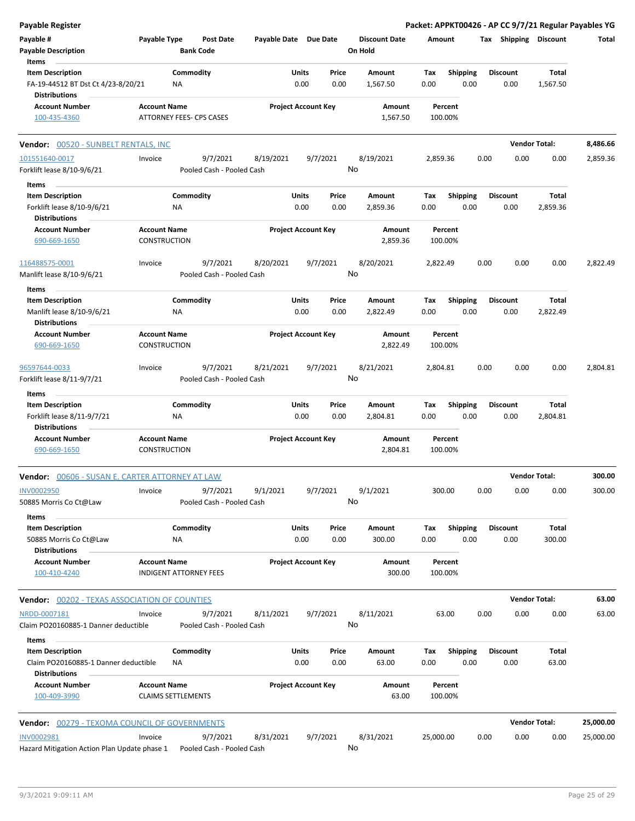| Payable Register                                                                        |                                                  |                                       |                       |                            |               |                                 |             |                         |      |                         |                   | Packet: APPKT00426 - AP CC 9/7/21 Regular Payables YG |
|-----------------------------------------------------------------------------------------|--------------------------------------------------|---------------------------------------|-----------------------|----------------------------|---------------|---------------------------------|-------------|-------------------------|------|-------------------------|-------------------|-------------------------------------------------------|
| Payable #<br><b>Payable Description</b>                                                 | Payable Type                                     | Post Date<br><b>Bank Code</b>         | Payable Date Due Date |                            |               | <b>Discount Date</b><br>On Hold | Amount      |                         |      | Tax Shipping Discount   |                   | Total                                                 |
| Items                                                                                   |                                                  |                                       |                       |                            |               |                                 |             |                         |      |                         |                   |                                                       |
| <b>Item Description</b><br>FA-19-44512 BT Dst Ct 4/23-8/20/21                           | ΝA                                               | Commodity                             |                       | Units<br>0.00              | Price<br>0.00 | Amount<br>1,567.50              | Tax<br>0.00 | <b>Shipping</b><br>0.00 |      | <b>Discount</b><br>0.00 | Total<br>1,567.50 |                                                       |
| <b>Distributions</b><br><b>Account Number</b>                                           | <b>Account Name</b>                              |                                       |                       | <b>Project Account Key</b> |               | Amount                          |             | Percent                 |      |                         |                   |                                                       |
| 100-435-4360                                                                            | ATTORNEY FEES- CPS CASES                         |                                       |                       |                            |               | 1,567.50                        |             | 100.00%                 |      |                         |                   |                                                       |
| <b>Vendor: 00520 - SUNBELT RENTALS, INC</b>                                             |                                                  |                                       |                       |                            |               |                                 |             |                         |      | <b>Vendor Total:</b>    |                   | 8,486.66                                              |
| 101551640-0017                                                                          | Invoice                                          | 9/7/2021                              | 8/19/2021             | 9/7/2021                   |               | 8/19/2021                       | 2,859.36    |                         | 0.00 | 0.00                    | 0.00              | 2,859.36                                              |
| Forklift lease 8/10-9/6/21                                                              |                                                  | Pooled Cash - Pooled Cash             |                       |                            |               | No                              |             |                         |      |                         |                   |                                                       |
| Items                                                                                   |                                                  |                                       |                       |                            |               |                                 |             |                         |      |                         |                   |                                                       |
| <b>Item Description</b>                                                                 |                                                  | Commodity                             |                       | Units                      | Price         | Amount                          | Tax         | <b>Shipping</b>         |      | <b>Discount</b>         | Total             |                                                       |
| Forklift lease 8/10-9/6/21                                                              | ΝA                                               |                                       |                       | 0.00                       | 0.00          | 2,859.36                        | 0.00        | 0.00                    |      | 0.00                    | 2,859.36          |                                                       |
| <b>Distributions</b><br><b>Account Number</b>                                           | <b>Account Name</b>                              |                                       |                       | <b>Project Account Key</b> |               | Amount                          |             | Percent                 |      |                         |                   |                                                       |
| 690-669-1650                                                                            | CONSTRUCTION                                     |                                       |                       |                            |               | 2,859.36                        |             | 100.00%                 |      |                         |                   |                                                       |
| 116488575-0001                                                                          | Invoice                                          | 9/7/2021                              | 8/20/2021             | 9/7/2021                   |               | 8/20/2021                       | 2,822.49    |                         | 0.00 | 0.00                    | 0.00              | 2,822.49                                              |
| Manlift lease 8/10-9/6/21                                                               |                                                  | Pooled Cash - Pooled Cash             |                       |                            |               | No                              |             |                         |      |                         |                   |                                                       |
| Items                                                                                   |                                                  |                                       |                       |                            |               |                                 |             |                         |      |                         |                   |                                                       |
| <b>Item Description</b>                                                                 |                                                  | Commodity                             |                       | Units                      | Price         | Amount                          | Tax         | <b>Shipping</b>         |      | <b>Discount</b>         | Total             |                                                       |
| Manlift lease 8/10-9/6/21<br><b>Distributions</b>                                       | <b>NA</b>                                        |                                       |                       | 0.00                       | 0.00          | 2,822.49                        | 0.00        | 0.00                    |      | 0.00                    | 2,822.49          |                                                       |
| <b>Account Number</b>                                                                   | Account Name                                     |                                       |                       | <b>Project Account Key</b> |               | Amount                          |             | Percent                 |      |                         |                   |                                                       |
| 690-669-1650                                                                            | CONSTRUCTION                                     |                                       |                       |                            |               | 2,822.49                        |             | 100.00%                 |      |                         |                   |                                                       |
| 96597644-0033<br>Forklift lease 8/11-9/7/21                                             | Invoice                                          | 9/7/2021<br>Pooled Cash - Pooled Cash | 8/21/2021             | 9/7/2021                   |               | 8/21/2021<br>No                 | 2,804.81    |                         | 0.00 | 0.00                    | 0.00              | 2,804.81                                              |
| Items                                                                                   |                                                  |                                       |                       |                            |               |                                 |             |                         |      |                         |                   |                                                       |
| <b>Item Description</b><br>Forklift lease 8/11-9/7/21<br><b>Distributions</b>           | ΝA                                               | Commodity                             |                       | Units<br>0.00              | Price<br>0.00 | Amount<br>2,804.81              | Tax<br>0.00 | <b>Shipping</b><br>0.00 |      | <b>Discount</b><br>0.00 | Total<br>2,804.81 |                                                       |
| <b>Account Number</b><br>690-669-1650                                                   | <b>Account Name</b><br><b>CONSTRUCTION</b>       |                                       |                       | <b>Project Account Key</b> |               | Amount<br>2,804.81              |             | Percent<br>100.00%      |      |                         |                   |                                                       |
| 00606 - SUSAN E. CARTER ATTORNEY AT LAW<br>Vendor:                                      |                                                  |                                       |                       |                            |               |                                 |             |                         |      | <b>Vendor Total:</b>    |                   | 300.00                                                |
| INV0002950<br>50885 Morris Co Ct@Law                                                    | Invoice                                          | 9/7/2021<br>Pooled Cash - Pooled Cash | 9/1/2021              | 9/7/2021                   |               | 9/1/2021<br>No                  |             | 300.00                  | 0.00 | 0.00                    | 0.00              | 300.00                                                |
| Items                                                                                   |                                                  |                                       |                       |                            |               |                                 |             |                         |      |                         |                   |                                                       |
| <b>Item Description</b><br>50885 Morris Co Ct@Law                                       | ΝA                                               | Commodity                             |                       | Units<br>0.00              | Price<br>0.00 | Amount<br>300.00                | Tax<br>0.00 | <b>Shipping</b><br>0.00 |      | <b>Discount</b><br>0.00 | Total<br>300.00   |                                                       |
| <b>Distributions</b><br><b>Account Number</b>                                           | <b>Account Name</b>                              |                                       |                       | <b>Project Account Key</b> |               | Amount                          |             | Percent                 |      |                         |                   |                                                       |
| 100-410-4240                                                                            | <b>INDIGENT ATTORNEY FEES</b>                    |                                       |                       |                            |               | 300.00                          |             | 100.00%                 |      |                         |                   |                                                       |
| <b>Vendor:</b> 00202 - TEXAS ASSOCIATION OF COUNTIES                                    |                                                  |                                       |                       |                            |               |                                 |             |                         |      | <b>Vendor Total:</b>    |                   | 63.00                                                 |
| NRDD-0007181<br>Claim PO20160885-1 Danner deductible                                    | Invoice                                          | 9/7/2021<br>Pooled Cash - Pooled Cash | 8/11/2021             | 9/7/2021                   |               | 8/11/2021<br>No                 |             | 63.00                   | 0.00 | 0.00                    | 0.00              | 63.00                                                 |
| Items                                                                                   |                                                  |                                       |                       |                            |               |                                 |             |                         |      |                         |                   |                                                       |
| <b>Item Description</b><br>Claim PO20160885-1 Danner deductible<br><b>Distributions</b> | ΝA                                               | Commodity                             |                       | Units<br>0.00              | Price<br>0.00 | Amount<br>63.00                 | Tax<br>0.00 | <b>Shipping</b><br>0.00 |      | <b>Discount</b><br>0.00 | Total<br>63.00    |                                                       |
| <b>Account Number</b><br>100-409-3990                                                   | <b>Account Name</b><br><b>CLAIMS SETTLEMENTS</b> |                                       |                       | <b>Project Account Key</b> |               | Amount<br>63.00                 |             | Percent<br>100.00%      |      |                         |                   |                                                       |
| <b>Vendor:</b> 00279 - TEXOMA COUNCIL OF GOVERNMENTS                                    |                                                  |                                       |                       |                            |               |                                 |             |                         |      | <b>Vendor Total:</b>    |                   | 25,000.00                                             |
| INV0002981<br>Hazard Mitigation Action Plan Update phase 1                              | Invoice                                          | 9/7/2021<br>Pooled Cash - Pooled Cash | 8/31/2021             | 9/7/2021                   |               | 8/31/2021<br>No                 | 25,000.00   |                         | 0.00 | 0.00                    | 0.00              | 25,000.00                                             |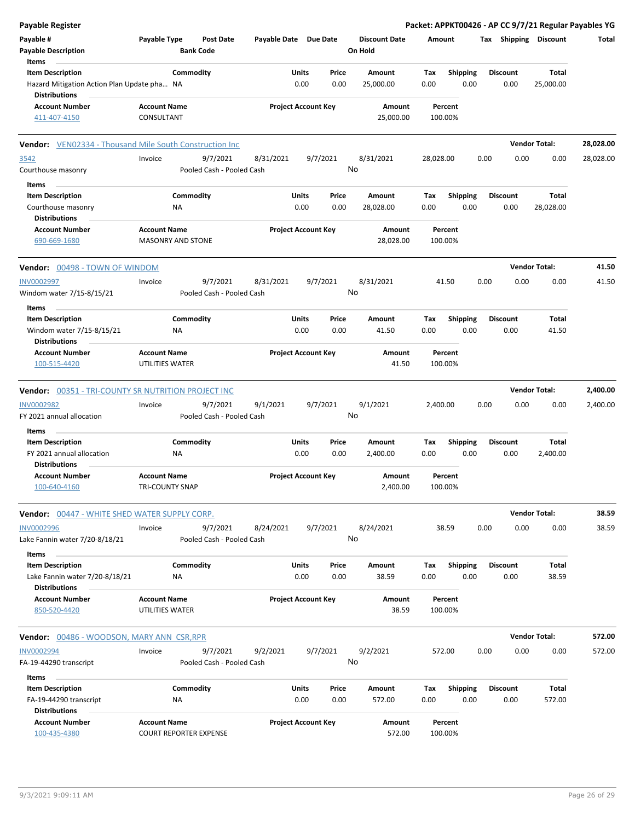| <b>Payable Register</b>                                                   |                                                      |                                       |                       |                                |    |                                 |             |                         |      |                         | Packet: APPKT00426 - AP CC 9/7/21 Regular Payables YG |           |
|---------------------------------------------------------------------------|------------------------------------------------------|---------------------------------------|-----------------------|--------------------------------|----|---------------------------------|-------------|-------------------------|------|-------------------------|-------------------------------------------------------|-----------|
| Payable #<br><b>Payable Description</b>                                   | Payable Type                                         | <b>Post Date</b><br><b>Bank Code</b>  | Payable Date Due Date |                                |    | <b>Discount Date</b><br>On Hold | Amount      |                         |      |                         | Tax Shipping Discount                                 | Total     |
| Items                                                                     |                                                      |                                       |                       |                                |    |                                 |             |                         |      |                         |                                                       |           |
| <b>Item Description</b><br>Hazard Mitigation Action Plan Update pha NA    | Commodity                                            |                                       |                       | Units<br>Price<br>0.00<br>0.00 |    | Amount<br>25,000.00             | Tax<br>0.00 | <b>Shipping</b><br>0.00 |      | <b>Discount</b><br>0.00 | Total<br>25,000.00                                    |           |
| <b>Distributions</b><br><b>Account Number</b>                             |                                                      |                                       |                       |                                |    |                                 |             | Percent                 |      |                         |                                                       |           |
| 411-407-4150                                                              | <b>Account Name</b><br>CONSULTANT                    |                                       |                       | <b>Project Account Key</b>     |    | Amount<br>25,000.00             | 100.00%     |                         |      |                         |                                                       |           |
| <b>Vendor:</b> VEN02334 - Thousand Mile South Construction Inc            |                                                      |                                       |                       |                                |    |                                 |             |                         |      |                         | <b>Vendor Total:</b>                                  | 28,028.00 |
| 3542<br>Courthouse masonry                                                | Invoice                                              | 9/7/2021<br>Pooled Cash - Pooled Cash | 8/31/2021             | 9/7/2021                       | No | 8/31/2021                       | 28,028.00   |                         | 0.00 | 0.00                    | 0.00                                                  | 28,028.00 |
| Items                                                                     |                                                      |                                       |                       |                                |    |                                 |             |                         |      |                         |                                                       |           |
| <b>Item Description</b>                                                   | Commodity                                            |                                       |                       | Units<br>Price<br>0.00<br>0.00 |    | Amount                          | Tax<br>0.00 | <b>Shipping</b><br>0.00 |      | <b>Discount</b>         | Total                                                 |           |
| Courthouse masonry<br><b>Distributions</b>                                | ΝA                                                   |                                       |                       |                                |    | 28,028.00                       |             |                         |      | 0.00                    | 28,028.00                                             |           |
| <b>Account Number</b>                                                     | <b>Account Name</b>                                  |                                       |                       | <b>Project Account Key</b>     |    | Amount                          |             | Percent                 |      |                         |                                                       |           |
| 690-669-1680                                                              | <b>MASONRY AND STONE</b>                             |                                       |                       |                                |    | 28,028.00                       | 100.00%     |                         |      |                         |                                                       |           |
| Vendor: 00498 - TOWN OF WINDOM                                            |                                                      |                                       |                       |                                |    |                                 |             |                         |      |                         | <b>Vendor Total:</b>                                  | 41.50     |
| <b>INV0002997</b><br>Windom water 7/15-8/15/21                            | Invoice                                              | 9/7/2021<br>Pooled Cash - Pooled Cash | 8/31/2021             | 9/7/2021                       | No | 8/31/2021                       |             | 41.50                   | 0.00 | 0.00                    | 0.00                                                  | 41.50     |
| Items                                                                     |                                                      |                                       |                       |                                |    |                                 |             |                         |      |                         |                                                       |           |
| <b>Item Description</b><br>Windom water 7/15-8/15/21                      | Commodity<br>ΝA                                      |                                       |                       | Units<br>Price<br>0.00<br>0.00 |    | Amount<br>41.50                 | Tax<br>0.00 | <b>Shipping</b><br>0.00 |      | <b>Discount</b><br>0.00 | <b>Total</b><br>41.50                                 |           |
| <b>Distributions</b><br><b>Account Number</b><br>100-515-4420             | <b>Account Name</b><br>UTILITIES WATER               |                                       |                       | <b>Project Account Key</b>     |    | Amount<br>41.50                 | 100.00%     | Percent                 |      |                         |                                                       |           |
|                                                                           |                                                      |                                       |                       |                                |    |                                 |             |                         |      |                         |                                                       |           |
| <b>Vendor: 00351 - TRI-COUNTY SR NUTRITION PROJECT INC</b>                |                                                      |                                       |                       |                                |    |                                 |             |                         |      |                         | <b>Vendor Total:</b>                                  | 2,400.00  |
| <b>INV0002982</b><br>FY 2021 annual allocation                            | Invoice                                              | 9/7/2021<br>Pooled Cash - Pooled Cash | 9/1/2021              | 9/7/2021                       | No | 9/1/2021                        | 2,400.00    |                         | 0.00 | 0.00                    | 0.00                                                  | 2,400.00  |
|                                                                           |                                                      |                                       |                       |                                |    |                                 |             |                         |      |                         |                                                       |           |
| Items<br><b>Item Description</b>                                          | Commodity                                            |                                       |                       | Units<br>Price                 |    | <b>Amount</b>                   | Tax         | <b>Shipping</b>         |      | <b>Discount</b>         | Total                                                 |           |
| FY 2021 annual allocation<br>Distributions                                | <b>NA</b>                                            |                                       |                       | 0.00<br>0.00                   |    | 2,400.00                        | 0.00        | 0.00                    |      | 0.00                    | 2,400.00                                              |           |
| Account Number<br>100-640-4160                                            | <b>Account Name</b><br>TRI-COUNTY SNAP               |                                       |                       | <b>Project Account Key</b>     |    | Amount<br>2,400.00              | 100.00%     | Percent                 |      |                         |                                                       |           |
| Vendor: 00447 - WHITE SHED WATER SUPPLY CORP.                             |                                                      |                                       |                       |                                |    |                                 |             |                         |      |                         | <b>Vendor Total:</b>                                  | 38.59     |
| INV0002996<br>Lake Fannin water 7/20-8/18/21                              | Invoice                                              | 9/7/2021<br>Pooled Cash - Pooled Cash | 8/24/2021             | 9/7/2021                       | No | 8/24/2021                       |             | 38.59                   | 0.00 | 0.00                    | 0.00                                                  | 38.59     |
| Items                                                                     |                                                      |                                       |                       |                                |    |                                 |             |                         |      |                         |                                                       |           |
| <b>Item Description</b><br>Lake Fannin water 7/20-8/18/21                 | Commodity<br>ΝA                                      |                                       |                       | Units<br>Price<br>0.00<br>0.00 |    | Amount<br>38.59                 | Tax<br>0.00 | <b>Shipping</b><br>0.00 |      | <b>Discount</b><br>0.00 | Total<br>38.59                                        |           |
| <b>Distributions</b>                                                      |                                                      |                                       |                       |                                |    |                                 |             |                         |      |                         |                                                       |           |
| <b>Account Number</b><br>850-520-4420                                     | <b>Account Name</b><br>UTILITIES WATER               |                                       |                       | <b>Project Account Key</b>     |    | Amount<br>38.59                 | 100.00%     | Percent                 |      |                         |                                                       |           |
| <b>Vendor:</b> 00486 - WOODSON, MARY ANN CSR, RPR                         |                                                      |                                       |                       |                                |    |                                 |             |                         |      |                         | <b>Vendor Total:</b>                                  | 572.00    |
| <b>INV0002994</b>                                                         | Invoice                                              | 9/7/2021                              | 9/2/2021              | 9/7/2021                       |    | 9/2/2021                        | 572.00      |                         | 0.00 | 0.00                    | 0.00                                                  | 572.00    |
| FA-19-44290 transcript                                                    |                                                      | Pooled Cash - Pooled Cash             |                       |                                | No |                                 |             |                         |      |                         |                                                       |           |
| Items                                                                     |                                                      |                                       |                       |                                |    |                                 |             |                         |      |                         |                                                       |           |
| <b>Item Description</b><br>FA-19-44290 transcript<br><b>Distributions</b> | Commodity<br><b>NA</b>                               |                                       |                       | Units<br>Price<br>0.00<br>0.00 |    | Amount<br>572.00                | Tax<br>0.00 | <b>Shipping</b><br>0.00 |      | <b>Discount</b><br>0.00 | Total<br>572.00                                       |           |
| <b>Account Number</b><br>100-435-4380                                     | <b>Account Name</b><br><b>COURT REPORTER EXPENSE</b> |                                       |                       | <b>Project Account Key</b>     |    | Amount<br>572.00                | 100.00%     | Percent                 |      |                         |                                                       |           |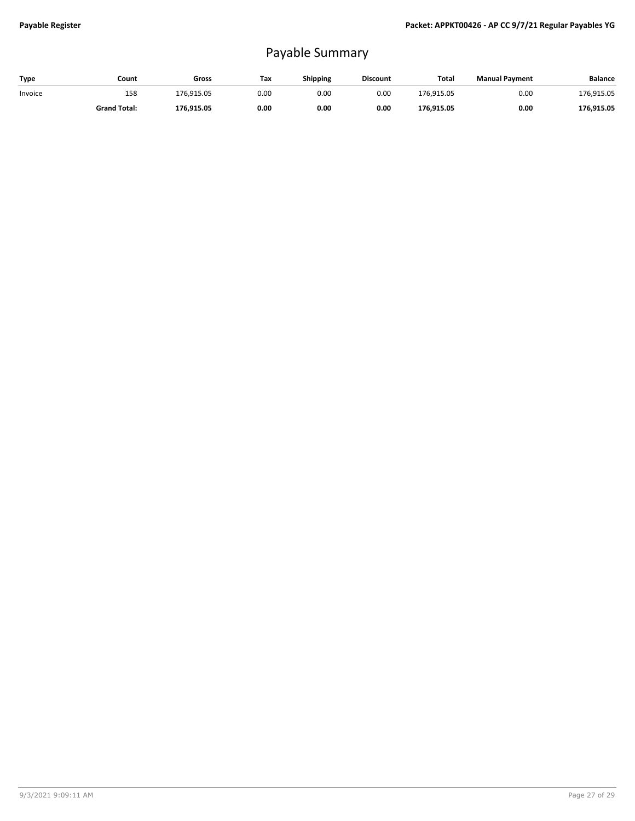## Payable Summary

| Type    | Count               | Gross      | Tax  | <b>Shipping</b> | <b>Discount</b> | <b>Total</b> | <b>Manual Payment</b> | <b>Balance</b> |
|---------|---------------------|------------|------|-----------------|-----------------|--------------|-----------------------|----------------|
| Invoice | 158                 | 176.915.05 | 0.00 | 0.00            | 0.00            | 176.915.05   | 0.00                  | 176.915.05     |
|         | <b>Grand Total:</b> | 176.915.05 | 0.00 | 0.00            | 0.00            | 176.915.05   | 0.00                  | 176,915.05     |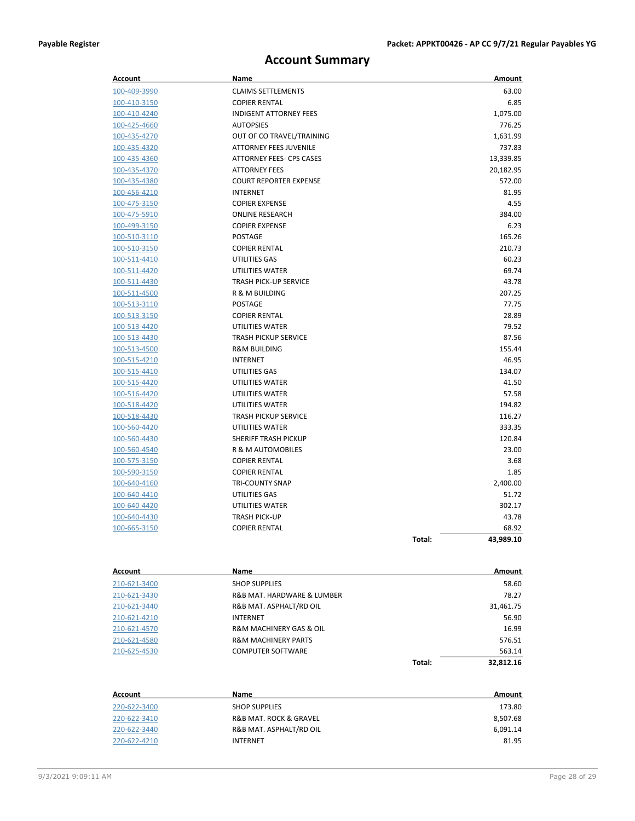## **Account Summary**

| Account        | Name                            |        | Amount    |
|----------------|---------------------------------|--------|-----------|
| 100-409-3990   | <b>CLAIMS SETTLEMENTS</b>       |        | 63.00     |
| 100-410-3150   | <b>COPIER RENTAL</b>            |        | 6.85      |
| 100-410-4240   | <b>INDIGENT ATTORNEY FEES</b>   |        | 1,075.00  |
| 100-425-4660   | <b>AUTOPSIES</b>                |        | 776.25    |
| 100-435-4270   | OUT OF CO TRAVEL/TRAINING       |        | 1,631.99  |
| 100-435-4320   | <b>ATTORNEY FEES JUVENILE</b>   |        | 737.83    |
| 100-435-4360   | <b>ATTORNEY FEES- CPS CASES</b> |        | 13,339.85 |
| 100-435-4370   | <b>ATTORNEY FEES</b>            |        | 20,182.95 |
| 100-435-4380   | <b>COURT REPORTER EXPENSE</b>   |        | 572.00    |
| 100-456-4210   | <b>INTERNET</b>                 |        | 81.95     |
| 100-475-3150   | <b>COPIER EXPENSE</b>           |        | 4.55      |
| 100-475-5910   | <b>ONLINE RESEARCH</b>          |        | 384.00    |
| 100-499-3150   | <b>COPIER EXPENSE</b>           |        | 6.23      |
| 100-510-3110   | POSTAGE                         |        | 165.26    |
| 100-510-3150   | <b>COPIER RENTAL</b>            |        | 210.73    |
| 100-511-4410   | UTILITIES GAS                   |        | 60.23     |
| 100-511-4420   | UTILITIES WATER                 |        | 69.74     |
| 100-511-4430   | <b>TRASH PICK-UP SERVICE</b>    |        | 43.78     |
| 100-511-4500   | R & M BUILDING                  |        | 207.25    |
| 100-513-3110   | <b>POSTAGE</b>                  |        | 77.75     |
| 100-513-3150   | <b>COPIER RENTAL</b>            |        | 28.89     |
| 100-513-4420   | UTILITIES WATER                 |        | 79.52     |
| 100-513-4430   | <b>TRASH PICKUP SERVICE</b>     |        | 87.56     |
| 100-513-4500   | <b>R&amp;M BUILDING</b>         |        | 155.44    |
| 100-515-4210   | <b>INTERNET</b>                 |        | 46.95     |
| 100-515-4410   | <b>UTILITIES GAS</b>            |        | 134.07    |
| 100-515-4420   | UTILITIES WATER                 |        | 41.50     |
| 100-516-4420   | UTILITIES WATER                 |        | 57.58     |
| 100-518-4420   | UTILITIES WATER                 |        | 194.82    |
| 100-518-4430   | <b>TRASH PICKUP SERVICE</b>     |        | 116.27    |
| 100-560-4420   | UTILITIES WATER                 |        | 333.35    |
| 100-560-4430   | <b>SHERIFF TRASH PICKUP</b>     |        | 120.84    |
| 100-560-4540   | R & M AUTOMOBILES               |        | 23.00     |
| 100-575-3150   | <b>COPIER RENTAL</b>            |        | 3.68      |
| 100-590-3150   | <b>COPIER RENTAL</b>            |        | 1.85      |
| 100-640-4160   | <b>TRI-COUNTY SNAP</b>          |        | 2,400.00  |
| 100-640-4410   | UTILITIES GAS                   |        | 51.72     |
| 100-640-4420   | UTILITIES WATER                 |        | 302.17    |
| 100-640-4430   | <b>TRASH PICK-UP</b>            |        | 43.78     |
| 100-665-3150   | <b>COPIER RENTAL</b>            |        | 68.92     |
|                |                                 | Total: | 43,989.10 |
| <b>Account</b> | Name                            |        | Amount    |
| 210-621-3400   | <b>SHOP SUPPLIES</b>            |        | 58.60     |
| 210-621-3430   | R&B MAT, HARDWARE & LUMBER      |        | 78.27     |

|              | Total:                                 | 32.812.16 |
|--------------|----------------------------------------|-----------|
| 210-625-4530 | <b>COMPUTER SOFTWARE</b>               | 563.14    |
| 210-621-4580 | <b>R&amp;M MACHINERY PARTS</b>         | 576.51    |
| 210-621-4570 | <b>R&amp;M MACHINERY GAS &amp; OIL</b> | 16.99     |
| 210-621-4210 | <b>INTERNET</b>                        | 56.90     |
| 210-621-3440 | R&B MAT. ASPHALT/RD OIL                | 31,461.75 |
| 210-621-3430 | R&B MAT. HARDWARE & LUMBER             | 78.27     |
| 210-621-3400 | <b>SHOP SUPPLIES</b>                   | 58.60     |

| Account      | Name                                  | Amount   |
|--------------|---------------------------------------|----------|
| 220-622-3400 | <b>SHOP SUPPLIES</b>                  | 173.80   |
| 220-622-3410 | <b>R&amp;B MAT. ROCK &amp; GRAVEL</b> | 8,507.68 |
| 220-622-3440 | R&B MAT. ASPHALT/RD OIL               | 6,091.14 |
| 220-622-4210 | <b>INTERNET</b>                       | 81.95    |